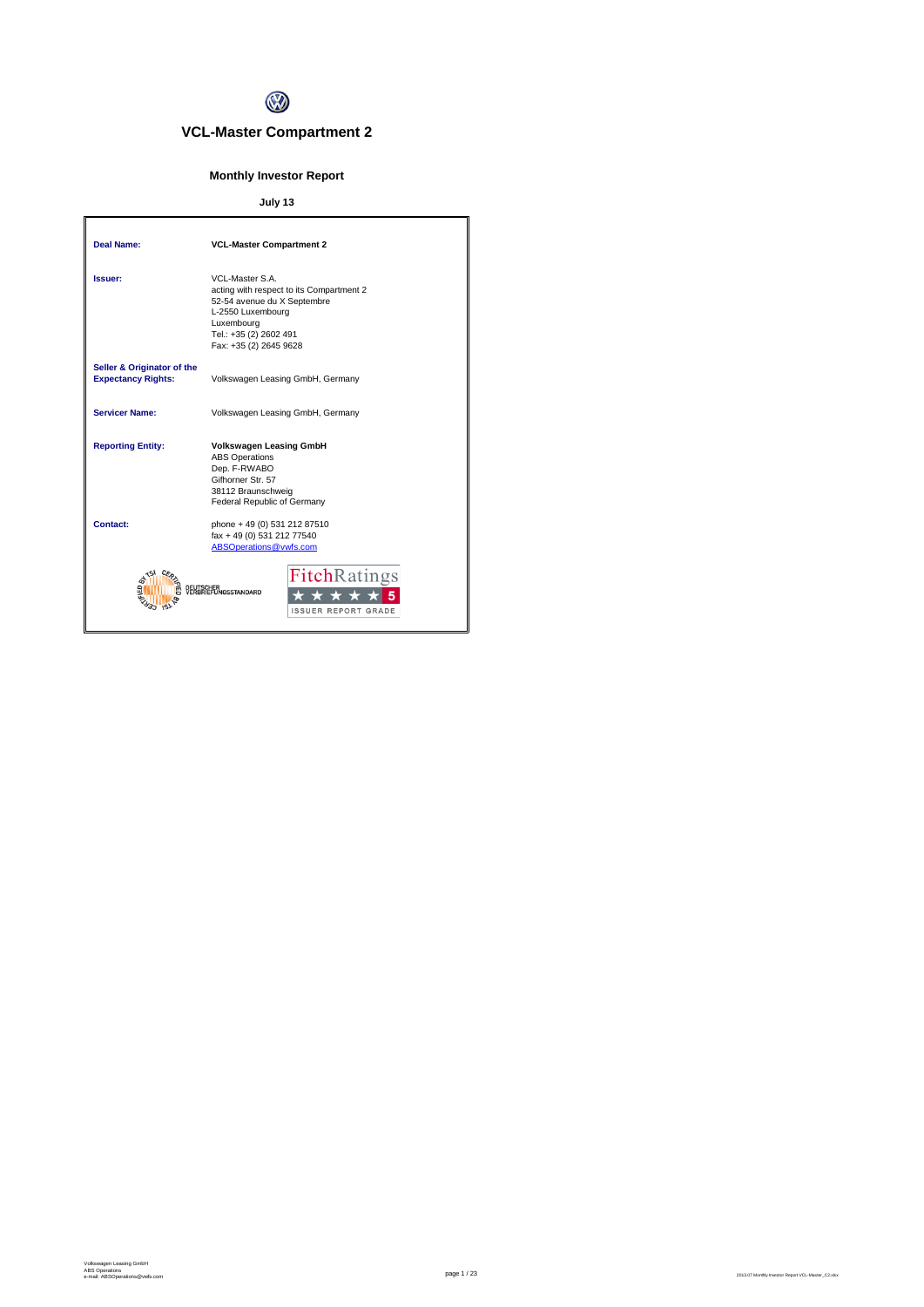

# **VCL-Master Compartment 2**

# **Monthly Investor Report**

# **July 13**

| Deal Name:                                              | <b>VCL-Master Compartment 2</b>                                                                                                                                                   |
|---------------------------------------------------------|-----------------------------------------------------------------------------------------------------------------------------------------------------------------------------------|
| Issuer:                                                 | VCL-Master S.A.<br>acting with respect to its Compartment 2<br>52-54 avenue du X Septembre<br>L-2550 Luxembourg<br>Luxembourg<br>Tel.: +35 (2) 2602 491<br>Fax: +35 (2) 2645 9628 |
| Seller & Originator of the<br><b>Expectancy Rights:</b> | Volkswagen Leasing GmbH, Germany                                                                                                                                                  |
| Servicer Name:                                          | Volkswagen Leasing GmbH, Germany                                                                                                                                                  |
| <b>Reporting Entity:</b>                                | <b>Volkswagen Leasing GmbH</b><br><b>ABS Operations</b><br>Dep. F-RWABO<br>Gifhorner Str. 57<br>38112 Braunschweig<br>Federal Republic of Germany                                 |
| Contact:                                                | phone + 49 (0) 531 212 87510<br>fax + 49 (0) 531 212 77540<br>ABSOperations@vwfs.com                                                                                              |
|                                                         | <b>FitchRatings</b><br><b>ISSUER REPORT GRADE</b>                                                                                                                                 |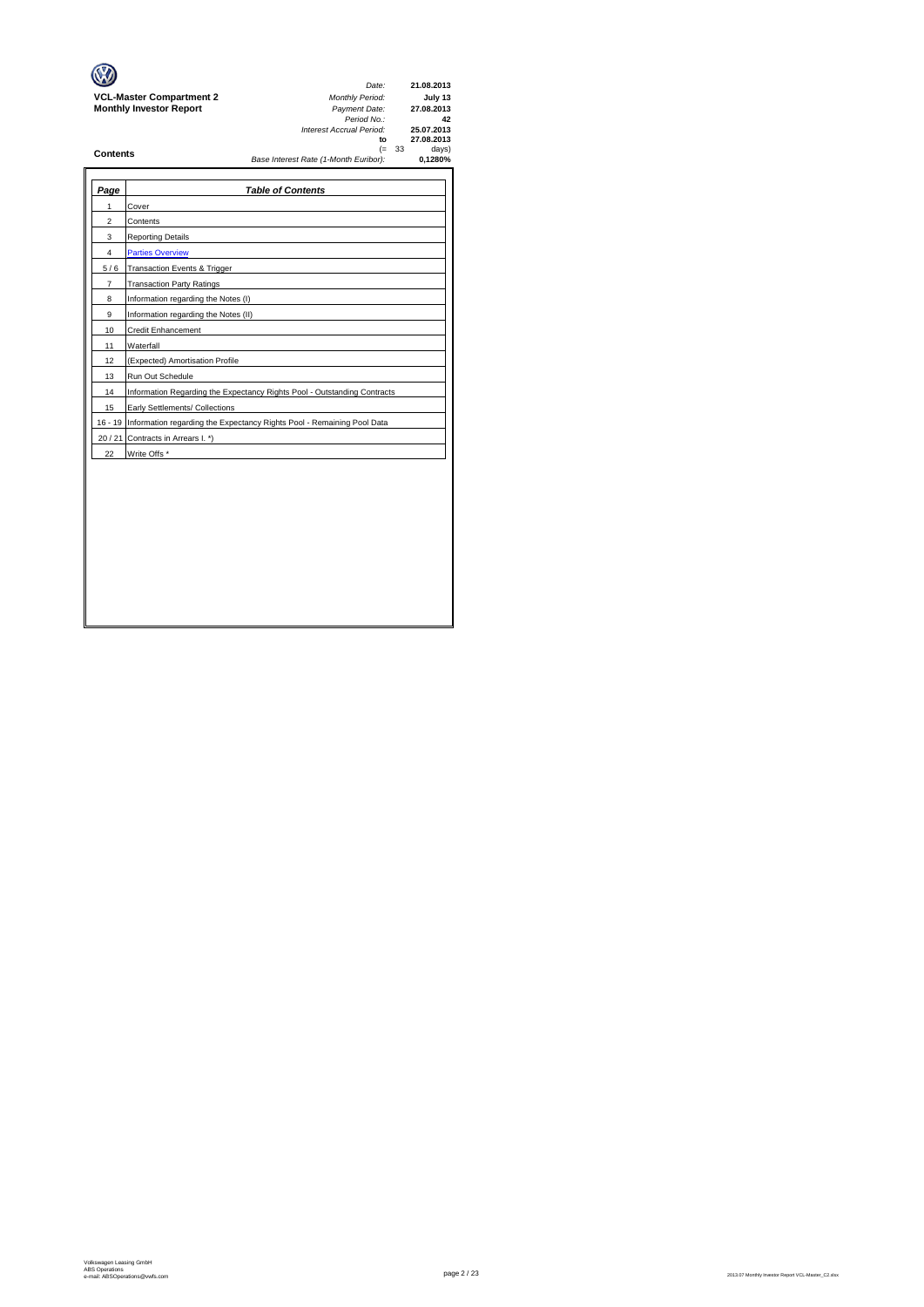|                                 | Date:                                 |     | 21.08.2013               |
|---------------------------------|---------------------------------------|-----|--------------------------|
| <b>VCL-Master Compartment 2</b> | <b>Monthly Period:</b>                |     | July 13                  |
| <b>Monthly Investor Report</b>  | Payment Date:<br>Period No.:          |     | 27.08.2013<br>42         |
|                                 | Interest Accrual Period:<br>to        |     | 25.07.2013<br>27.08.2013 |
| <b>Contents</b>                 | (=                                    | -33 | days)                    |
|                                 | Base Interest Rate (1-Month Euribor): |     | 0.1280%                  |
|                                 |                                       |     |                          |

| Page           | <b>Table of Contents</b>                                                       |
|----------------|--------------------------------------------------------------------------------|
| 1              | Cover                                                                          |
| 2              | Contents                                                                       |
| 3              | <b>Reporting Details</b>                                                       |
| 4              | <b>Parties Overview</b>                                                        |
| 5/6            | Transaction Events & Trigger                                                   |
| $\overline{7}$ | <b>Transaction Party Ratings</b>                                               |
| 8              | Information regarding the Notes (I)                                            |
| 9              | Information regarding the Notes (II)                                           |
| 10             | <b>Credit Enhancement</b>                                                      |
| 11             | Waterfall                                                                      |
| 12             | (Expected) Amortisation Profile                                                |
| 13             | Run Out Schedule                                                               |
| 14             | Information Regarding the Expectancy Rights Pool - Outstanding Contracts       |
| 15             | Early Settlements/ Collections                                                 |
|                | 16 - 19 Information regarding the Expectancy Rights Pool - Remaining Pool Data |
|                | 20 / 21 Contracts in Arrears I. *)                                             |
| 22             | Write Offs *                                                                   |
|                |                                                                                |
|                |                                                                                |
|                |                                                                                |
|                |                                                                                |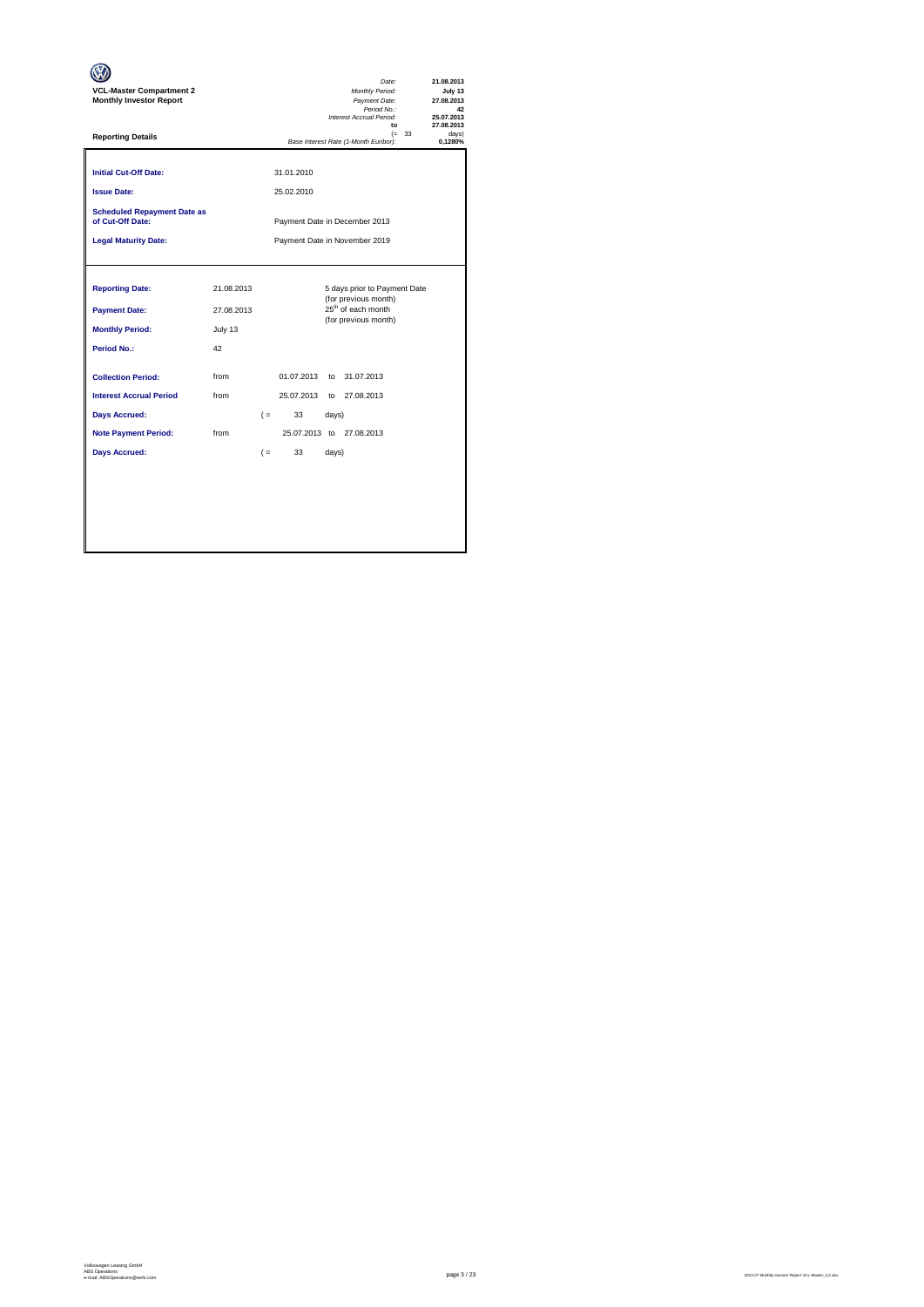| <b>VCL-Master Compartment 2</b><br><b>Monthly Investor Report</b> |            |       |                          |       | Date:<br>Monthly Period:<br>Payment Date:<br>Period No.:<br>Interest Accrual Period:<br>to |          | 21.08.2013<br>July 13<br>27.08.2013<br>42<br>25.07.2013<br>27.08.2013 |
|-------------------------------------------------------------------|------------|-------|--------------------------|-------|--------------------------------------------------------------------------------------------|----------|-----------------------------------------------------------------------|
| <b>Reporting Details</b>                                          |            |       |                          |       | Base Interest Rate (1-Month Euribor):                                                      | $(= 33)$ | davs)<br>0.1280%                                                      |
| <b>Initial Cut-Off Date:</b><br><b>Issue Date:</b>                |            |       | 31.01.2010<br>25.02.2010 |       |                                                                                            |          |                                                                       |
| <b>Scheduled Repayment Date as</b><br>of Cut-Off Date:            |            |       |                          |       | Payment Date in December 2013                                                              |          |                                                                       |
| <b>Legal Maturity Date:</b>                                       |            |       |                          |       | Payment Date in November 2019                                                              |          |                                                                       |
|                                                                   |            |       |                          |       |                                                                                            |          |                                                                       |
| <b>Reporting Date:</b>                                            | 21.08.2013 |       |                          |       | 5 days prior to Payment Date<br>(for previous month)                                       |          |                                                                       |
| <b>Payment Date:</b>                                              | 27.08.2013 |       |                          |       | 25 <sup>th</sup> of each month<br>(for previous month)                                     |          |                                                                       |
| <b>Monthly Period:</b>                                            | July 13    |       |                          |       |                                                                                            |          |                                                                       |
| Period No.:                                                       | 42         |       |                          |       |                                                                                            |          |                                                                       |
| <b>Collection Period:</b>                                         | from       |       | 01.07.2013               | to    | 31.07.2013                                                                                 |          |                                                                       |
| <b>Interest Accrual Period</b>                                    | from       |       | 25.07.2013               |       | to 27.08.2013                                                                              |          |                                                                       |
| <b>Days Accrued:</b>                                              |            | $($ = | 33                       | days) |                                                                                            |          |                                                                       |
| <b>Note Payment Period:</b>                                       | from       |       |                          |       | 25.07.2013 to 27.08.2013                                                                   |          |                                                                       |
| <b>Days Accrued:</b>                                              |            | $($ = | 33                       | days) |                                                                                            |          |                                                                       |
|                                                                   |            |       |                          |       |                                                                                            |          |                                                                       |
|                                                                   |            |       |                          |       |                                                                                            |          |                                                                       |
|                                                                   |            |       |                          |       |                                                                                            |          |                                                                       |
|                                                                   |            |       |                          |       |                                                                                            |          |                                                                       |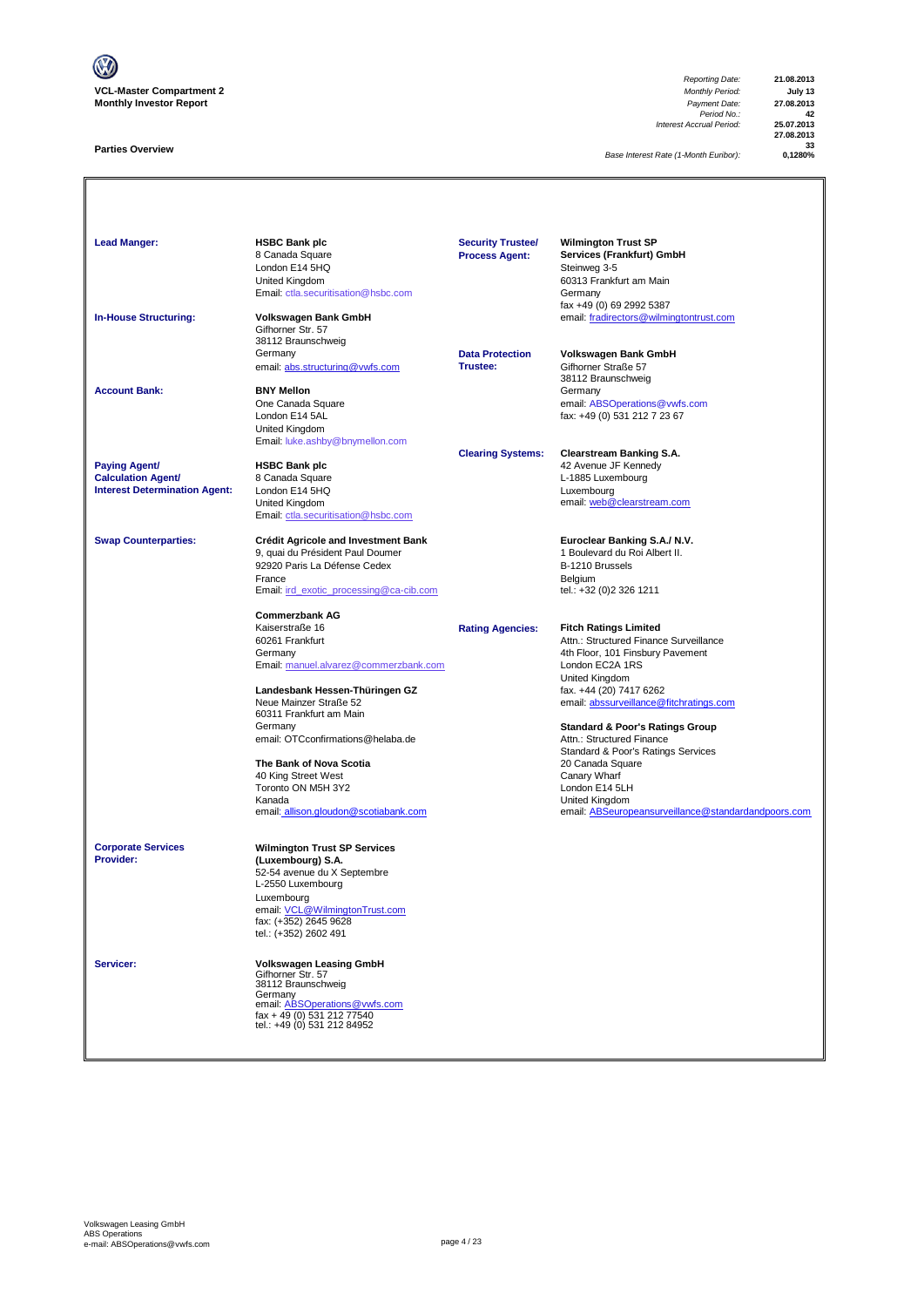

### **Parties Overview**

*Reporting Date:* **21.08.2013** *Payment Date:* **27.08.2013**<br> *Period No.:* **42**<br> *Accrual Period:* **25.07.2013** *Interest Accrual Period:* **25.07.2013**

**27.08.2013** 33<br>1280% **0** 

*Base Interest Rate (1-Month Euribor):* **0,1280%**

Lead Manger: **Manger: HSBC Bank plc Wilmington Trust SP** 8 Canada Square **Services (Frankfurt) GmbH**<br> **Rocess Agent:** Services (Frankfurt) GmbH<br>
Steinweg 3-5 London E14 5HQ Steinweg 3-5 Summay 2<br>60313 Frankfurt am Main<br>Germany [Email: ctla.securitisation@hsbc.com](mailto:ctla.securitisation@hsbc.com) fax +49 (0) 69 2992 5387 **In-House Structuring: Volkswagen Bank GmbH** email: fradirectors@wilmingtontrust.com Gifhorner Str. 57 38112 Braunschweig<br>Germany **Data Protection Volkswagen Bank GmbH**<br>**Trustee:** Gifhorner Straße 57 email: abs.structuring@vwfs.com 38112 Braunschweig **Account Bank: BNY Mellon**<br>
One Canada Square One Canada Square email: ABSOperations@vwfs.com London E14 5AL fax: +49 (0) 531 212 7 23 67 United Kingdom [Email: luke.ashby@bnymellon.com](mailto:ctla.securitisation@hsbc.com) **Clearing Systems: Clearstream Banking S.A. Paying Agent/ HSBC Bank plc All and Account 1999 12 Avenue JF Kennedy Calculation Agent/** 8 Canada Square **Calculation Agent/ Business Agent/ Business Agent/ Canada Square Calculation Agent/ Canada Square Calculation Agent/ Canada Square Canada Square Calculation Agent/ Interest Determination Agent:** London E14 5HQ<br>United Kingdom United Kingdom email: <u>web @clearstream.com</u> [Email: ctla.securitisation@hsbc.com](mailto:ctla.securitisation@hsbc.com) **Swap Counterparties: Crédit Agricole and Investment Bank Euroclear Banking S.A./ N.V.**<br>9, quai du Président Paul Doumer **1996** 1 Boulevard du Roi Albert II. 9, quai du Président Paul Doumer 1 au 1000 et du Roi du Roi Albert II.<br>1 Boulevard du Franç II.<br>1 B-1210 Brussels 92920 Paris La Défense Cedex B-1210 Brussels<br>
France Belgium<br>
Email: <u>ird exotic processing@ca-cib.com</u> B-1211 entities tel.: +32 (0)2 326 1211 France Belgium [Email: ird\\_exotic\\_processing@ca-cib.com](mailto:ctla.securitisation@hsbc.com) tel.: +32 (0)2 326 1211 **Commerzbank AG** Kaiserstraße 16 **Rating Agencies: Fitch Ratings Limited** 60261 Frankfurt Attn.: Structured Finance Surveillance 4th Floor, 101 Finsbury Pavement [Email: manuel.alvarez@commerzbank.com](mailto:ctla.securitisation@hsbc.com) London EC2A 1RS United Kingdom<br>fax. +44 (20) 7417 6262 **Landesbank Hessen-Thüringen GZ**<br>Neue Mainzer Straße 52 [email: abssurveillance@fitchratings.com](mailto:abssurveillance@fitchratings.com) 60311 Frankfurt am Main **Standard & Poor's Ratings Group**<br>Attn.: Structured Finance email: OTCconfirmations@helaba.de Standard & Poor's Ratings Services<br>20 Canada Square **The Bank of Nova Scotia** 20 Canada Square 20 Canada Square 20 Canada Square 20 Canada Square 20 Canada Square 20 Canada Square 20 Canada Square 20 Canada Square 20 Canada Square 20 Canada Square 20 Canada Square 20 Canada 40 King Street West Canary Wharf Canary Wharf Canary What Canary What Canary What Canary What Canary What Canary What Canary What Canary What Canary What Canary What Canary What Canary Canary Canary Canary Canary Canary Ca Toronto ON M5H 3Y2 Kanada<br>
Expansification of the Company of the United Kingdom<br>
Expansification of the Seurope of the Company of the Company of the Company of the Company of the Company of the Company of the Company of the Company of the Co email: allison.gloudon@scotiabank.com email: ABSeuropeansurveillance@standardandpoors.com **Corporate Services Wilmington Trust SP Services Provider: (Luxembourg) S.A.** 52-54 avenue du X Septembre L-2550 Luxembourg Luxembourg email: VCL@WilmingtonTrust.com fax: (+352) 2645 9628 tel.: (+352) 2602 491 **Servicer: Volkswagen Leasing GmbH** Gifhorner Str. 57 38112 Braunschweig Germany<br>email: <u>ABSOperations@vwfs.com</u><br>fax + 49 (0) 531 212 77540<br>tel.: +49 (0) 531 212 84952 **Security Trustee/ Process Agent:**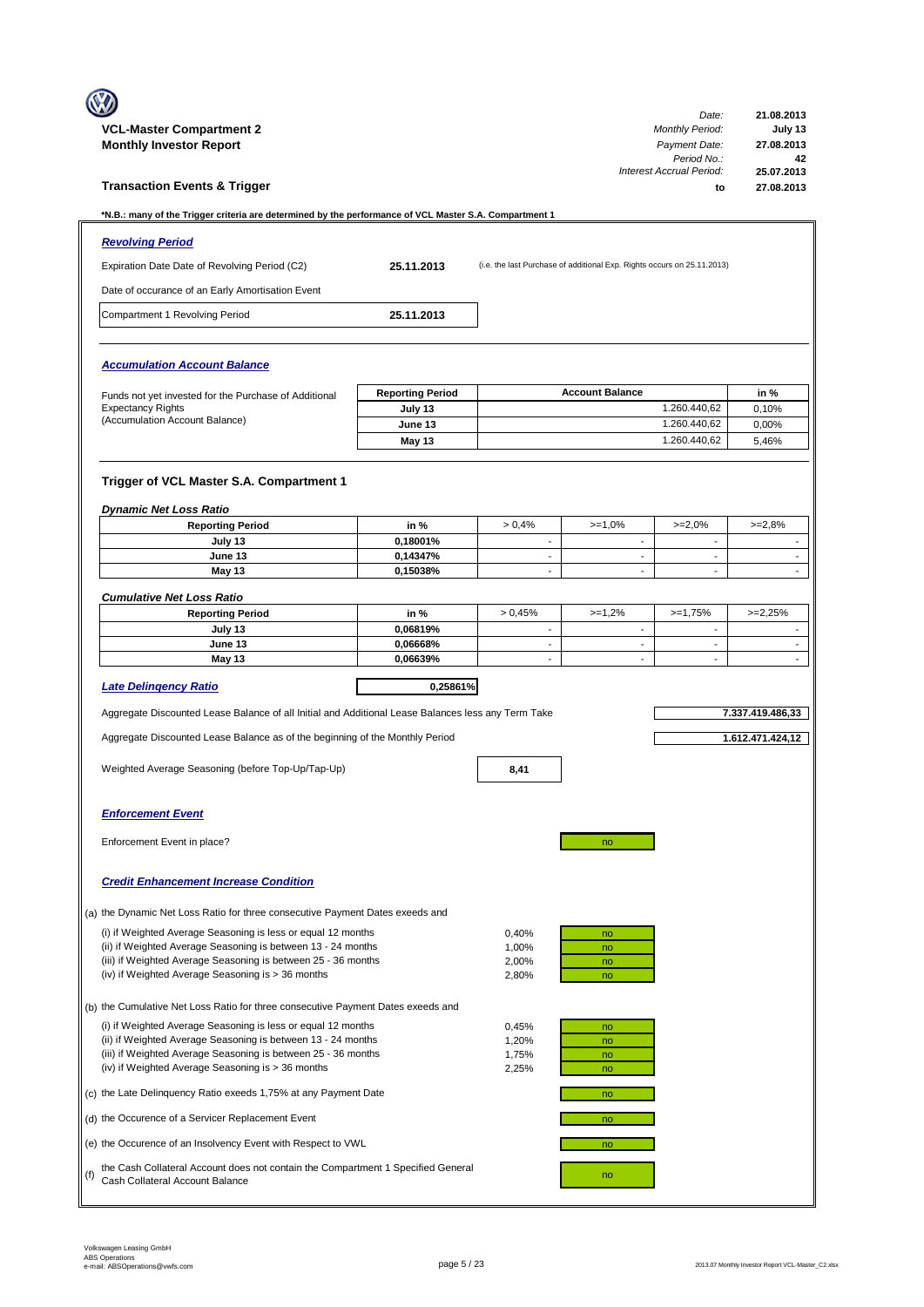|                                                                                  | <b>VCL-Master Compartment 2</b>                                                                                                                                                    |                         |                                                      |                                                                         | Date:<br><b>Monthly Period:</b>  | 21.08.2013<br>July 13                                |  |
|----------------------------------------------------------------------------------|------------------------------------------------------------------------------------------------------------------------------------------------------------------------------------|-------------------------|------------------------------------------------------|-------------------------------------------------------------------------|----------------------------------|------------------------------------------------------|--|
|                                                                                  | <b>Monthly Investor Report</b>                                                                                                                                                     |                         |                                                      |                                                                         | Payment Date:<br>Period No.:     | 27.08.2013<br>42                                     |  |
|                                                                                  | <b>Transaction Events &amp; Trigger</b>                                                                                                                                            |                         |                                                      |                                                                         | Interest Accrual Period:<br>to   | 25.07.2013<br>27.08.2013                             |  |
|                                                                                  | *N.B.: many of the Trigger criteria are determined by the performance of VCL Master S.A. Compartment 1                                                                             |                         |                                                      |                                                                         |                                  |                                                      |  |
|                                                                                  | <b>Revolving Period</b>                                                                                                                                                            |                         |                                                      |                                                                         |                                  |                                                      |  |
|                                                                                  | Expiration Date Date of Revolving Period (C2)                                                                                                                                      | 25.11.2013              |                                                      | (i.e. the last Purchase of additional Exp. Rights occurs on 25.11.2013) |                                  |                                                      |  |
|                                                                                  | Date of occurance of an Early Amortisation Event                                                                                                                                   |                         |                                                      |                                                                         |                                  |                                                      |  |
|                                                                                  |                                                                                                                                                                                    |                         |                                                      |                                                                         |                                  |                                                      |  |
|                                                                                  | Compartment 1 Revolving Period                                                                                                                                                     | 25.11.2013              |                                                      |                                                                         |                                  |                                                      |  |
|                                                                                  | <b>Accumulation Account Balance</b>                                                                                                                                                |                         |                                                      |                                                                         |                                  |                                                      |  |
|                                                                                  | Funds not yet invested for the Purchase of Additional                                                                                                                              | <b>Reporting Period</b> |                                                      | <b>Account Balance</b>                                                  |                                  | in %                                                 |  |
|                                                                                  | <b>Expectancy Rights</b><br>(Accumulation Account Balance)                                                                                                                         | July 13<br>June 13      |                                                      |                                                                         | 1.260.440,62<br>1.260.440,62     | 0.10%<br>0.00%                                       |  |
|                                                                                  |                                                                                                                                                                                    | May 13                  |                                                      |                                                                         | 1.260.440,62                     | 5,46%                                                |  |
|                                                                                  |                                                                                                                                                                                    |                         |                                                      |                                                                         |                                  |                                                      |  |
|                                                                                  | Trigger of VCL Master S.A. Compartment 1<br><b>Dynamic Net Loss Ratio</b>                                                                                                          |                         |                                                      |                                                                         |                                  |                                                      |  |
|                                                                                  | <b>Reporting Period</b>                                                                                                                                                            | in %                    | > 0.4%                                               | $>=1,0%$                                                                | $>=2,0%$                         | $>=2,8%$                                             |  |
|                                                                                  | July 13<br>June 13                                                                                                                                                                 | 0.18001%<br>0,14347%    | $\overline{\phantom{a}}$<br>$\overline{a}$           | $\overline{\phantom{a}}$                                                | ٠<br>$\overline{\phantom{a}}$    | $\overline{\phantom{a}}$<br>$\overline{\phantom{a}}$ |  |
|                                                                                  | May 13                                                                                                                                                                             | 0,15038%                | $\blacksquare$                                       | $\sim$                                                                  | $\blacksquare$                   | $\sim$                                               |  |
|                                                                                  | <b>Cumulative Net Loss Ratio</b>                                                                                                                                                   |                         |                                                      |                                                                         |                                  |                                                      |  |
|                                                                                  | <b>Reporting Period</b>                                                                                                                                                            | in %                    | > 0.45%                                              | $>=1,2%$                                                                | $>=1,75%$                        | $>=2,25%$                                            |  |
|                                                                                  | July 13<br>June 13                                                                                                                                                                 | 0,06819%<br>0,06668%    | $\overline{\phantom{a}}$<br>$\overline{\phantom{a}}$ | $\overline{\phantom{a}}$<br>$\overline{\phantom{a}}$                    | $\blacksquare$<br>$\blacksquare$ | $\overline{\phantom{a}}$<br>$\overline{\phantom{a}}$ |  |
|                                                                                  | May 13                                                                                                                                                                             | 0,06639%                | $\blacksquare$                                       |                                                                         | $\blacksquare$                   | $\sim$                                               |  |
|                                                                                  | <b>Late Delingency Ratio</b>                                                                                                                                                       | 0,25861%                |                                                      |                                                                         |                                  |                                                      |  |
|                                                                                  | Aggregate Discounted Lease Balance of all Initial and Additional Lease Balances less any Term Take                                                                                 |                         |                                                      |                                                                         |                                  | 7.337.419.486,33                                     |  |
|                                                                                  | Aggregate Discounted Lease Balance as of the beginning of the Monthly Period                                                                                                       |                         |                                                      |                                                                         |                                  | 1.612.471.424,12                                     |  |
|                                                                                  | Weighted Average Seasoning (before Top-Up/Tap-Up)                                                                                                                                  |                         | 8,41                                                 |                                                                         |                                  |                                                      |  |
|                                                                                  | <b>Enforcement Event</b>                                                                                                                                                           |                         |                                                      |                                                                         |                                  |                                                      |  |
|                                                                                  | Enforcement Event in place?                                                                                                                                                        |                         |                                                      | no                                                                      |                                  |                                                      |  |
|                                                                                  | <b>Credit Enhancement Increase Condition</b>                                                                                                                                       |                         |                                                      |                                                                         |                                  |                                                      |  |
|                                                                                  | (a) the Dynamic Net Loss Ratio for three consecutive Payment Dates exeeds and                                                                                                      |                         |                                                      |                                                                         |                                  |                                                      |  |
|                                                                                  | (i) if Weighted Average Seasoning is less or equal 12 months                                                                                                                       |                         | 0,40%                                                | no                                                                      |                                  |                                                      |  |
|                                                                                  | (ii) if Weighted Average Seasoning is between 13 - 24 months<br>(iii) if Weighted Average Seasoning is between 25 - 36 months                                                      | 1,00%<br>2,00%          | no<br>no                                             |                                                                         |                                  |                                                      |  |
|                                                                                  | (iv) if Weighted Average Seasoning is > 36 months                                                                                                                                  | 2,80%                   | no                                                   |                                                                         |                                  |                                                      |  |
| (b) the Cumulative Net Loss Ratio for three consecutive Payment Dates exeeds and |                                                                                                                                                                                    |                         |                                                      |                                                                         |                                  |                                                      |  |
|                                                                                  | (i) if Weighted Average Seasoning is less or equal 12 months                                                                                                                       |                         | 0,45%                                                | no                                                                      |                                  |                                                      |  |
|                                                                                  | (ii) if Weighted Average Seasoning is between 13 - 24 months<br>(iii) if Weighted Average Seasoning is between 25 - 36 months<br>(iv) if Weighted Average Seasoning is > 36 months | 1,20%<br>1,75%<br>2,25% | no<br>no<br>no                                       |                                                                         |                                  |                                                      |  |
|                                                                                  | (c) the Late Delinquency Ratio exeeds 1,75% at any Payment Date                                                                                                                    |                         | no                                                   |                                                                         |                                  |                                                      |  |
|                                                                                  | (d) the Occurence of a Servicer Replacement Event                                                                                                                                  |                         |                                                      | no                                                                      |                                  |                                                      |  |
|                                                                                  | (e) the Occurence of an Insolvency Event with Respect to VWL                                                                                                                       |                         |                                                      | no                                                                      |                                  |                                                      |  |
|                                                                                  | the Cash Collateral Account does not contain the Compartment 1 Specified General                                                                                                   |                         |                                                      |                                                                         |                                  |                                                      |  |
| (f)                                                                              | Cash Collateral Account Balance                                                                                                                                                    |                         |                                                      | no                                                                      |                                  |                                                      |  |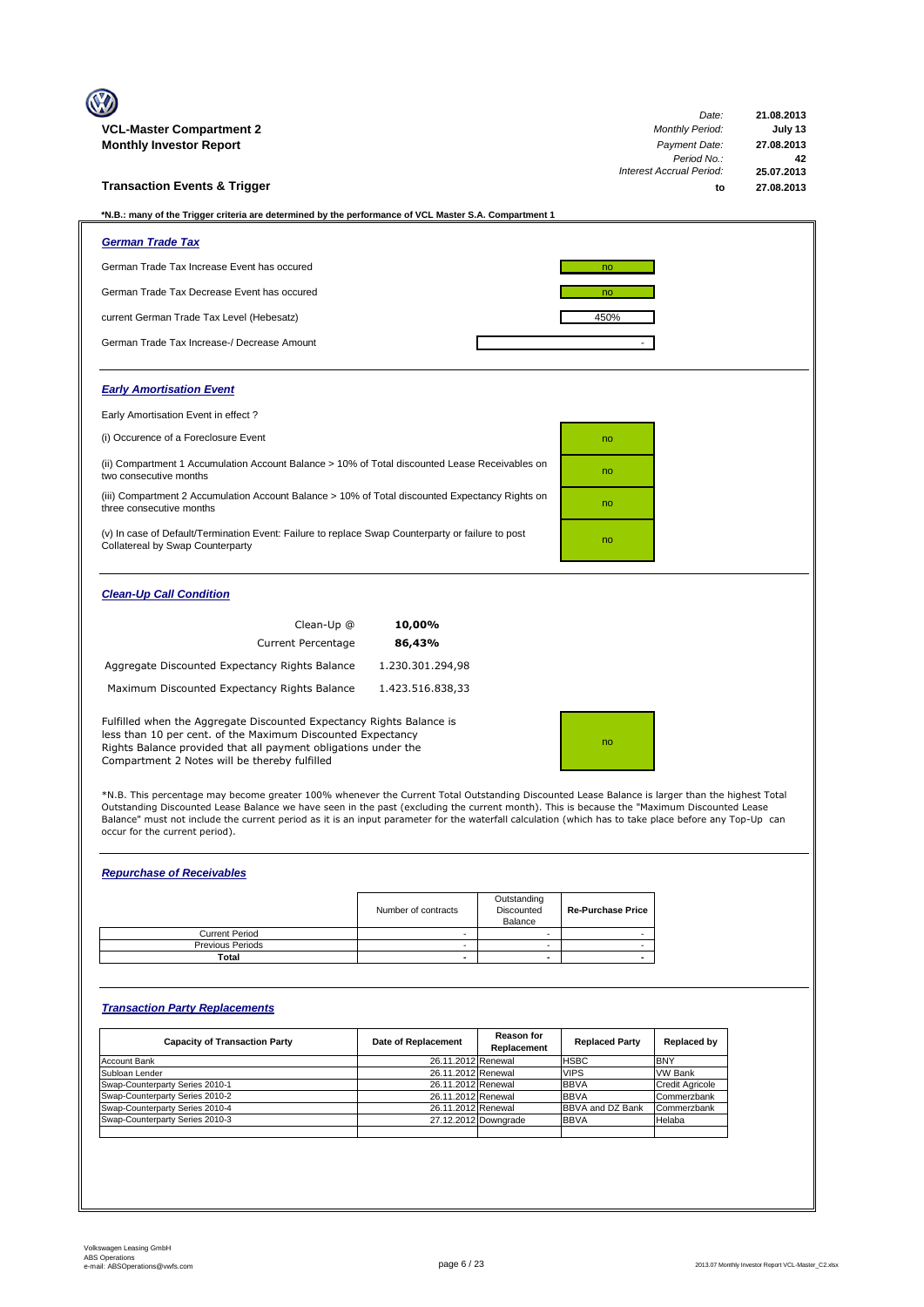| <b>VCL-Master Compartment 2</b>                                                                                                                                                                                                                        |                                                                                                   | Date:<br><b>Monthly Period:</b> | 21.08.2013<br>July 13 |  |  |  |
|--------------------------------------------------------------------------------------------------------------------------------------------------------------------------------------------------------------------------------------------------------|---------------------------------------------------------------------------------------------------|---------------------------------|-----------------------|--|--|--|
| <b>Monthly Investor Report</b>                                                                                                                                                                                                                         | Payment Date:                                                                                     | 27.08.2013                      |                       |  |  |  |
|                                                                                                                                                                                                                                                        |                                                                                                   | Period No.:                     | 42                    |  |  |  |
|                                                                                                                                                                                                                                                        |                                                                                                   | Interest Accrual Period:        | 25.07.2013            |  |  |  |
| <b>Transaction Events &amp; Trigger</b>                                                                                                                                                                                                                |                                                                                                   | to                              | 27.08.2013            |  |  |  |
| *N.B.: many of the Trigger criteria are determined by the performance of VCL Master S.A. Compartment 1                                                                                                                                                 |                                                                                                   |                                 |                       |  |  |  |
| <b>German Trade Tax</b>                                                                                                                                                                                                                                |                                                                                                   |                                 |                       |  |  |  |
| German Trade Tax Increase Event has occured                                                                                                                                                                                                            |                                                                                                   | no                              |                       |  |  |  |
| German Trade Tax Decrease Event has occured                                                                                                                                                                                                            |                                                                                                   | no                              |                       |  |  |  |
| current German Trade Tax Level (Hebesatz)                                                                                                                                                                                                              |                                                                                                   | 450%                            |                       |  |  |  |
| German Trade Tax Increase-/ Decrease Amount                                                                                                                                                                                                            |                                                                                                   |                                 |                       |  |  |  |
| <b>Early Amortisation Event</b>                                                                                                                                                                                                                        |                                                                                                   |                                 |                       |  |  |  |
| Early Amortisation Event in effect?                                                                                                                                                                                                                    |                                                                                                   |                                 |                       |  |  |  |
| (i) Occurence of a Foreclosure Event                                                                                                                                                                                                                   |                                                                                                   | no                              |                       |  |  |  |
| (ii) Compartment 1 Accumulation Account Balance > 10% of Total discounted Lease Receivables on<br>two consecutive months                                                                                                                               |                                                                                                   | no                              |                       |  |  |  |
| (iii) Compartment 2 Accumulation Account Balance > 10% of Total discounted Expectancy Rights on<br>three consecutive months                                                                                                                            |                                                                                                   | no                              |                       |  |  |  |
| Collatereal by Swap Counterparty                                                                                                                                                                                                                       | (v) In case of Default/Termination Event: Failure to replace Swap Counterparty or failure to post |                                 |                       |  |  |  |
| <b>Clean-Up Call Condition</b>                                                                                                                                                                                                                         |                                                                                                   |                                 |                       |  |  |  |
| Clean-Up @                                                                                                                                                                                                                                             | 10,00%                                                                                            |                                 |                       |  |  |  |
| <b>Current Percentage</b>                                                                                                                                                                                                                              | 86,43%                                                                                            |                                 |                       |  |  |  |
| Aggregate Discounted Expectancy Rights Balance                                                                                                                                                                                                         | 1.230.301.294,98                                                                                  |                                 |                       |  |  |  |
| Maximum Discounted Expectancy Rights Balance                                                                                                                                                                                                           | 1.423.516.838,33                                                                                  |                                 |                       |  |  |  |
| Fulfilled when the Aggregate Discounted Expectancy Rights Balance is<br>less than 10 per cent. of the Maximum Discounted Expectancy<br>Rights Balance provided that all payment obligations under the<br>Compartment 2 Notes will be thereby fulfilled | no                                                                                                |                                 |                       |  |  |  |

\*N.B. This percentage may become greater 100% whenever the Current Total Outstanding Discounted Lease Balance is larger than the highest Total<br>Outstanding Discounted Lease Balance we have seen in the past (excluding the cu Balance" must not include the current period as it is an input parameter for the waterfall calculation (which has to take place before any Top-Up can occur for the current period).

### *Repurchase of Receivables*

|                         | Number of contracts | Outstanding<br>Discounted<br>Balance | <b>Re-Purchase Price</b> |
|-------------------------|---------------------|--------------------------------------|--------------------------|
| <b>Current Period</b>   |                     |                                      |                          |
| <b>Previous Periods</b> |                     |                                      |                          |
| Total                   | -                   |                                      |                          |

### *Transaction Party Replacements*

| <b>Capacity of Transaction Party</b> | Date of Replacement | <b>Reason for</b><br>Replacement | <b>Replaced Party</b>   | Replaced by            |
|--------------------------------------|---------------------|----------------------------------|-------------------------|------------------------|
| <b>Account Bank</b>                  | 26.11.2012 Renewal  |                                  | <b>HSBC</b>             | <b>BNY</b>             |
| Subloan Lender                       | 26.11.2012 Renewal  |                                  | <b>VIPS</b>             | <b>VW Bank</b>         |
| Swap-Counterparty Series 2010-1      | 26.11.2012 Renewal  |                                  | <b>BBVA</b>             | <b>Credit Agricole</b> |
| Swap-Counterparty Series 2010-2      | 26.11.2012 Renewal  |                                  | <b>BBVA</b>             | Commerzbank            |
| Swap-Counterparty Series 2010-4      | 26.11.2012 Renewal  |                                  | <b>BBVA and DZ Bank</b> | Commerzbank            |
| Swap-Counterparty Series 2010-3      |                     | 27.12.2012 Downgrade             | <b>BBVA</b>             | Helaba                 |
|                                      |                     |                                  |                         |                        |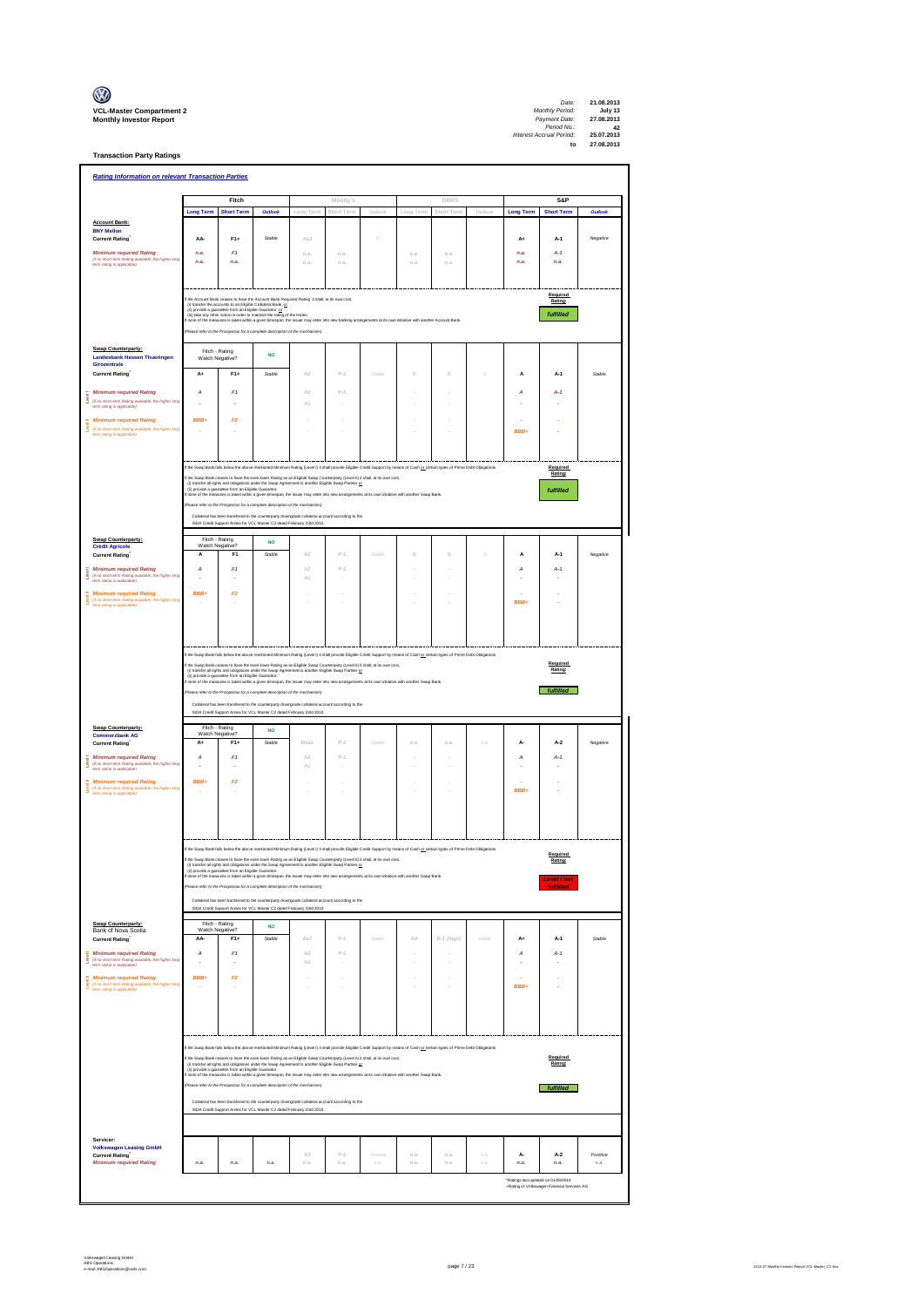| $\mathbb{C}$                                                      |
|-------------------------------------------------------------------|
| <b>VCL-Master Compartment</b> :<br><b>Monthly Investor Report</b> |

**Transaction Party Ratings**

| DBRS<br>Fitch<br>S&P<br>Moody's<br>Outlook<br>Outlook<br>Outlook<br><b>Long Term</b><br><b>Short Term</b><br>Long Term<br>Short Term<br>Long Term<br>Short Term<br>Outlook<br><b>Long Term</b><br><b>Short Term</b><br><b>Account Bank:</b><br><b>BNY Mellon</b><br>$F1+$<br><b>Current Rating</b><br>AA-<br>Stable<br>Aa3<br>D<br>$A+$<br>$A-1$<br>Negative<br><b>Minimum required Rating</b><br>n.a.<br>F1<br>n.a.<br>$A-1$<br>n.a<br>n.a.<br>n.a<br>n.a<br>(if no short term Rating available, the higher long<br>n.a.<br>n.a.<br>n.a.<br>n.a.<br>n.a.<br>n.a.<br>n.a.<br>n.a.<br>.<br>term ration is anniicable)<br>Required<br>the Account Bank ceases to have the Account Bank Required Rating it shall, at its own cost,<br>Rating:<br>(i) transfer the accounts to an Eligible Collateral Bank, or<br>(ii) provide a guarantee from an Eligible Guaranter, or<br>fulfilled<br>(ii) take any other action in order to maintain the rating of the Notes.<br>ne of the measures is taken within a given timespan, the Issuer may enter into new banking arrangements at its own initiative with another Account Bank<br>lease refer to the Prospectus for a complete description of the mechanism)<br>Swap Counterparty:<br>Fitch - Rating<br><b>NO</b><br>Landesbank Hessen Thueringen<br>Watch Negative?<br>Girozentrale<br>$F1+$<br><b>Current Rating</b><br>$A+$<br>Stable<br>A2<br>$P-1$<br>Stable<br>$\theta$<br>$\begin{array}{c} 0 \\ 0 \end{array}$<br>$\theta$<br>A<br>$A-1$<br>Stable<br><b>Minimum required Rating</b><br>F1<br>$P-1$<br>A<br>A2<br>А<br>$A-1$<br>Ī<br>(if no short term Rating available, the higher long<br>A1<br>term rating is applicable)<br><b>Minimum required Rating</b><br>BBB+<br>F2<br>(if no short term Rating available, the higher long<br>BBB+<br>term rating is applicable)<br>f the Swap Bank falls below the above mentioned Minimum Rating (Level I) it shall provide Eligible Credit Support by means of Cash or certain types of Prime Debt Obligations<br>Required<br>Rating:<br>f the Swap Bank ceases to have the even lower Rating as an Eligible Swap Counterparty (Level II) it shall, at its own cost.<br>the United States and obligations under the Swap Agreement to another Eligible Swap Partner or<br>(i) transfer all rights and obligations under the Swap Agreement to another Eligible Swap Partner or (ii)<br>fulfilled<br>none of the measures is taken within a given timespan, the Issuer may enter into new arrangements at its own initiative with another Swap Bank<br>se refer to the Prospectus for a complete description of the mechanism)<br>Collateral has been transfered to the counterparty downgrade collateral account according to the<br>ISDA Credit Support Annex for VCL Master C2 dated February 23rd 2010.<br><b>Swap Counterparty:</b><br>Fitch - Rating<br><b>NO</b><br>Watch Negative?<br><b>Crédit Agricole</b><br>Stable<br>F <sub>1</sub><br>A <sub>2</sub><br>$P-1$<br>Stable<br>$\mathbb O$<br>Ò<br>Negative<br>$\theta$<br>A<br><b>Current Rating</b><br>А<br>A-1<br><b>Minimum required Rating</b><br>F1<br>$P-1$<br>А<br>A2<br>А<br>$A-1$<br>š<br>(if no short term Rating available, the higher long<br>$\mathbb{A}1$<br>term rating is applicable)<br>BBB+<br>F <sub>2</sub><br><b>Minimum required Rating</b><br>ţ<br>(if no short term Rating available, the higher long<br>term rating is applicable)<br><b>RRR</b><br>t the Swap Bank falls below the above mentioned Minimum Rating (Level I) it shall provide Eligible Credit Support by means of Cash or certain types of Prime Debt Obligations<br>Required<br>the Swap Bank ceases to have the even lower Rading as an Eligible Swap Counterparty (Level II) it shall, at its own cost,<br>(i) transfer all rights and obligations under the Swap Agreement to another Eligible Swap Partner or<br>Rating:<br>(ii) provide a guarantee from an Eligible Guaranter.<br>one of the measures is taken within a given timespan, the Issuer may enter into new arrangements at its own initiative with another Swap Bank<br>fulfilled<br>Vease refer to the Prospectus for a complete description of the mechanism)<br>Collateral has been transfered to the counterparty downgrade collateral account according to the<br>ISDA Credit Support Annex for VCL Master C2 dated February 23rd 2010.<br>Swap Counterparty:<br>Fitch - Rating<br><b>NO</b><br>Watch Negative?<br><b>Commerzbank AG</b><br>$F1+$<br>Stable<br><b>Current Rating</b><br>A+<br>Baa1<br>$P-2$<br>Stable<br>n.a<br>A.<br>$A-2$<br>Negative<br>n.a<br>na<br><b>Minimum required Rating</b><br>F1<br>A2<br>$P-1$<br>А<br>А<br>$A-1$<br>(if no short term Rating available, the higher long<br>$\mathbb{A}1$<br>term rating is applicable)<br><b>Minimum required Rating</b><br>BBB+<br>F2<br>(if no short term Rating available, the higher long<br>term rating is applicable)<br><b>RRR</b><br>t the Swap Bank falls below the above mentioned Minimum Rating (Level I) it shall provide Eligible Credit Support by means of Cash or certain types of Prime Debt Obligations<br>Required<br>If the Swap Bank ceases to have the even lower Rating as an Eligible Swap Counterparty (Level II) it shall, at its own cost,<br>Rating:<br>(i) transfer all rights and obligations under the Swap Agreement to another Eligible Swap Partner or<br>(ii) provide a guarantee from an Eligible Guaranter.<br>none of the measures is taken within a given timespan, the Issuer ma<br>Level I noi<br>.<br>Please refer to the Prospectus for a complete description of the mechanism)<br><b>fulfilled</b><br>Collateral has been transfered to the counterparty downgrade collateral account according to the<br>ISDA Credit Support Annex for VCL Master C2 dated February 23rd 2010.<br>Swap Counterparty:<br>Fitch - Rating<br><b>NO</b><br>Bank of Nova Scotia<br>Watch Negative?<br>Stable<br>AA-<br>F <sub>1+</sub><br>Aa2<br>$P-1$<br>Stable<br>R-1 (high)<br>stable<br>Stable<br>Current Rating<br>AA<br>A+<br>A-1<br><b>Minimum required Rating</b><br>F1<br>A2<br>$P-1$<br>А<br>А<br>$A-1$<br>ş<br>(if no short term Rating available, the higher long<br>term rating is applicable)<br>ŝ<br>$\mathbb{A}\mathbb{1}$<br><b>Minimum required Rating</b><br>BBB+<br>F <sub>2</sub><br>(if no short term Rating available, the higher long<br>term rating is applicable)<br>BBB+<br>the Swap Bank falls below the above mentioned Minimum Rating (Level I) it shall provide Eligible Credit Support by means of Cash or certain types of Prime Debt Obligations<br>Required<br>f the Swap Bank ceases to have the even lower Rating as an Eligible Swap Counterparty (Level II) it shall, at its own cost,<br>(i) transfer all rights and obligations under the Swap Agreement to another Eligible Swap Partner or<br>Rating:<br>(ii) provide a guarantee from an Eligible Guaranter.<br>none of the measures is taken within a given timespan, the Issuer may enter into new arrangements at its own initiative with another Swap Bank.<br>Please refer to the Prospectus for a complete description of the mechanism)<br>fulfilled | <b>Rating Information on relevant Transaction Parties</b> |      |      |      |            |               |                    |              |              |                |                                     |                                             |                  |
|--------------------------------------------------------------------------------------------------------------------------------------------------------------------------------------------------------------------------------------------------------------------------------------------------------------------------------------------------------------------------------------------------------------------------------------------------------------------------------------------------------------------------------------------------------------------------------------------------------------------------------------------------------------------------------------------------------------------------------------------------------------------------------------------------------------------------------------------------------------------------------------------------------------------------------------------------------------------------------------------------------------------------------------------------------------------------------------------------------------------------------------------------------------------------------------------------------------------------------------------------------------------------------------------------------------------------------------------------------------------------------------------------------------------------------------------------------------------------------------------------------------------------------------------------------------------------------------------------------------------------------------------------------------------------------------------------------------------------------------------------------------------------------------------------------------------------------------------------------------------------------------------------------------------------------------------------------------------------------------------------------------------------------------------------------------------------------------------------------------------------------------------------------------------------------------------------------------------------------------------------------------------------------------------------------------------------------------------------------------------------------------------------------------------------------------------------------------------------------------------------------------------------------------------------------------------------------------------------------------------------------------------------------------------------------------------------------------------------------------------------------------------------------------------------------------------------------------------------------------------------------------------------------------------------------------------------------------------------------------------------------------------------------------------------------------------------------------------------------------------------------------------------------------------------------------------------------------------------------------------------------------------------------------------------------------------------------------------------------------------------------------------------------------------------------------------------------------------------------------------------------------------------------------------------------------------------------------------------------------------------------------------------------------------------------------------------------------------------------------------------------------------------------------------------------------------------------------------------------------------------------------------------------------------------------------------------------------------------------------------------------------------------------------------------------------------------------------------------------------------------------------------------------------------------------------------------------------------------------------------------------------------------------------------------------------------------------------------------------------------------------------------------------------------------------------------------------------------------------------------------------------------------------------------------------------------------------------------------------------------------------------------------------------------------------------------------------------------------------------------------------------------------------------------------------------------------------------------------------------------------------------------------------------------------------------------------------------------------------------------------------------------------------------------------------------------------------------------------------------------------------------------------------------------------------------------------------------------------------------------------------------------------------------------------------------------------------------------------------------------------------------------------------------------------------------------------------------------------------------------------------------------------------------------------------------------------------------------------------------------------------------------------------------------------------------------------------------------------------------------------------------------------------------------------------------------------------------------------------------------------------------------------------------------------------------------------------------------------------------------------------------------------------------------------------------------------------------------------------------------------------------------------------------------------------------------------------------------------------------------------------------------------------------------------------------------------------------------------------------------------------------------------------------------------------------------------------------------------------------------------------------------------------------------------------------------------------------------------------------------------------------------------------------------------------------------------------------------------------------------------------------------------------------------------------------------------------------------------------------------------------------------------------------------------------------------------------------------------------------------------------------------------------------------------------------------------------------------------------------------------------------------------------------------------|-----------------------------------------------------------|------|------|------|------------|---------------|--------------------|--------------|--------------|----------------|-------------------------------------|---------------------------------------------|------------------|
|                                                                                                                                                                                                                                                                                                                                                                                                                                                                                                                                                                                                                                                                                                                                                                                                                                                                                                                                                                                                                                                                                                                                                                                                                                                                                                                                                                                                                                                                                                                                                                                                                                                                                                                                                                                                                                                                                                                                                                                                                                                                                                                                                                                                                                                                                                                                                                                                                                                                                                                                                                                                                                                                                                                                                                                                                                                                                                                                                                                                                                                                                                                                                                                                                                                                                                                                                                                                                                                                                                                                                                                                                                                                                                                                                                                                                                                                                                                                                                                                                                                                                                                                                                                                                                                                                                                                                                                                                                                                                                                                                                                                                                                                                                                                                                                                                                                                                                                                                                                                                                                                                                                                                                                                                                                                                                                                                                                                                                                                                                                                                                                                                                                                                                                                                                                                                                                                                                                                                                                                                                                                                                                                                                                                                                                                                                                                                                                                                                                                                                                                                                                                                                                                                                                                                                                                                                                                                                                                                                                                                                                                                                                                                                          |                                                           |      |      |      |            |               |                    |              |              |                |                                     |                                             |                  |
|                                                                                                                                                                                                                                                                                                                                                                                                                                                                                                                                                                                                                                                                                                                                                                                                                                                                                                                                                                                                                                                                                                                                                                                                                                                                                                                                                                                                                                                                                                                                                                                                                                                                                                                                                                                                                                                                                                                                                                                                                                                                                                                                                                                                                                                                                                                                                                                                                                                                                                                                                                                                                                                                                                                                                                                                                                                                                                                                                                                                                                                                                                                                                                                                                                                                                                                                                                                                                                                                                                                                                                                                                                                                                                                                                                                                                                                                                                                                                                                                                                                                                                                                                                                                                                                                                                                                                                                                                                                                                                                                                                                                                                                                                                                                                                                                                                                                                                                                                                                                                                                                                                                                                                                                                                                                                                                                                                                                                                                                                                                                                                                                                                                                                                                                                                                                                                                                                                                                                                                                                                                                                                                                                                                                                                                                                                                                                                                                                                                                                                                                                                                                                                                                                                                                                                                                                                                                                                                                                                                                                                                                                                                                                                          |                                                           |      |      |      |            |               |                    |              |              |                |                                     |                                             |                  |
|                                                                                                                                                                                                                                                                                                                                                                                                                                                                                                                                                                                                                                                                                                                                                                                                                                                                                                                                                                                                                                                                                                                                                                                                                                                                                                                                                                                                                                                                                                                                                                                                                                                                                                                                                                                                                                                                                                                                                                                                                                                                                                                                                                                                                                                                                                                                                                                                                                                                                                                                                                                                                                                                                                                                                                                                                                                                                                                                                                                                                                                                                                                                                                                                                                                                                                                                                                                                                                                                                                                                                                                                                                                                                                                                                                                                                                                                                                                                                                                                                                                                                                                                                                                                                                                                                                                                                                                                                                                                                                                                                                                                                                                                                                                                                                                                                                                                                                                                                                                                                                                                                                                                                                                                                                                                                                                                                                                                                                                                                                                                                                                                                                                                                                                                                                                                                                                                                                                                                                                                                                                                                                                                                                                                                                                                                                                                                                                                                                                                                                                                                                                                                                                                                                                                                                                                                                                                                                                                                                                                                                                                                                                                                                          |                                                           |      |      |      |            |               |                    |              |              |                |                                     |                                             |                  |
|                                                                                                                                                                                                                                                                                                                                                                                                                                                                                                                                                                                                                                                                                                                                                                                                                                                                                                                                                                                                                                                                                                                                                                                                                                                                                                                                                                                                                                                                                                                                                                                                                                                                                                                                                                                                                                                                                                                                                                                                                                                                                                                                                                                                                                                                                                                                                                                                                                                                                                                                                                                                                                                                                                                                                                                                                                                                                                                                                                                                                                                                                                                                                                                                                                                                                                                                                                                                                                                                                                                                                                                                                                                                                                                                                                                                                                                                                                                                                                                                                                                                                                                                                                                                                                                                                                                                                                                                                                                                                                                                                                                                                                                                                                                                                                                                                                                                                                                                                                                                                                                                                                                                                                                                                                                                                                                                                                                                                                                                                                                                                                                                                                                                                                                                                                                                                                                                                                                                                                                                                                                                                                                                                                                                                                                                                                                                                                                                                                                                                                                                                                                                                                                                                                                                                                                                                                                                                                                                                                                                                                                                                                                                                                          |                                                           |      |      |      |            |               |                    |              |              |                |                                     |                                             |                  |
|                                                                                                                                                                                                                                                                                                                                                                                                                                                                                                                                                                                                                                                                                                                                                                                                                                                                                                                                                                                                                                                                                                                                                                                                                                                                                                                                                                                                                                                                                                                                                                                                                                                                                                                                                                                                                                                                                                                                                                                                                                                                                                                                                                                                                                                                                                                                                                                                                                                                                                                                                                                                                                                                                                                                                                                                                                                                                                                                                                                                                                                                                                                                                                                                                                                                                                                                                                                                                                                                                                                                                                                                                                                                                                                                                                                                                                                                                                                                                                                                                                                                                                                                                                                                                                                                                                                                                                                                                                                                                                                                                                                                                                                                                                                                                                                                                                                                                                                                                                                                                                                                                                                                                                                                                                                                                                                                                                                                                                                                                                                                                                                                                                                                                                                                                                                                                                                                                                                                                                                                                                                                                                                                                                                                                                                                                                                                                                                                                                                                                                                                                                                                                                                                                                                                                                                                                                                                                                                                                                                                                                                                                                                                                                          |                                                           |      |      |      |            |               |                    |              |              |                |                                     |                                             |                  |
|                                                                                                                                                                                                                                                                                                                                                                                                                                                                                                                                                                                                                                                                                                                                                                                                                                                                                                                                                                                                                                                                                                                                                                                                                                                                                                                                                                                                                                                                                                                                                                                                                                                                                                                                                                                                                                                                                                                                                                                                                                                                                                                                                                                                                                                                                                                                                                                                                                                                                                                                                                                                                                                                                                                                                                                                                                                                                                                                                                                                                                                                                                                                                                                                                                                                                                                                                                                                                                                                                                                                                                                                                                                                                                                                                                                                                                                                                                                                                                                                                                                                                                                                                                                                                                                                                                                                                                                                                                                                                                                                                                                                                                                                                                                                                                                                                                                                                                                                                                                                                                                                                                                                                                                                                                                                                                                                                                                                                                                                                                                                                                                                                                                                                                                                                                                                                                                                                                                                                                                                                                                                                                                                                                                                                                                                                                                                                                                                                                                                                                                                                                                                                                                                                                                                                                                                                                                                                                                                                                                                                                                                                                                                                                          |                                                           |      |      |      |            |               |                    |              |              |                |                                     |                                             |                  |
|                                                                                                                                                                                                                                                                                                                                                                                                                                                                                                                                                                                                                                                                                                                                                                                                                                                                                                                                                                                                                                                                                                                                                                                                                                                                                                                                                                                                                                                                                                                                                                                                                                                                                                                                                                                                                                                                                                                                                                                                                                                                                                                                                                                                                                                                                                                                                                                                                                                                                                                                                                                                                                                                                                                                                                                                                                                                                                                                                                                                                                                                                                                                                                                                                                                                                                                                                                                                                                                                                                                                                                                                                                                                                                                                                                                                                                                                                                                                                                                                                                                                                                                                                                                                                                                                                                                                                                                                                                                                                                                                                                                                                                                                                                                                                                                                                                                                                                                                                                                                                                                                                                                                                                                                                                                                                                                                                                                                                                                                                                                                                                                                                                                                                                                                                                                                                                                                                                                                                                                                                                                                                                                                                                                                                                                                                                                                                                                                                                                                                                                                                                                                                                                                                                                                                                                                                                                                                                                                                                                                                                                                                                                                                                          |                                                           |      |      |      |            |               |                    |              |              |                |                                     |                                             |                  |
|                                                                                                                                                                                                                                                                                                                                                                                                                                                                                                                                                                                                                                                                                                                                                                                                                                                                                                                                                                                                                                                                                                                                                                                                                                                                                                                                                                                                                                                                                                                                                                                                                                                                                                                                                                                                                                                                                                                                                                                                                                                                                                                                                                                                                                                                                                                                                                                                                                                                                                                                                                                                                                                                                                                                                                                                                                                                                                                                                                                                                                                                                                                                                                                                                                                                                                                                                                                                                                                                                                                                                                                                                                                                                                                                                                                                                                                                                                                                                                                                                                                                                                                                                                                                                                                                                                                                                                                                                                                                                                                                                                                                                                                                                                                                                                                                                                                                                                                                                                                                                                                                                                                                                                                                                                                                                                                                                                                                                                                                                                                                                                                                                                                                                                                                                                                                                                                                                                                                                                                                                                                                                                                                                                                                                                                                                                                                                                                                                                                                                                                                                                                                                                                                                                                                                                                                                                                                                                                                                                                                                                                                                                                                                                          |                                                           |      |      |      |            |               |                    |              |              |                |                                     |                                             |                  |
|                                                                                                                                                                                                                                                                                                                                                                                                                                                                                                                                                                                                                                                                                                                                                                                                                                                                                                                                                                                                                                                                                                                                                                                                                                                                                                                                                                                                                                                                                                                                                                                                                                                                                                                                                                                                                                                                                                                                                                                                                                                                                                                                                                                                                                                                                                                                                                                                                                                                                                                                                                                                                                                                                                                                                                                                                                                                                                                                                                                                                                                                                                                                                                                                                                                                                                                                                                                                                                                                                                                                                                                                                                                                                                                                                                                                                                                                                                                                                                                                                                                                                                                                                                                                                                                                                                                                                                                                                                                                                                                                                                                                                                                                                                                                                                                                                                                                                                                                                                                                                                                                                                                                                                                                                                                                                                                                                                                                                                                                                                                                                                                                                                                                                                                                                                                                                                                                                                                                                                                                                                                                                                                                                                                                                                                                                                                                                                                                                                                                                                                                                                                                                                                                                                                                                                                                                                                                                                                                                                                                                                                                                                                                                                          |                                                           |      |      |      |            |               |                    |              |              |                |                                     |                                             |                  |
|                                                                                                                                                                                                                                                                                                                                                                                                                                                                                                                                                                                                                                                                                                                                                                                                                                                                                                                                                                                                                                                                                                                                                                                                                                                                                                                                                                                                                                                                                                                                                                                                                                                                                                                                                                                                                                                                                                                                                                                                                                                                                                                                                                                                                                                                                                                                                                                                                                                                                                                                                                                                                                                                                                                                                                                                                                                                                                                                                                                                                                                                                                                                                                                                                                                                                                                                                                                                                                                                                                                                                                                                                                                                                                                                                                                                                                                                                                                                                                                                                                                                                                                                                                                                                                                                                                                                                                                                                                                                                                                                                                                                                                                                                                                                                                                                                                                                                                                                                                                                                                                                                                                                                                                                                                                                                                                                                                                                                                                                                                                                                                                                                                                                                                                                                                                                                                                                                                                                                                                                                                                                                                                                                                                                                                                                                                                                                                                                                                                                                                                                                                                                                                                                                                                                                                                                                                                                                                                                                                                                                                                                                                                                                                          |                                                           |      |      |      |            |               |                    |              |              |                |                                     |                                             |                  |
|                                                                                                                                                                                                                                                                                                                                                                                                                                                                                                                                                                                                                                                                                                                                                                                                                                                                                                                                                                                                                                                                                                                                                                                                                                                                                                                                                                                                                                                                                                                                                                                                                                                                                                                                                                                                                                                                                                                                                                                                                                                                                                                                                                                                                                                                                                                                                                                                                                                                                                                                                                                                                                                                                                                                                                                                                                                                                                                                                                                                                                                                                                                                                                                                                                                                                                                                                                                                                                                                                                                                                                                                                                                                                                                                                                                                                                                                                                                                                                                                                                                                                                                                                                                                                                                                                                                                                                                                                                                                                                                                                                                                                                                                                                                                                                                                                                                                                                                                                                                                                                                                                                                                                                                                                                                                                                                                                                                                                                                                                                                                                                                                                                                                                                                                                                                                                                                                                                                                                                                                                                                                                                                                                                                                                                                                                                                                                                                                                                                                                                                                                                                                                                                                                                                                                                                                                                                                                                                                                                                                                                                                                                                                                                          |                                                           |      |      |      |            |               |                    |              |              |                |                                     |                                             |                  |
|                                                                                                                                                                                                                                                                                                                                                                                                                                                                                                                                                                                                                                                                                                                                                                                                                                                                                                                                                                                                                                                                                                                                                                                                                                                                                                                                                                                                                                                                                                                                                                                                                                                                                                                                                                                                                                                                                                                                                                                                                                                                                                                                                                                                                                                                                                                                                                                                                                                                                                                                                                                                                                                                                                                                                                                                                                                                                                                                                                                                                                                                                                                                                                                                                                                                                                                                                                                                                                                                                                                                                                                                                                                                                                                                                                                                                                                                                                                                                                                                                                                                                                                                                                                                                                                                                                                                                                                                                                                                                                                                                                                                                                                                                                                                                                                                                                                                                                                                                                                                                                                                                                                                                                                                                                                                                                                                                                                                                                                                                                                                                                                                                                                                                                                                                                                                                                                                                                                                                                                                                                                                                                                                                                                                                                                                                                                                                                                                                                                                                                                                                                                                                                                                                                                                                                                                                                                                                                                                                                                                                                                                                                                                                                          |                                                           |      |      |      |            |               |                    |              |              |                |                                     |                                             |                  |
|                                                                                                                                                                                                                                                                                                                                                                                                                                                                                                                                                                                                                                                                                                                                                                                                                                                                                                                                                                                                                                                                                                                                                                                                                                                                                                                                                                                                                                                                                                                                                                                                                                                                                                                                                                                                                                                                                                                                                                                                                                                                                                                                                                                                                                                                                                                                                                                                                                                                                                                                                                                                                                                                                                                                                                                                                                                                                                                                                                                                                                                                                                                                                                                                                                                                                                                                                                                                                                                                                                                                                                                                                                                                                                                                                                                                                                                                                                                                                                                                                                                                                                                                                                                                                                                                                                                                                                                                                                                                                                                                                                                                                                                                                                                                                                                                                                                                                                                                                                                                                                                                                                                                                                                                                                                                                                                                                                                                                                                                                                                                                                                                                                                                                                                                                                                                                                                                                                                                                                                                                                                                                                                                                                                                                                                                                                                                                                                                                                                                                                                                                                                                                                                                                                                                                                                                                                                                                                                                                                                                                                                                                                                                                                          |                                                           |      |      |      |            |               |                    |              |              |                |                                     |                                             |                  |
|                                                                                                                                                                                                                                                                                                                                                                                                                                                                                                                                                                                                                                                                                                                                                                                                                                                                                                                                                                                                                                                                                                                                                                                                                                                                                                                                                                                                                                                                                                                                                                                                                                                                                                                                                                                                                                                                                                                                                                                                                                                                                                                                                                                                                                                                                                                                                                                                                                                                                                                                                                                                                                                                                                                                                                                                                                                                                                                                                                                                                                                                                                                                                                                                                                                                                                                                                                                                                                                                                                                                                                                                                                                                                                                                                                                                                                                                                                                                                                                                                                                                                                                                                                                                                                                                                                                                                                                                                                                                                                                                                                                                                                                                                                                                                                                                                                                                                                                                                                                                                                                                                                                                                                                                                                                                                                                                                                                                                                                                                                                                                                                                                                                                                                                                                                                                                                                                                                                                                                                                                                                                                                                                                                                                                                                                                                                                                                                                                                                                                                                                                                                                                                                                                                                                                                                                                                                                                                                                                                                                                                                                                                                                                                          |                                                           |      |      |      |            |               |                    |              |              |                |                                     |                                             |                  |
|                                                                                                                                                                                                                                                                                                                                                                                                                                                                                                                                                                                                                                                                                                                                                                                                                                                                                                                                                                                                                                                                                                                                                                                                                                                                                                                                                                                                                                                                                                                                                                                                                                                                                                                                                                                                                                                                                                                                                                                                                                                                                                                                                                                                                                                                                                                                                                                                                                                                                                                                                                                                                                                                                                                                                                                                                                                                                                                                                                                                                                                                                                                                                                                                                                                                                                                                                                                                                                                                                                                                                                                                                                                                                                                                                                                                                                                                                                                                                                                                                                                                                                                                                                                                                                                                                                                                                                                                                                                                                                                                                                                                                                                                                                                                                                                                                                                                                                                                                                                                                                                                                                                                                                                                                                                                                                                                                                                                                                                                                                                                                                                                                                                                                                                                                                                                                                                                                                                                                                                                                                                                                                                                                                                                                                                                                                                                                                                                                                                                                                                                                                                                                                                                                                                                                                                                                                                                                                                                                                                                                                                                                                                                                                          |                                                           |      |      |      |            |               |                    |              |              |                |                                     |                                             |                  |
|                                                                                                                                                                                                                                                                                                                                                                                                                                                                                                                                                                                                                                                                                                                                                                                                                                                                                                                                                                                                                                                                                                                                                                                                                                                                                                                                                                                                                                                                                                                                                                                                                                                                                                                                                                                                                                                                                                                                                                                                                                                                                                                                                                                                                                                                                                                                                                                                                                                                                                                                                                                                                                                                                                                                                                                                                                                                                                                                                                                                                                                                                                                                                                                                                                                                                                                                                                                                                                                                                                                                                                                                                                                                                                                                                                                                                                                                                                                                                                                                                                                                                                                                                                                                                                                                                                                                                                                                                                                                                                                                                                                                                                                                                                                                                                                                                                                                                                                                                                                                                                                                                                                                                                                                                                                                                                                                                                                                                                                                                                                                                                                                                                                                                                                                                                                                                                                                                                                                                                                                                                                                                                                                                                                                                                                                                                                                                                                                                                                                                                                                                                                                                                                                                                                                                                                                                                                                                                                                                                                                                                                                                                                                                                          |                                                           |      |      |      |            |               |                    |              |              |                |                                     |                                             |                  |
|                                                                                                                                                                                                                                                                                                                                                                                                                                                                                                                                                                                                                                                                                                                                                                                                                                                                                                                                                                                                                                                                                                                                                                                                                                                                                                                                                                                                                                                                                                                                                                                                                                                                                                                                                                                                                                                                                                                                                                                                                                                                                                                                                                                                                                                                                                                                                                                                                                                                                                                                                                                                                                                                                                                                                                                                                                                                                                                                                                                                                                                                                                                                                                                                                                                                                                                                                                                                                                                                                                                                                                                                                                                                                                                                                                                                                                                                                                                                                                                                                                                                                                                                                                                                                                                                                                                                                                                                                                                                                                                                                                                                                                                                                                                                                                                                                                                                                                                                                                                                                                                                                                                                                                                                                                                                                                                                                                                                                                                                                                                                                                                                                                                                                                                                                                                                                                                                                                                                                                                                                                                                                                                                                                                                                                                                                                                                                                                                                                                                                                                                                                                                                                                                                                                                                                                                                                                                                                                                                                                                                                                                                                                                                                          |                                                           |      |      |      |            |               |                    |              |              |                |                                     |                                             |                  |
|                                                                                                                                                                                                                                                                                                                                                                                                                                                                                                                                                                                                                                                                                                                                                                                                                                                                                                                                                                                                                                                                                                                                                                                                                                                                                                                                                                                                                                                                                                                                                                                                                                                                                                                                                                                                                                                                                                                                                                                                                                                                                                                                                                                                                                                                                                                                                                                                                                                                                                                                                                                                                                                                                                                                                                                                                                                                                                                                                                                                                                                                                                                                                                                                                                                                                                                                                                                                                                                                                                                                                                                                                                                                                                                                                                                                                                                                                                                                                                                                                                                                                                                                                                                                                                                                                                                                                                                                                                                                                                                                                                                                                                                                                                                                                                                                                                                                                                                                                                                                                                                                                                                                                                                                                                                                                                                                                                                                                                                                                                                                                                                                                                                                                                                                                                                                                                                                                                                                                                                                                                                                                                                                                                                                                                                                                                                                                                                                                                                                                                                                                                                                                                                                                                                                                                                                                                                                                                                                                                                                                                                                                                                                                                          |                                                           |      |      |      |            |               |                    |              |              |                |                                     |                                             |                  |
|                                                                                                                                                                                                                                                                                                                                                                                                                                                                                                                                                                                                                                                                                                                                                                                                                                                                                                                                                                                                                                                                                                                                                                                                                                                                                                                                                                                                                                                                                                                                                                                                                                                                                                                                                                                                                                                                                                                                                                                                                                                                                                                                                                                                                                                                                                                                                                                                                                                                                                                                                                                                                                                                                                                                                                                                                                                                                                                                                                                                                                                                                                                                                                                                                                                                                                                                                                                                                                                                                                                                                                                                                                                                                                                                                                                                                                                                                                                                                                                                                                                                                                                                                                                                                                                                                                                                                                                                                                                                                                                                                                                                                                                                                                                                                                                                                                                                                                                                                                                                                                                                                                                                                                                                                                                                                                                                                                                                                                                                                                                                                                                                                                                                                                                                                                                                                                                                                                                                                                                                                                                                                                                                                                                                                                                                                                                                                                                                                                                                                                                                                                                                                                                                                                                                                                                                                                                                                                                                                                                                                                                                                                                                                                          |                                                           |      |      |      |            |               |                    |              |              |                |                                     |                                             |                  |
|                                                                                                                                                                                                                                                                                                                                                                                                                                                                                                                                                                                                                                                                                                                                                                                                                                                                                                                                                                                                                                                                                                                                                                                                                                                                                                                                                                                                                                                                                                                                                                                                                                                                                                                                                                                                                                                                                                                                                                                                                                                                                                                                                                                                                                                                                                                                                                                                                                                                                                                                                                                                                                                                                                                                                                                                                                                                                                                                                                                                                                                                                                                                                                                                                                                                                                                                                                                                                                                                                                                                                                                                                                                                                                                                                                                                                                                                                                                                                                                                                                                                                                                                                                                                                                                                                                                                                                                                                                                                                                                                                                                                                                                                                                                                                                                                                                                                                                                                                                                                                                                                                                                                                                                                                                                                                                                                                                                                                                                                                                                                                                                                                                                                                                                                                                                                                                                                                                                                                                                                                                                                                                                                                                                                                                                                                                                                                                                                                                                                                                                                                                                                                                                                                                                                                                                                                                                                                                                                                                                                                                                                                                                                                                          |                                                           |      |      |      |            |               |                    |              |              |                |                                     |                                             |                  |
|                                                                                                                                                                                                                                                                                                                                                                                                                                                                                                                                                                                                                                                                                                                                                                                                                                                                                                                                                                                                                                                                                                                                                                                                                                                                                                                                                                                                                                                                                                                                                                                                                                                                                                                                                                                                                                                                                                                                                                                                                                                                                                                                                                                                                                                                                                                                                                                                                                                                                                                                                                                                                                                                                                                                                                                                                                                                                                                                                                                                                                                                                                                                                                                                                                                                                                                                                                                                                                                                                                                                                                                                                                                                                                                                                                                                                                                                                                                                                                                                                                                                                                                                                                                                                                                                                                                                                                                                                                                                                                                                                                                                                                                                                                                                                                                                                                                                                                                                                                                                                                                                                                                                                                                                                                                                                                                                                                                                                                                                                                                                                                                                                                                                                                                                                                                                                                                                                                                                                                                                                                                                                                                                                                                                                                                                                                                                                                                                                                                                                                                                                                                                                                                                                                                                                                                                                                                                                                                                                                                                                                                                                                                                                                          |                                                           |      |      |      |            |               |                    |              |              |                |                                     |                                             |                  |
|                                                                                                                                                                                                                                                                                                                                                                                                                                                                                                                                                                                                                                                                                                                                                                                                                                                                                                                                                                                                                                                                                                                                                                                                                                                                                                                                                                                                                                                                                                                                                                                                                                                                                                                                                                                                                                                                                                                                                                                                                                                                                                                                                                                                                                                                                                                                                                                                                                                                                                                                                                                                                                                                                                                                                                                                                                                                                                                                                                                                                                                                                                                                                                                                                                                                                                                                                                                                                                                                                                                                                                                                                                                                                                                                                                                                                                                                                                                                                                                                                                                                                                                                                                                                                                                                                                                                                                                                                                                                                                                                                                                                                                                                                                                                                                                                                                                                                                                                                                                                                                                                                                                                                                                                                                                                                                                                                                                                                                                                                                                                                                                                                                                                                                                                                                                                                                                                                                                                                                                                                                                                                                                                                                                                                                                                                                                                                                                                                                                                                                                                                                                                                                                                                                                                                                                                                                                                                                                                                                                                                                                                                                                                                                          |                                                           |      |      |      |            |               |                    |              |              |                |                                     |                                             |                  |
|                                                                                                                                                                                                                                                                                                                                                                                                                                                                                                                                                                                                                                                                                                                                                                                                                                                                                                                                                                                                                                                                                                                                                                                                                                                                                                                                                                                                                                                                                                                                                                                                                                                                                                                                                                                                                                                                                                                                                                                                                                                                                                                                                                                                                                                                                                                                                                                                                                                                                                                                                                                                                                                                                                                                                                                                                                                                                                                                                                                                                                                                                                                                                                                                                                                                                                                                                                                                                                                                                                                                                                                                                                                                                                                                                                                                                                                                                                                                                                                                                                                                                                                                                                                                                                                                                                                                                                                                                                                                                                                                                                                                                                                                                                                                                                                                                                                                                                                                                                                                                                                                                                                                                                                                                                                                                                                                                                                                                                                                                                                                                                                                                                                                                                                                                                                                                                                                                                                                                                                                                                                                                                                                                                                                                                                                                                                                                                                                                                                                                                                                                                                                                                                                                                                                                                                                                                                                                                                                                                                                                                                                                                                                                                          |                                                           |      |      |      |            |               |                    |              |              |                |                                     |                                             |                  |
|                                                                                                                                                                                                                                                                                                                                                                                                                                                                                                                                                                                                                                                                                                                                                                                                                                                                                                                                                                                                                                                                                                                                                                                                                                                                                                                                                                                                                                                                                                                                                                                                                                                                                                                                                                                                                                                                                                                                                                                                                                                                                                                                                                                                                                                                                                                                                                                                                                                                                                                                                                                                                                                                                                                                                                                                                                                                                                                                                                                                                                                                                                                                                                                                                                                                                                                                                                                                                                                                                                                                                                                                                                                                                                                                                                                                                                                                                                                                                                                                                                                                                                                                                                                                                                                                                                                                                                                                                                                                                                                                                                                                                                                                                                                                                                                                                                                                                                                                                                                                                                                                                                                                                                                                                                                                                                                                                                                                                                                                                                                                                                                                                                                                                                                                                                                                                                                                                                                                                                                                                                                                                                                                                                                                                                                                                                                                                                                                                                                                                                                                                                                                                                                                                                                                                                                                                                                                                                                                                                                                                                                                                                                                                                          |                                                           |      |      |      |            |               |                    |              |              |                |                                     |                                             |                  |
|                                                                                                                                                                                                                                                                                                                                                                                                                                                                                                                                                                                                                                                                                                                                                                                                                                                                                                                                                                                                                                                                                                                                                                                                                                                                                                                                                                                                                                                                                                                                                                                                                                                                                                                                                                                                                                                                                                                                                                                                                                                                                                                                                                                                                                                                                                                                                                                                                                                                                                                                                                                                                                                                                                                                                                                                                                                                                                                                                                                                                                                                                                                                                                                                                                                                                                                                                                                                                                                                                                                                                                                                                                                                                                                                                                                                                                                                                                                                                                                                                                                                                                                                                                                                                                                                                                                                                                                                                                                                                                                                                                                                                                                                                                                                                                                                                                                                                                                                                                                                                                                                                                                                                                                                                                                                                                                                                                                                                                                                                                                                                                                                                                                                                                                                                                                                                                                                                                                                                                                                                                                                                                                                                                                                                                                                                                                                                                                                                                                                                                                                                                                                                                                                                                                                                                                                                                                                                                                                                                                                                                                                                                                                                                          |                                                           |      |      |      |            |               |                    |              |              |                |                                     |                                             |                  |
|                                                                                                                                                                                                                                                                                                                                                                                                                                                                                                                                                                                                                                                                                                                                                                                                                                                                                                                                                                                                                                                                                                                                                                                                                                                                                                                                                                                                                                                                                                                                                                                                                                                                                                                                                                                                                                                                                                                                                                                                                                                                                                                                                                                                                                                                                                                                                                                                                                                                                                                                                                                                                                                                                                                                                                                                                                                                                                                                                                                                                                                                                                                                                                                                                                                                                                                                                                                                                                                                                                                                                                                                                                                                                                                                                                                                                                                                                                                                                                                                                                                                                                                                                                                                                                                                                                                                                                                                                                                                                                                                                                                                                                                                                                                                                                                                                                                                                                                                                                                                                                                                                                                                                                                                                                                                                                                                                                                                                                                                                                                                                                                                                                                                                                                                                                                                                                                                                                                                                                                                                                                                                                                                                                                                                                                                                                                                                                                                                                                                                                                                                                                                                                                                                                                                                                                                                                                                                                                                                                                                                                                                                                                                                                          |                                                           |      |      |      |            |               |                    |              |              |                |                                     |                                             |                  |
| Collateral has been transfered to the counterparty downgrade collateral account according to the<br>ISDA Credit Support Annex for VCL Master C2 dated February 23rd 2010.                                                                                                                                                                                                                                                                                                                                                                                                                                                                                                                                                                                                                                                                                                                                                                                                                                                                                                                                                                                                                                                                                                                                                                                                                                                                                                                                                                                                                                                                                                                                                                                                                                                                                                                                                                                                                                                                                                                                                                                                                                                                                                                                                                                                                                                                                                                                                                                                                                                                                                                                                                                                                                                                                                                                                                                                                                                                                                                                                                                                                                                                                                                                                                                                                                                                                                                                                                                                                                                                                                                                                                                                                                                                                                                                                                                                                                                                                                                                                                                                                                                                                                                                                                                                                                                                                                                                                                                                                                                                                                                                                                                                                                                                                                                                                                                                                                                                                                                                                                                                                                                                                                                                                                                                                                                                                                                                                                                                                                                                                                                                                                                                                                                                                                                                                                                                                                                                                                                                                                                                                                                                                                                                                                                                                                                                                                                                                                                                                                                                                                                                                                                                                                                                                                                                                                                                                                                                                                                                                                                                |                                                           |      |      |      |            |               |                    |              |              |                |                                     |                                             |                  |
| Servicer:                                                                                                                                                                                                                                                                                                                                                                                                                                                                                                                                                                                                                                                                                                                                                                                                                                                                                                                                                                                                                                                                                                                                                                                                                                                                                                                                                                                                                                                                                                                                                                                                                                                                                                                                                                                                                                                                                                                                                                                                                                                                                                                                                                                                                                                                                                                                                                                                                                                                                                                                                                                                                                                                                                                                                                                                                                                                                                                                                                                                                                                                                                                                                                                                                                                                                                                                                                                                                                                                                                                                                                                                                                                                                                                                                                                                                                                                                                                                                                                                                                                                                                                                                                                                                                                                                                                                                                                                                                                                                                                                                                                                                                                                                                                                                                                                                                                                                                                                                                                                                                                                                                                                                                                                                                                                                                                                                                                                                                                                                                                                                                                                                                                                                                                                                                                                                                                                                                                                                                                                                                                                                                                                                                                                                                                                                                                                                                                                                                                                                                                                                                                                                                                                                                                                                                                                                                                                                                                                                                                                                                                                                                                                                                |                                                           |      |      |      |            |               |                    |              |              |                |                                     |                                             |                  |
| <b>Volkswagen Leasing GmbH</b>                                                                                                                                                                                                                                                                                                                                                                                                                                                                                                                                                                                                                                                                                                                                                                                                                                                                                                                                                                                                                                                                                                                                                                                                                                                                                                                                                                                                                                                                                                                                                                                                                                                                                                                                                                                                                                                                                                                                                                                                                                                                                                                                                                                                                                                                                                                                                                                                                                                                                                                                                                                                                                                                                                                                                                                                                                                                                                                                                                                                                                                                                                                                                                                                                                                                                                                                                                                                                                                                                                                                                                                                                                                                                                                                                                                                                                                                                                                                                                                                                                                                                                                                                                                                                                                                                                                                                                                                                                                                                                                                                                                                                                                                                                                                                                                                                                                                                                                                                                                                                                                                                                                                                                                                                                                                                                                                                                                                                                                                                                                                                                                                                                                                                                                                                                                                                                                                                                                                                                                                                                                                                                                                                                                                                                                                                                                                                                                                                                                                                                                                                                                                                                                                                                                                                                                                                                                                                                                                                                                                                                                                                                                                           | <b>Current Rating</b><br><b>Minimum required Rating</b>   | n.a. | n.a. | n.a. | A3<br>n.a. | $P-2$<br>n.a. | Positive<br>12.31. | n.a.<br>n.a. | n.a.<br>n.a. | 72.22<br>72.22 | A-<br>n.a.                          | $A-2$<br>n.a.                               | Positive<br>n.a. |
|                                                                                                                                                                                                                                                                                                                                                                                                                                                                                                                                                                                                                                                                                                                                                                                                                                                                                                                                                                                                                                                                                                                                                                                                                                                                                                                                                                                                                                                                                                                                                                                                                                                                                                                                                                                                                                                                                                                                                                                                                                                                                                                                                                                                                                                                                                                                                                                                                                                                                                                                                                                                                                                                                                                                                                                                                                                                                                                                                                                                                                                                                                                                                                                                                                                                                                                                                                                                                                                                                                                                                                                                                                                                                                                                                                                                                                                                                                                                                                                                                                                                                                                                                                                                                                                                                                                                                                                                                                                                                                                                                                                                                                                                                                                                                                                                                                                                                                                                                                                                                                                                                                                                                                                                                                                                                                                                                                                                                                                                                                                                                                                                                                                                                                                                                                                                                                                                                                                                                                                                                                                                                                                                                                                                                                                                                                                                                                                                                                                                                                                                                                                                                                                                                                                                                                                                                                                                                                                                                                                                                                                                                                                                                                          |                                                           |      |      |      |            |               |                    |              |              |                | "Ratings last updated on 01/08/2013 | +Rating of Volkswagen Financial Services AG |                  |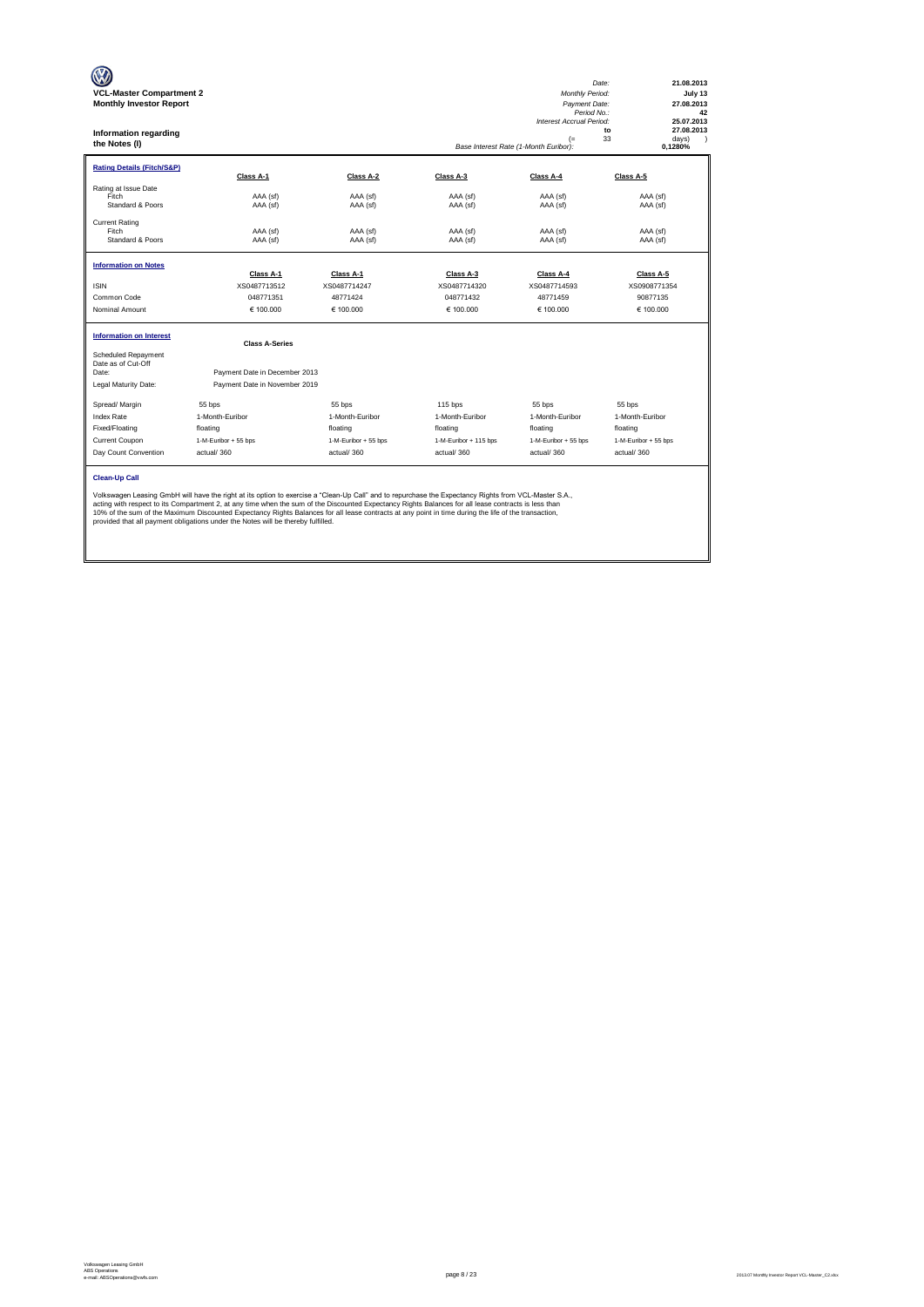| <b>VCL-Master Compartment 2</b><br><b>Monthly Investor Report</b><br><b>Information regarding</b><br>the Notes (I) |                                                                                                                                                                                                                                                                                                                                                                                                                                                                                                                                                           |                      |                       | Monthly Period:<br>Payment Date:<br>Period No.:<br>Interest Accrual Period:<br>$($ =<br>Base Interest Rate (1-Month Euribor): | 21.08.2013<br>Date:<br>July 13<br>27.08.2013<br>42<br>25.07.2013<br>27.08.2013<br>to<br>33<br>days)<br>$\lambda$<br>0,1280% |
|--------------------------------------------------------------------------------------------------------------------|-----------------------------------------------------------------------------------------------------------------------------------------------------------------------------------------------------------------------------------------------------------------------------------------------------------------------------------------------------------------------------------------------------------------------------------------------------------------------------------------------------------------------------------------------------------|----------------------|-----------------------|-------------------------------------------------------------------------------------------------------------------------------|-----------------------------------------------------------------------------------------------------------------------------|
| <b>Rating Details (Fitch/S&amp;P)</b>                                                                              | Class A-1                                                                                                                                                                                                                                                                                                                                                                                                                                                                                                                                                 | Class A-2            | Class A-3             | Class A-4                                                                                                                     | Class A-5                                                                                                                   |
| Rating at Issue Date<br>Fitch<br>Standard & Poors                                                                  | AAA (sf)<br>AAA (sf)                                                                                                                                                                                                                                                                                                                                                                                                                                                                                                                                      | AAA (sf)<br>AAA (sf) | AAA (sf)<br>AAA (sf)  | AAA (sf)<br>AAA (sf)                                                                                                          | AAA (sf)<br>AAA (sf)                                                                                                        |
| <b>Current Rating</b><br>Fitch<br>Standard & Poors                                                                 | AAA (sf)<br>AAA (sf)                                                                                                                                                                                                                                                                                                                                                                                                                                                                                                                                      | AAA (sf)<br>AAA (sf) | AAA (sf)<br>AAA (sf)  | AAA (sf)<br>AAA (sf)                                                                                                          | AAA (sf)<br>AAA (sf)                                                                                                        |
| <b>Information on Notes</b>                                                                                        | Class A-1                                                                                                                                                                                                                                                                                                                                                                                                                                                                                                                                                 | Class A-1            | Class A-3             | Class A-4                                                                                                                     | Class A-5                                                                                                                   |
| <b>ISIN</b>                                                                                                        | XS0487713512                                                                                                                                                                                                                                                                                                                                                                                                                                                                                                                                              | XS0487714247         | XS0487714320          | XS0487714593                                                                                                                  | XS0908771354                                                                                                                |
| Common Code                                                                                                        | 048771351                                                                                                                                                                                                                                                                                                                                                                                                                                                                                                                                                 | 48771424             | 048771432             | 48771459                                                                                                                      | 90877135                                                                                                                    |
| Nominal Amount                                                                                                     | € 100,000                                                                                                                                                                                                                                                                                                                                                                                                                                                                                                                                                 | € 100,000            | € 100.000             | € 100.000                                                                                                                     | € 100.000                                                                                                                   |
| <b>Information on Interest</b>                                                                                     | <b>Class A-Series</b>                                                                                                                                                                                                                                                                                                                                                                                                                                                                                                                                     |                      |                       |                                                                                                                               |                                                                                                                             |
| Scheduled Repayment<br>Date as of Cut-Off<br>Date:                                                                 | Payment Date in December 2013                                                                                                                                                                                                                                                                                                                                                                                                                                                                                                                             |                      |                       |                                                                                                                               |                                                                                                                             |
| Legal Maturity Date:                                                                                               | Payment Date in November 2019                                                                                                                                                                                                                                                                                                                                                                                                                                                                                                                             |                      |                       |                                                                                                                               |                                                                                                                             |
| Spread/ Margin                                                                                                     | 55 bps                                                                                                                                                                                                                                                                                                                                                                                                                                                                                                                                                    | 55 bps               | $115$ bps             | 55 bps                                                                                                                        | 55 bps                                                                                                                      |
| <b>Index Rate</b>                                                                                                  | 1-Month-Euribor                                                                                                                                                                                                                                                                                                                                                                                                                                                                                                                                           | 1-Month-Euribor      | 1-Month-Euribor       | 1-Month-Euribor                                                                                                               | 1-Month-Euribor                                                                                                             |
| Fixed/Floating                                                                                                     | floating                                                                                                                                                                                                                                                                                                                                                                                                                                                                                                                                                  | floating             | floating              | floating                                                                                                                      | floating                                                                                                                    |
| Current Coupon                                                                                                     | 1-M-Euribor + 55 bps                                                                                                                                                                                                                                                                                                                                                                                                                                                                                                                                      | 1-M-Euribor + 55 bps | 1-M-Euribor + 115 bps | 1-M-Euribor + 55 bps                                                                                                          | 1-M-Euribor + 55 bps                                                                                                        |
| Day Count Convention                                                                                               | actual/360                                                                                                                                                                                                                                                                                                                                                                                                                                                                                                                                                | actual/360           | actual/360            | actual/360                                                                                                                    | actual/360                                                                                                                  |
| <b>Clean-Up Call</b>                                                                                               | Volkswagen Leasing GmbH will have the right at its option to exercise a "Clean-Up Call" and to repurchase the Expectancy Rights from VCL-Master S.A.,<br>acting with respect to its Compartment 2, at any time when the sum of the Discounted Expectancy Rights Balances for all lease contracts is less than<br>10% of the sum of the Maximum Discounted Expectancy Rights Balances for all lease contracts at any point in time during the life of the transaction,<br>provided that all payment obligations under the Notes will be thereby fulfilled. |                      |                       |                                                                                                                               |                                                                                                                             |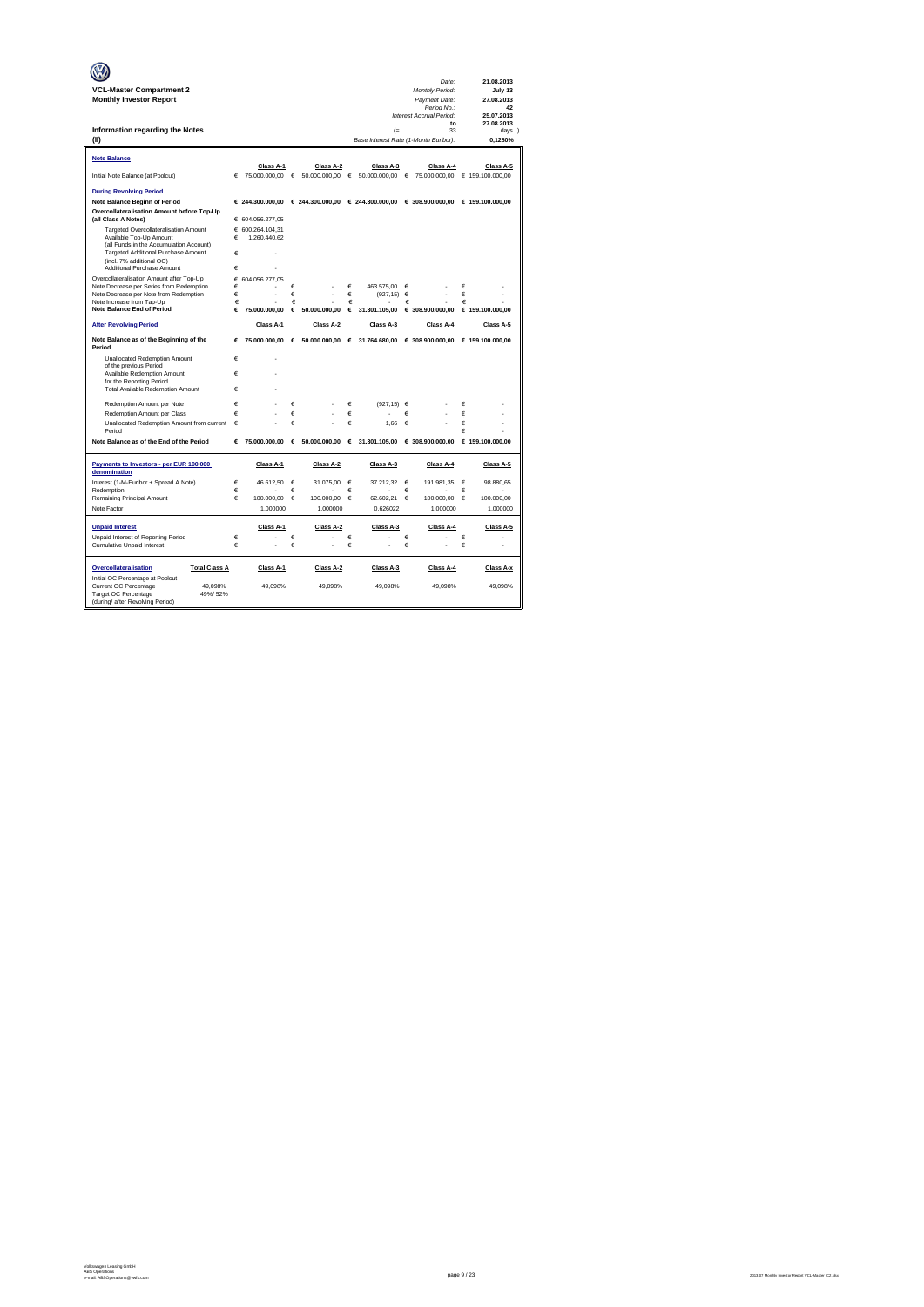|                                                                                    |        |                                                                                                      |        |                 |            |                                       |        | Date:                            |        | 21.08.2013               |
|------------------------------------------------------------------------------------|--------|------------------------------------------------------------------------------------------------------|--------|-----------------|------------|---------------------------------------|--------|----------------------------------|--------|--------------------------|
| <b>VCL-Master Compartment 2</b><br><b>Monthly Investor Report</b>                  |        |                                                                                                      |        |                 |            |                                       |        | Monthly Period:<br>Payment Date: |        | July 13<br>27.08.2013    |
|                                                                                    |        |                                                                                                      |        |                 |            |                                       |        | Period No.:                      |        | 42                       |
|                                                                                    |        |                                                                                                      |        |                 |            |                                       |        | Interest Accrual Period:<br>to   |        | 25.07.2013<br>27.08.2013 |
| Information regarding the Notes                                                    |        |                                                                                                      |        |                 |            | $($ =                                 |        | 33                               |        | davs 1                   |
| (II)                                                                               |        |                                                                                                      |        |                 |            | Base Interest Rate (1-Month Euribor): |        |                                  |        | 0,1280%                  |
|                                                                                    |        |                                                                                                      |        |                 |            |                                       |        |                                  |        |                          |
| Note Balance                                                                       |        | Class A-1                                                                                            |        | Class A-2       |            | Class A-3                             |        | Class A-4                        |        | Class A-5                |
| Initial Note Balance (at Poolcut)                                                  | €      | 75,000,000.00 €                                                                                      |        | 50,000,000,00   | €          | 50.000.000.00                         | €      | 75.000.000.00  € 159.100.000.00  |        |                          |
| <b>During Revolving Period</b>                                                     |        |                                                                                                      |        |                 |            |                                       |        |                                  |        |                          |
| Note Balance Beginn of Period                                                      |        | € 244.300.000,00 $\in$ 244.300.000,00 $\in$ 244.300.000,00 $\in$ 308.900.000,00 $\in$ 159.100.000,00 |        |                 |            |                                       |        |                                  |        |                          |
| Overcollateralisation Amount before Top-Up                                         |        |                                                                                                      |        |                 |            |                                       |        |                                  |        |                          |
| (all Class A Notes)<br>Targeted Overcollateralisation Amount                       |        | € 604.056.277,05<br>€ 600.264.104.31                                                                 |        |                 |            |                                       |        |                                  |        |                          |
| Available Top-Up Amount                                                            | €      | 1.260.440,62                                                                                         |        |                 |            |                                       |        |                                  |        |                          |
| (all Funds in the Accumulation Account)                                            |        |                                                                                                      |        |                 |            |                                       |        |                                  |        |                          |
| Targeted Additional Purchase Amount<br>(incl. 7% additional OC)                    | €      |                                                                                                      |        |                 |            |                                       |        |                                  |        |                          |
| Additional Purchase Amount                                                         | €      |                                                                                                      |        |                 |            |                                       |        |                                  |        |                          |
| Overcollateralisation Amount after Top-Up                                          | €      | 604.056.277.05                                                                                       |        |                 |            |                                       |        |                                  |        |                          |
| Note Decrease per Series from Redemption<br>Note Decrease per Note from Redemption | €<br>€ |                                                                                                      | €<br>€ |                 | €<br>€     | 463.575.00<br>(927, 15)               | €<br>€ |                                  | €<br>€ |                          |
| Note Increase from Tap-Up                                                          | €      |                                                                                                      | €      |                 | €          |                                       | €      |                                  | €      |                          |
| <b>Note Balance End of Period</b>                                                  | €      | 75.000.000.00                                                                                        | €      | 50,000,000.00   | €          | 31.301.105,00                         |        | € 308.900.000,00                 |        | € 159.100.000,00         |
| <b>After Revolving Period</b>                                                      |        | Class A-1                                                                                            |        | Class A-2       |            | Class A-3                             |        | Class A-4                        |        | Class A-5                |
| Note Balance as of the Beginning of the<br>Period                                  | €      | 75.000.000,00                                                                                        | €      |                 |            | 50.000.000,00 € 31.764.680,00         |        | € 308.900.000,00                 |        | € 159.100.000,00         |
| Unallocated Redemption Amount                                                      | €      |                                                                                                      |        |                 |            |                                       |        |                                  |        |                          |
| of the previous Period                                                             |        |                                                                                                      |        |                 |            |                                       |        |                                  |        |                          |
| Available Redemption Amount<br>for the Reporting Period                            | €      |                                                                                                      |        |                 |            |                                       |        |                                  |        |                          |
| Total Available Redemption Amount                                                  | €      |                                                                                                      |        |                 |            |                                       |        |                                  |        |                          |
| Redemotion Amount per Note                                                         | €      |                                                                                                      | €      |                 | €          | $(927.15) \in$                        |        |                                  | €      |                          |
| Redemption Amount per Class                                                        | €      |                                                                                                      | €      |                 | €          |                                       | €      |                                  | €      |                          |
| Unallocated Redemption Amount from current                                         | €      |                                                                                                      | €      |                 | Ë          | 1.66                                  | €      |                                  | €      |                          |
| Period                                                                             |        |                                                                                                      |        |                 |            |                                       |        |                                  | €      |                          |
| Note Balance as of the End of the Period                                           | €      | 75.000.000,00                                                                                        |        | 6.50.000.000,00 |            | $6$ 31.301.105,00                     |        | € 308.900.000,00                 |        | € 159.100.000,00         |
| Payments to Investors - per EUR 100.000<br>denomination                            |        | Class A-1                                                                                            |        | Class A-2       |            | Class A-3                             |        | Class A-4                        |        | Class A-5                |
| Interest (1-M-Euribor + Spread A Note)                                             | €      | 46.612.50                                                                                            | €      | 31.075.00       | $\epsilon$ | 37.212.32                             | €      | 191.981,35                       | €      | 98.880,65                |
| Redemption<br>Remaining Principal Amount                                           | €<br>€ | 100,000.00                                                                                           | €<br>€ | 100,000.00      | €<br>€     | 62.602.21                             | €<br>€ | 100,000,00                       | €<br>€ | 100,000.00               |
| Note Factor                                                                        |        | 1,000000                                                                                             |        | 1,000000        |            | 0,626022                              |        | 1,000000                         |        | 1,000000                 |
|                                                                                    |        |                                                                                                      |        |                 |            |                                       |        |                                  |        |                          |
| <b>Unpaid Interest</b>                                                             |        | Class A-1                                                                                            |        | Class A-2       |            | Class A-3                             |        | Class A-4                        |        | Class A-5                |
| Unpaid Interest of Reporting Period<br>Cumulative Unpaid Interest                  | €<br>€ |                                                                                                      | €<br>€ |                 | €<br>€     |                                       | €<br>€ |                                  | €<br>€ |                          |
|                                                                                    |        |                                                                                                      |        |                 |            |                                       |        |                                  |        |                          |
| <b>Total Class A</b><br>Overcollateralisation                                      |        | Class A-1                                                                                            |        | Class A-2       |            | Class A-3                             |        | Class A-4                        |        | Class A-x                |
| Initial OC Percentage at Poolcut<br>Current OC Percentage<br>49.098%               |        | 49.098%                                                                                              |        | 49.098%         |            | 49.098%                               |        | 49.098%                          |        | 49.098%                  |
| Target OC Percentage<br>49%/52%                                                    |        |                                                                                                      |        |                 |            |                                       |        |                                  |        |                          |
| (during/ after Revolving Period)                                                   |        |                                                                                                      |        |                 |            |                                       |        |                                  |        |                          |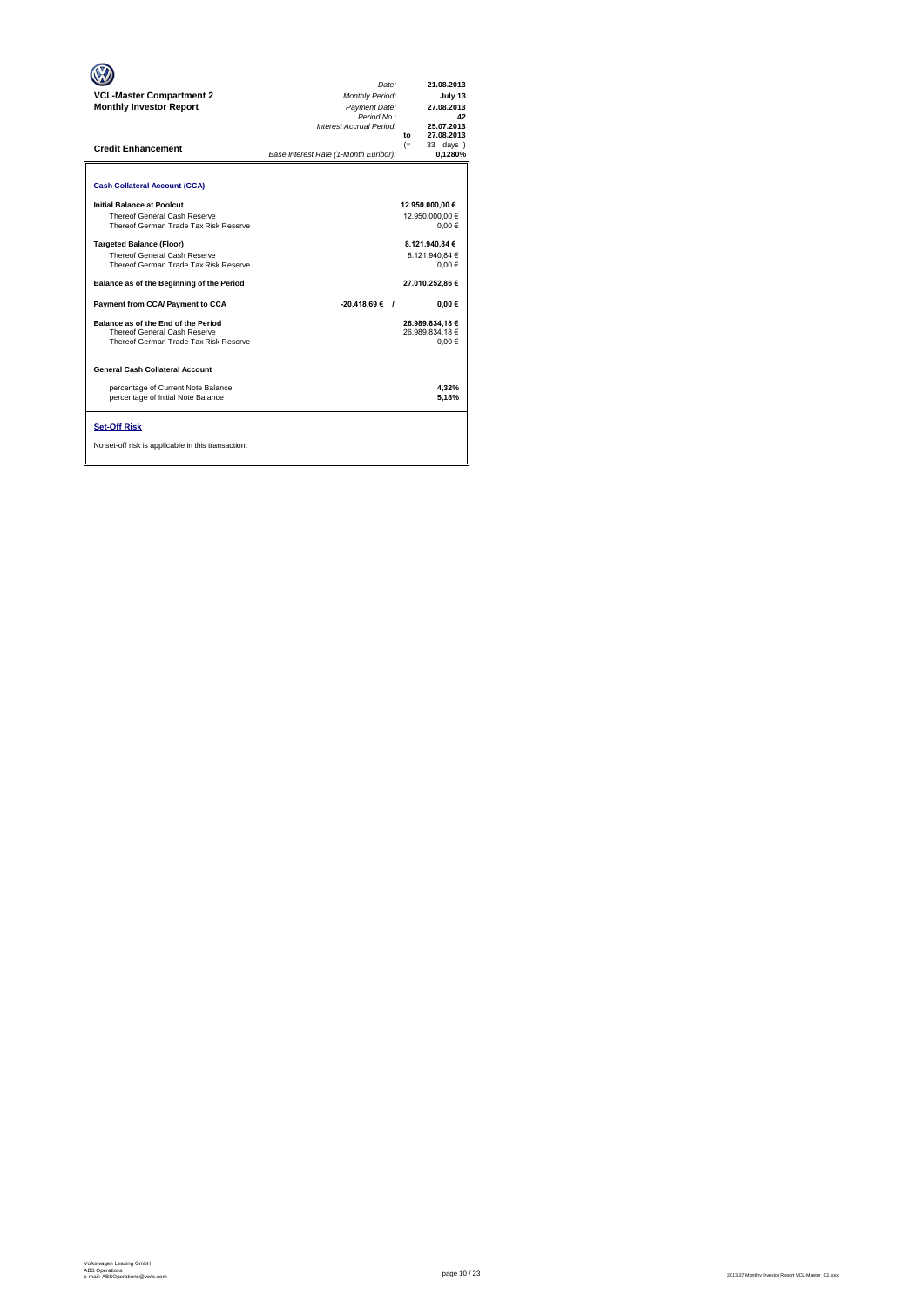| <b>VCL-Master Compartment 2</b><br><b>Monthly Investor Report</b><br><b>Credit Enhancement</b>                                                                                                                                                                                                                                                                                                                                                                                                                                                                                 | Date:<br>Monthly Period:<br>Payment Date:<br>Period No.:<br>Interest Accrual Period:<br>Base Interest Rate (1-Month Euribor): | 21.08.2013<br>July 13<br>27.08.2013<br>42<br>25.07.2013<br>27.08.2013<br>to<br>33 days )<br>$(=$<br>0,1280%                                                                                     |
|--------------------------------------------------------------------------------------------------------------------------------------------------------------------------------------------------------------------------------------------------------------------------------------------------------------------------------------------------------------------------------------------------------------------------------------------------------------------------------------------------------------------------------------------------------------------------------|-------------------------------------------------------------------------------------------------------------------------------|-------------------------------------------------------------------------------------------------------------------------------------------------------------------------------------------------|
| <b>Cash Collateral Account (CCA)</b><br>Initial Balance at Poolcut<br>Thereof General Cash Reserve<br>Thereof German Trade Tax Risk Reserve<br><b>Targeted Balance (Floor)</b><br>Thereof General Cash Reserve<br>Thereof German Trade Tax Risk Reserve<br>Balance as of the Beginning of the Period<br>Payment from CCA/ Payment to CCA<br>Balance as of the End of the Period<br>Thereof General Cash Reserve<br>Thereof German Trade Tax Risk Reserve<br><b>General Cash Collateral Account</b><br>percentage of Current Note Balance<br>percentage of Initial Note Balance | $-20.418.69$ € /                                                                                                              | 12.950.000,00 €<br>12.950.000.00 €<br>$0.00 \in$<br>8.121.940.84 €<br>8.121.940.84 €<br>0.00€<br>27.010.252.86 €<br>$0.00 \in$<br>26.989.834,18 €<br>26.989.834.18 €<br>0.00€<br>4.32%<br>5.18% |
| <b>Set-Off Risk</b><br>No set-off risk is applicable in this transaction.                                                                                                                                                                                                                                                                                                                                                                                                                                                                                                      |                                                                                                                               |                                                                                                                                                                                                 |

**. . . .** Trigger Level 1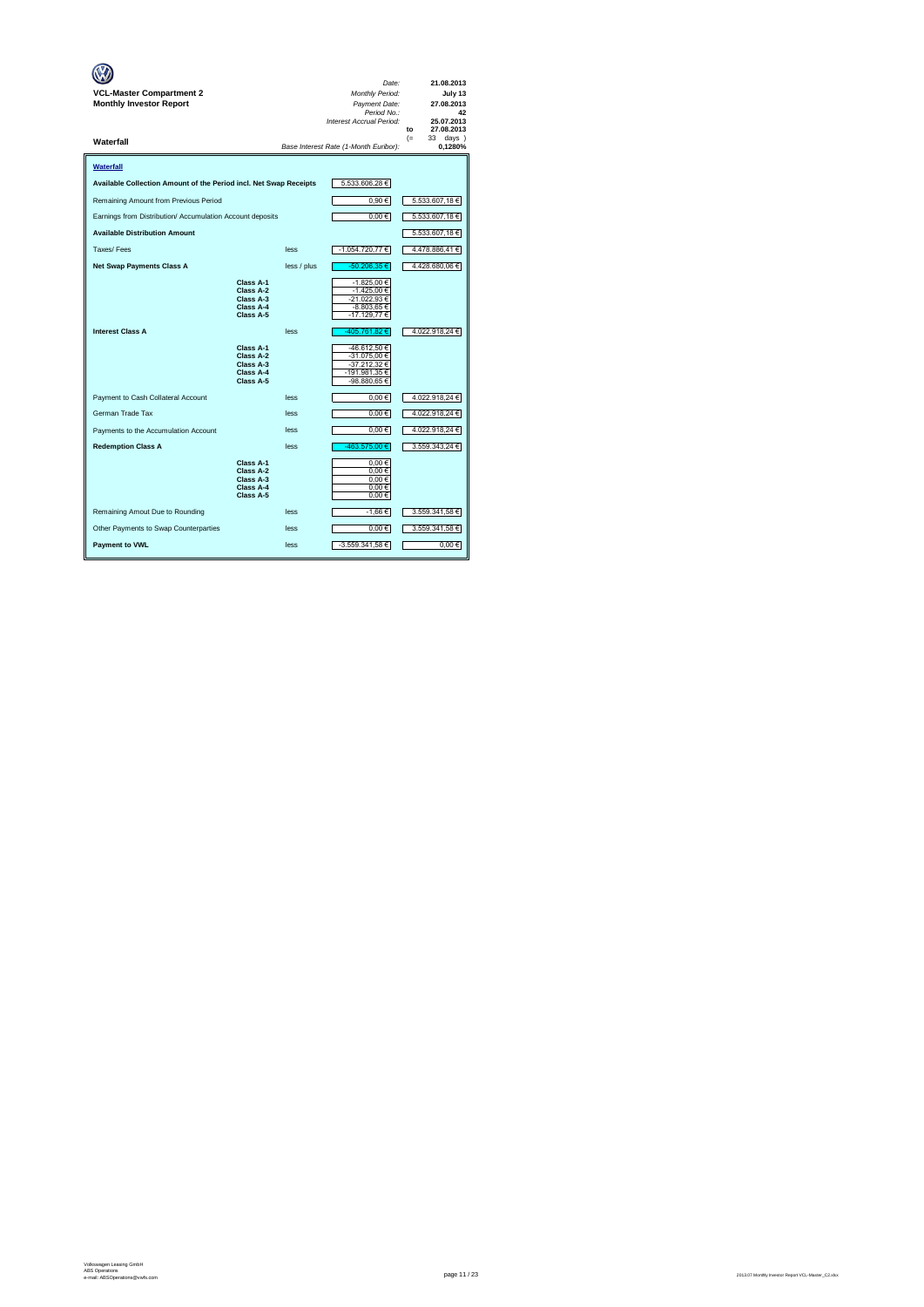| VCL-Master Compartment 2<br><b>Monthly Investor Report</b>        |                                                               |             | Date:<br>Monthly Period:<br>Payment Date:<br>Period No.:<br>Interest Accrual Period: | 21.08.2013<br>July 13<br>27.08.2013<br>42<br>25.07.2013<br>27.08.2013<br>to |
|-------------------------------------------------------------------|---------------------------------------------------------------|-------------|--------------------------------------------------------------------------------------|-----------------------------------------------------------------------------|
| Waterfall                                                         |                                                               |             | Base Interest Rate (1-Month Euribor):                                                | $(=$<br>33.<br>days)<br>0,1280%                                             |
| Waterfall                                                         |                                                               |             |                                                                                      |                                                                             |
| Available Collection Amount of the Period incl. Net Swap Receipts |                                                               |             | 5.533.606,28 €                                                                       |                                                                             |
| Remaining Amount from Previous Period                             |                                                               |             | 0,90€                                                                                | 5.533.607,18 €                                                              |
| Earnings from Distribution/ Accumulation Account deposits         |                                                               |             | $0,00 \in$                                                                           | 5.533.607,18 €                                                              |
| <b>Available Distribution Amount</b>                              |                                                               |             |                                                                                      | 5.533.607,18 €                                                              |
| Taxes/Fees                                                        |                                                               | less        | -1.054.720,77 €                                                                      | 4.478.886,41 €                                                              |
| <b>Net Swap Payments Class A</b>                                  |                                                               | less / plus | -50.206,35 €                                                                         | 4.428.680,06 €                                                              |
|                                                                   | Class A-1<br>Class A-2<br>Class A-3<br>Class A-4<br>Class A-5 |             | -1.825,00 €<br>-1.425,00 €<br>-21.022,93 €<br>-8.803,65 €<br>$-17.129,77$ €          |                                                                             |
| <b>Interest Class A</b>                                           |                                                               | less        | -405.761,82 €                                                                        | 4.022.918,24 €                                                              |
|                                                                   | Class A-1<br>Class A-2<br>Class A-3<br>Class A-4<br>Class A-5 |             | -46.612.50 €<br>-31.075,00 €<br>-37.212,32 €<br>-191.981,35€<br>-98.880,65 €         |                                                                             |
| Payment to Cash Collateral Account                                |                                                               | less        | $0,00 \in$                                                                           | 4.022.918,24 €                                                              |
| German Trade Tax                                                  |                                                               | less        | $0,00 \in$                                                                           | 4.022.918,24 €                                                              |
| Payments to the Accumulation Account                              |                                                               | less        | $0,00 \in$                                                                           | 4.022.918,24 €                                                              |
| <b>Redemption Class A</b>                                         |                                                               | less        | 463.575.00 €                                                                         | 3.559.343,24 €                                                              |
|                                                                   | Class A-1<br>Class A-2<br>Class A-3<br>Class A-4<br>Class A-5 |             | $0,00 \in$<br>0.00€<br>$0,00 \in$<br>$0,00 \in$<br>0.00€                             |                                                                             |
| Remaining Amout Due to Rounding                                   |                                                               | less        | -1,66 €                                                                              | 3.559.341,58 €                                                              |
| Other Payments to Swap Counterparties                             |                                                               | less        | $0,00 \in$                                                                           | 3.559.341,58 €                                                              |
| <b>Payment to VWL</b>                                             |                                                               | less        | -3.559.341,58 €                                                                      | 0,00€                                                                       |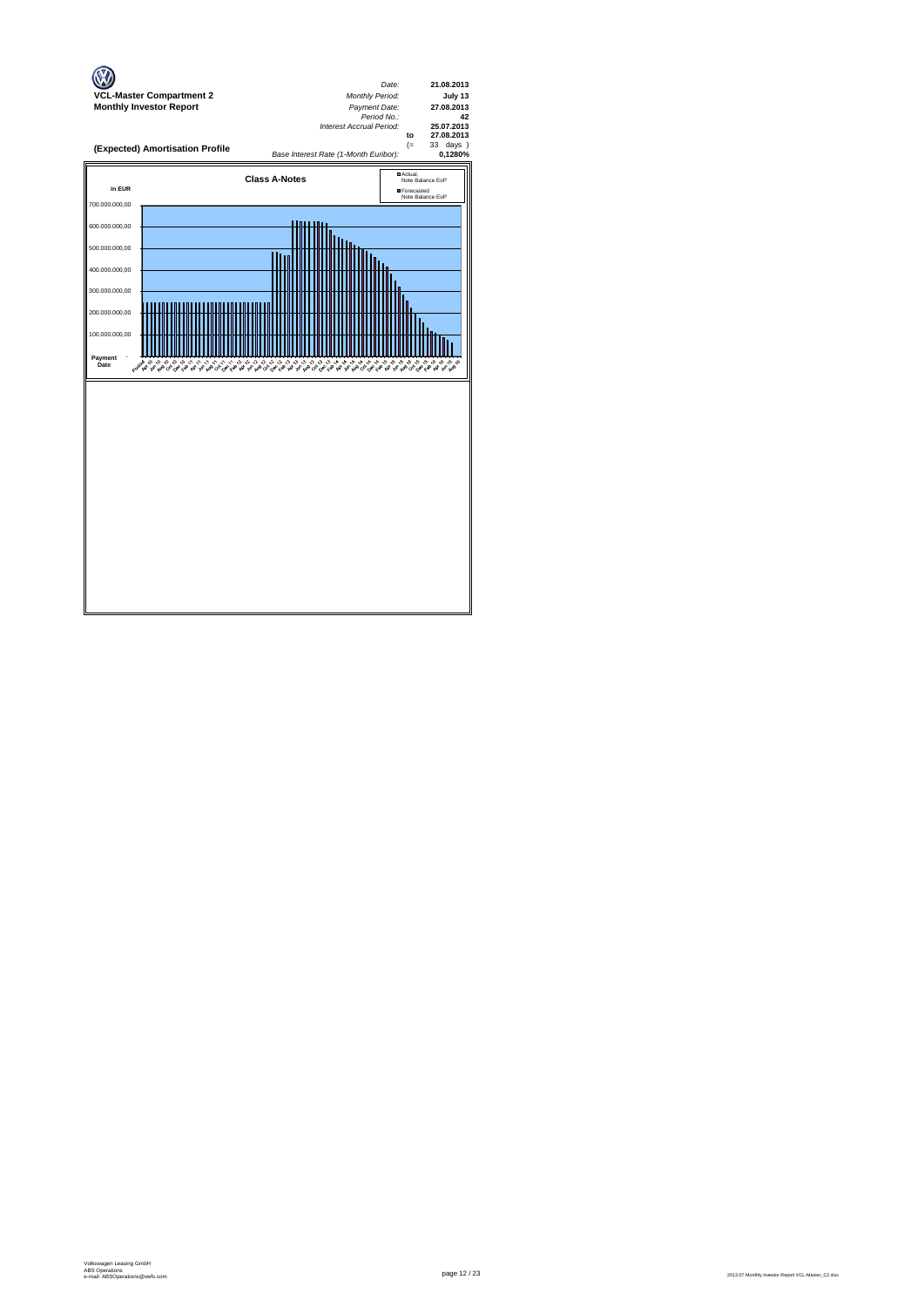

page 12 / 23 2013.07 Monthly Investor Report VCL-Master\_C2.xlsx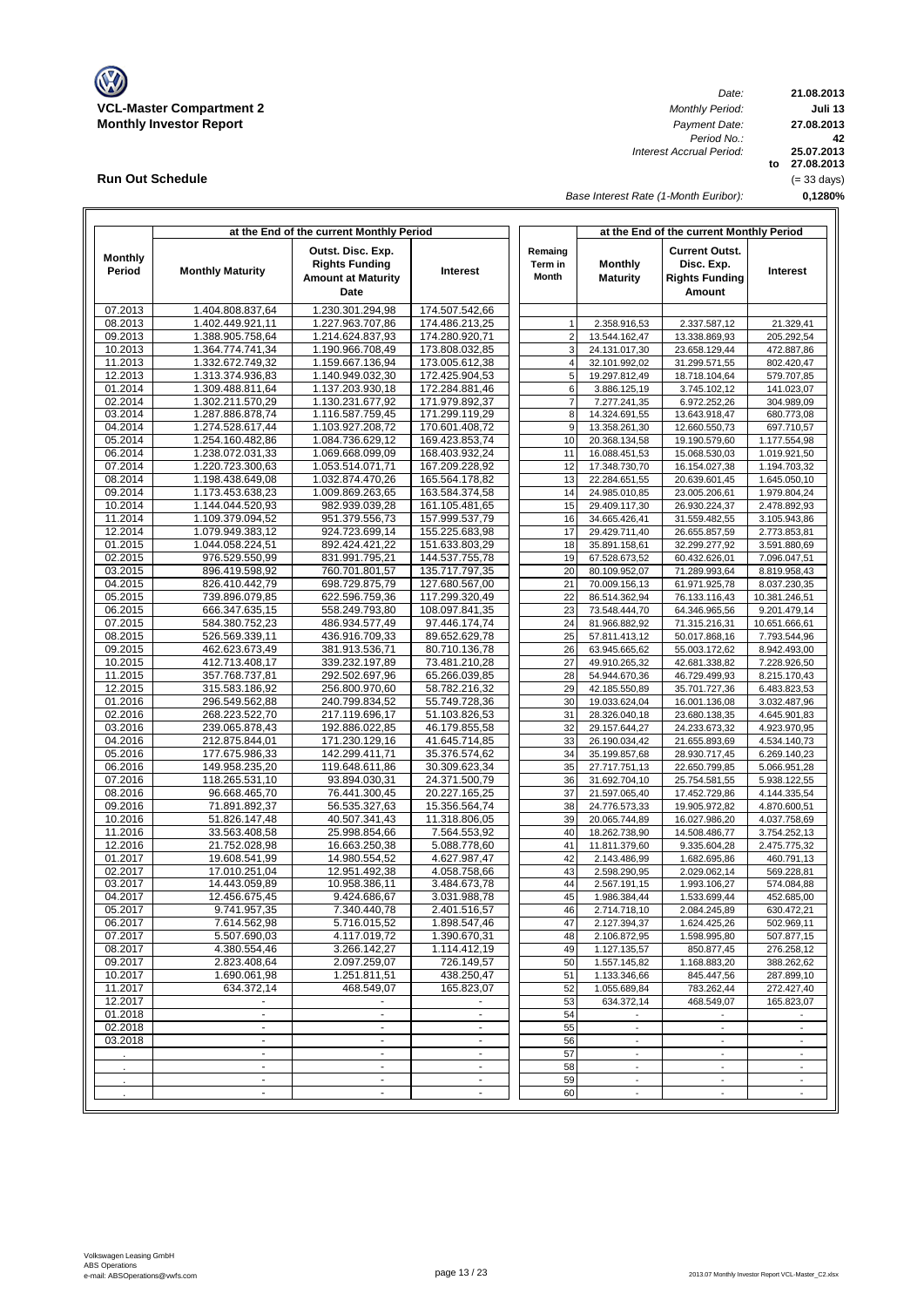

**Run Out Schedule**

*Date: Period No.: Interest Accrual Period:*

**21.08.2013 Juli 13 to 27.08.2013 25.07.2013 0,1280% 42 27.08.2013** (= 33 days)

*Base Interest Rate (1-Month Euribor):*

| Outst. Disc. Exp.<br><b>Current Outst.</b><br>Remaing<br><b>Monthly</b><br>Monthly<br><b>Rights Funding</b><br>Term in<br>Disc. Exp.<br>Period<br><b>Monthly Maturity</b><br>Interest<br><b>Month</b><br><b>Amount at Maturity</b><br><b>Maturity</b><br><b>Rights Funding</b><br>Date<br>Amount<br>07.2013<br>1.404.808.837,64<br>1.230.301.294,98<br>174.507.542,66<br>08.2013<br>1.402.449.921,11<br>1.227.963.707,86<br>174.486.213,25<br>2.337.587,12<br>1<br>2.358.916,53<br>09.2013<br>1.388.905.758,64<br>1.214.624.837,93<br>174.280.920,71<br>$\overline{2}$<br>13.544.162,47<br>13.338.869,93<br>10.2013<br>1.364.774.741,34<br>1.190.966.708,49<br>173.808.032,85<br>3<br>24.131.017,30<br>23.658.129,44<br>11.2013<br>1.332.672.749,32<br>1.159.667.136,94<br>$\overline{4}$<br>173.005.612,38<br>32.101.992,02<br>31.299.571,55<br>12.2013<br>1.313.374.936,83<br>1.140.949.032,30<br>172.425.904,53<br>5<br>19.297.812,49<br>18.718.104,64<br>01.2014<br>172.284.881,46<br>1.309.488.811,64<br>1.137.203.930,18<br>6<br>3.886.125,19<br>3.745.102,12<br>02.2014<br>1.302.211.570,29<br>1.130.231.677,92<br>171.979.892,37<br>$\overline{7}$<br>7.277.241,35<br>6.972.252,26<br>03.2014<br>1.116.587.759,45<br>171.299.119,29<br>8<br>1.287.886.878,74<br>14.324.691,55<br>13.643.918,47<br>04.2014<br>1.274.528.617,44<br>1.103.927.208.72<br>170.601.408,72<br>9<br>13.358.261,30<br>12.660.550,73<br>05.2014<br>1.254.160.482,86<br>1.084.736.629,12<br>169.423.853,74<br>10<br>20.368.134,58<br>19.190.579,60<br>06.2014<br>1.238.072.031,33<br>1.069.668.099.09<br>168.403.932,24<br>11<br>16.088.451,53<br>15.068.530,03<br>07.2014<br>1.220.723.300,63<br>1.053.514.071,71<br>167.209.228,92<br>12<br>17.348.730,70<br>16.154.027,38<br>08.2014<br>13<br>1.198.438.649,08<br>1.032.874.470,26<br>165.564.178,82<br>22.284.651,55<br>20.639.601,45<br>09.2014<br>1.173.453.638,23<br>1.009.869.263,65<br>163.584.374,58<br>14<br>24.985.010,85<br>23.005.206,61<br>10.2014<br>1.144.044.520,93<br>982.939.039,28<br>161.105.481,65<br>15<br>29.409.117,30<br>26.930.224,37<br>11.2014<br>1.109.379.094,52<br>951.379.556,73<br>157.999.537,79<br>16<br>34.665.426,41<br>31.559.482,55<br>12.2014<br>1.079.949.383,12<br>924.723.699,14<br>155.225.683,98<br>17<br>29.429.711,40<br>26.655.857,59<br>01.2015<br>1.044.058.224,51<br>892.424.421,22<br>151.633.803,29<br>18<br>35.891.158,61<br>32.299.277,92<br>02.2015<br>976.529.550.99<br>831.991.795,21<br>144.537.755,78<br>19<br>67.528.673,52<br>60.432.626,01<br>03.2015<br>760.701.801,57<br>135.717.797,35<br>20<br>896.419.598,92<br>80.109.952,07<br>71.289.993,64<br>04.2015<br>826.410.442,79<br>698.729.875,79<br>127.680.567,00<br>21<br>70.009.156,13<br>61.971.925,78<br>05.2015<br>739.896.079,85<br>622.596.759,36<br>117.299.320,49<br>22<br>86.514.362,94<br>76.133.116,43<br>06.2015<br>666.347.635,15<br>558.249.793,80<br>108.097.841,35<br>23<br>73.548.444,70<br>64.346.965,56<br>07.2015<br>584.380.752,23<br>486.934.577,49<br>97.446.174,74<br>24<br>81.966.882,92<br>71.315.216,31<br>08.2015<br>526.569.339,11<br>436.916.709,33<br>89.652.629,78<br>25<br>57.811.413,12<br>50.017.868,16<br>09.2015<br>462.623.673,49<br>381.913.536,71<br>80.710.136,78<br>26<br>63.945.665,62<br>55.003.172,62<br>10.2015<br>412.713.408,17<br>339.232.197,89<br>73.481.210,28<br>27<br>49.910.265,32<br>42.681.338,82<br>11.2015<br>357.768.737,81<br>292.502.697,96<br>65.266.039,85<br>28<br>54.944.670,36<br>46.729.499,93<br>12.2015<br>315.583.186,92<br>256.800.970,60<br>58.782.216,32<br>29<br>42.185.550,89<br>35.701.727,36<br>01.2016<br>296.549.562,88<br>240.799.834,52<br>55.749.728,36<br>30<br>19.033.624,04<br>16.001.136,08<br>02.2016<br>268.223.522,70<br>217.119.696,17<br>51.103.826,53<br>31<br>28.326.040,18<br>23.680.138,35<br>03.2016<br>239.065.878,43<br>192.886.022,85<br>46.179.855,58<br>32<br>29.157.644,27<br>24.233.673,32<br>04.2016<br>212.875.844,01<br>171.230.129,16<br>41.645.714,85<br>33<br>26.190.034,42<br>21.655.893,69<br>05.2016<br>177.675.986,33<br>142.299.411,71<br>35.376.574,62<br>34<br>35.199.857,68<br>28.930.717,45<br>06.2016<br>149.958.235,20<br>119.648.611,86<br>30.309.623,34<br>35<br>27.717.751,13<br>22.650.799,85<br>07.2016<br>118.265.531,10<br>93.894.030,31<br>24.371.500,79<br>36<br>31.692.704,10<br>25.754.581,55<br>08.2016<br>96.668.465,70<br>76.441.300,45<br>20.227.165,25<br>37<br>21.597.065,40<br>17.452.729,86<br>09.2016<br>71.891.892,37<br>56.535.327,63<br>15.356.564,74<br>38<br>24.776.573,33<br>19.905.972,82<br>10.2016<br>51.826.147,48<br>40.507.341.43<br>11.318.806,05<br>39<br>20.065.744,89<br>16.027.986,20<br>11.2016<br>33.563.408,58<br>25.998.854,66<br>7.564.553,92<br>40<br>18.262.738,90<br>14.508.486,77<br>12.2016<br>21.752.028,98<br>16.663.250,38<br>5.088.778,60<br>41<br>11.811.379,60<br>9.335.604,28<br>01.2017<br>19.608.541,99<br>14.980.554,52<br>4.627.987,47<br>42<br>2.143.486,99<br>1.682.695,86<br>02.2017<br>17.010.251,04<br>12.951.492,38<br>4.058.758,66<br>43<br>2.598.290,95<br>2.029.062,14<br>03.2017<br>14.443.059,89<br>10.958.386,11<br>3.484.673,78<br>44<br>2.567.191,15<br>1.993.106,27<br>04.2017<br>12.456.675,45<br>9.424.686,67<br>3.031.988,78<br>45<br>1.986.384,44<br>1.533.699,44<br>46<br>05.2017<br>9.741.957,35<br>7.340.440,78<br>2.401.516,57<br>2.714.718,10<br>2.084.245,89<br>06.2017<br>7.614.562,98<br>5.716.015,52<br>1.898.547,46<br>47<br>2.127.394,37<br>1.624.425,26<br>07.2017<br>5.507.690,03<br>4.117.019,72<br>1.390.670.31<br>48<br>2.106.872,95<br>1.598.995,80<br>08.2017<br>4.380.554,46<br>3.266.142,27<br>1.114.412,19<br>49<br>1.127.135,57<br>850.877,45<br>09.2017<br>2.097.259,07<br>726.149,57<br>2.823.408,64<br>50<br>1.557.145,82<br>1.168.883,20<br>10.2017<br>1.690.061,98<br>1.251.811,51<br>438.250,47<br>51<br>1.133.346,66<br>845.447,56<br>11.2017<br>634.372,14<br>468.549,07<br>165.823,07<br>52<br>1.055.689,84<br>783.262,44<br>12.2017<br>53<br>634.372,14<br>468.549,07<br>01.2018<br>54<br>$\blacksquare$<br>$\blacksquare$<br>$\blacksquare$<br>$\overline{\phantom{a}}$<br>$\overline{\phantom{a}}$<br>02.2018<br>55<br>$\sim$<br>$\blacksquare$<br>٠<br>$\overline{\phantom{a}}$<br>$\overline{\phantom{a}}$<br>03.2018<br>$\blacksquare$<br>$\blacksquare$<br>56<br>$\omega$<br>$\blacksquare$<br>$\omega$<br>57<br>L.<br>$\mathcal{L}_{\mathcal{A}}$<br>$\omega$<br>58<br>$\blacksquare$<br>$\sim$<br>$\overline{\phantom{a}}$<br>$\overline{\phantom{a}}$<br>59<br>$\blacksquare$<br>$\blacksquare$<br>$\overline{\phantom{a}}$<br>$\overline{\phantom{a}}$<br>$\overline{\phantom{a}}$ |  | at the End of the current Monthly Period |  | at the End of the current Monthly Period |  |                              |  |  |  |  |  |
|--------------------------------------------------------------------------------------------------------------------------------------------------------------------------------------------------------------------------------------------------------------------------------------------------------------------------------------------------------------------------------------------------------------------------------------------------------------------------------------------------------------------------------------------------------------------------------------------------------------------------------------------------------------------------------------------------------------------------------------------------------------------------------------------------------------------------------------------------------------------------------------------------------------------------------------------------------------------------------------------------------------------------------------------------------------------------------------------------------------------------------------------------------------------------------------------------------------------------------------------------------------------------------------------------------------------------------------------------------------------------------------------------------------------------------------------------------------------------------------------------------------------------------------------------------------------------------------------------------------------------------------------------------------------------------------------------------------------------------------------------------------------------------------------------------------------------------------------------------------------------------------------------------------------------------------------------------------------------------------------------------------------------------------------------------------------------------------------------------------------------------------------------------------------------------------------------------------------------------------------------------------------------------------------------------------------------------------------------------------------------------------------------------------------------------------------------------------------------------------------------------------------------------------------------------------------------------------------------------------------------------------------------------------------------------------------------------------------------------------------------------------------------------------------------------------------------------------------------------------------------------------------------------------------------------------------------------------------------------------------------------------------------------------------------------------------------------------------------------------------------------------------------------------------------------------------------------------------------------------------------------------------------------------------------------------------------------------------------------------------------------------------------------------------------------------------------------------------------------------------------------------------------------------------------------------------------------------------------------------------------------------------------------------------------------------------------------------------------------------------------------------------------------------------------------------------------------------------------------------------------------------------------------------------------------------------------------------------------------------------------------------------------------------------------------------------------------------------------------------------------------------------------------------------------------------------------------------------------------------------------------------------------------------------------------------------------------------------------------------------------------------------------------------------------------------------------------------------------------------------------------------------------------------------------------------------------------------------------------------------------------------------------------------------------------------------------------------------------------------------------------------------------------------------------------------------------------------------------------------------------------------------------------------------------------------------------------------------------------------------------------------------------------------------------------------------------------------------------------------------------------------------------------------------------------------------------------------------------------------------------------------------------------------------------------------------------------------------------------------------------------------------------------------------------------------------------------------------------------------------------------------------------------------------------------------------------------------------------------------------------------------------------------------------------------------------------------------------------------------------------------------------------------------------------------------------------------------------------------------------------------------------------------------------------------------------------------------------------------------------------------------------------------------------------------------------------------------------------------------------------------------------------------------------------------------------------------------------------------------------------------------------------------------------------------------------------------------------------------------------------------------------------------------------------------------------------------------------------------------------------------------------------------------------------------------------------------------------------------------------------------------------------------------------------------------|--|------------------------------------------|--|------------------------------------------|--|------------------------------|--|--|--|--|--|
|                                                                                                                                                                                                                                                                                                                                                                                                                                                                                                                                                                                                                                                                                                                                                                                                                                                                                                                                                                                                                                                                                                                                                                                                                                                                                                                                                                                                                                                                                                                                                                                                                                                                                                                                                                                                                                                                                                                                                                                                                                                                                                                                                                                                                                                                                                                                                                                                                                                                                                                                                                                                                                                                                                                                                                                                                                                                                                                                                                                                                                                                                                                                                                                                                                                                                                                                                                                                                                                                                                                                                                                                                                                                                                                                                                                                                                                                                                                                                                                                                                                                                                                                                                                                                                                                                                                                                                                                                                                                                                                                                                                                                                                                                                                                                                                                                                                                                                                                                                                                                                                                                                                                                                                                                                                                                                                                                                                                                                                                                                                                                                                                                                                                                                                                                                                                                                                                                                                                                                                                                                                                                                                                                                                                                                                                                                                                                                                                                                                                                                                                                                                                                                                                                      |  |                                          |  |                                          |  | Interest                     |  |  |  |  |  |
|                                                                                                                                                                                                                                                                                                                                                                                                                                                                                                                                                                                                                                                                                                                                                                                                                                                                                                                                                                                                                                                                                                                                                                                                                                                                                                                                                                                                                                                                                                                                                                                                                                                                                                                                                                                                                                                                                                                                                                                                                                                                                                                                                                                                                                                                                                                                                                                                                                                                                                                                                                                                                                                                                                                                                                                                                                                                                                                                                                                                                                                                                                                                                                                                                                                                                                                                                                                                                                                                                                                                                                                                                                                                                                                                                                                                                                                                                                                                                                                                                                                                                                                                                                                                                                                                                                                                                                                                                                                                                                                                                                                                                                                                                                                                                                                                                                                                                                                                                                                                                                                                                                                                                                                                                                                                                                                                                                                                                                                                                                                                                                                                                                                                                                                                                                                                                                                                                                                                                                                                                                                                                                                                                                                                                                                                                                                                                                                                                                                                                                                                                                                                                                                                                      |  |                                          |  |                                          |  |                              |  |  |  |  |  |
|                                                                                                                                                                                                                                                                                                                                                                                                                                                                                                                                                                                                                                                                                                                                                                                                                                                                                                                                                                                                                                                                                                                                                                                                                                                                                                                                                                                                                                                                                                                                                                                                                                                                                                                                                                                                                                                                                                                                                                                                                                                                                                                                                                                                                                                                                                                                                                                                                                                                                                                                                                                                                                                                                                                                                                                                                                                                                                                                                                                                                                                                                                                                                                                                                                                                                                                                                                                                                                                                                                                                                                                                                                                                                                                                                                                                                                                                                                                                                                                                                                                                                                                                                                                                                                                                                                                                                                                                                                                                                                                                                                                                                                                                                                                                                                                                                                                                                                                                                                                                                                                                                                                                                                                                                                                                                                                                                                                                                                                                                                                                                                                                                                                                                                                                                                                                                                                                                                                                                                                                                                                                                                                                                                                                                                                                                                                                                                                                                                                                                                                                                                                                                                                                                      |  |                                          |  |                                          |  | 21.329,41                    |  |  |  |  |  |
|                                                                                                                                                                                                                                                                                                                                                                                                                                                                                                                                                                                                                                                                                                                                                                                                                                                                                                                                                                                                                                                                                                                                                                                                                                                                                                                                                                                                                                                                                                                                                                                                                                                                                                                                                                                                                                                                                                                                                                                                                                                                                                                                                                                                                                                                                                                                                                                                                                                                                                                                                                                                                                                                                                                                                                                                                                                                                                                                                                                                                                                                                                                                                                                                                                                                                                                                                                                                                                                                                                                                                                                                                                                                                                                                                                                                                                                                                                                                                                                                                                                                                                                                                                                                                                                                                                                                                                                                                                                                                                                                                                                                                                                                                                                                                                                                                                                                                                                                                                                                                                                                                                                                                                                                                                                                                                                                                                                                                                                                                                                                                                                                                                                                                                                                                                                                                                                                                                                                                                                                                                                                                                                                                                                                                                                                                                                                                                                                                                                                                                                                                                                                                                                                                      |  |                                          |  |                                          |  | 205.292,54                   |  |  |  |  |  |
|                                                                                                                                                                                                                                                                                                                                                                                                                                                                                                                                                                                                                                                                                                                                                                                                                                                                                                                                                                                                                                                                                                                                                                                                                                                                                                                                                                                                                                                                                                                                                                                                                                                                                                                                                                                                                                                                                                                                                                                                                                                                                                                                                                                                                                                                                                                                                                                                                                                                                                                                                                                                                                                                                                                                                                                                                                                                                                                                                                                                                                                                                                                                                                                                                                                                                                                                                                                                                                                                                                                                                                                                                                                                                                                                                                                                                                                                                                                                                                                                                                                                                                                                                                                                                                                                                                                                                                                                                                                                                                                                                                                                                                                                                                                                                                                                                                                                                                                                                                                                                                                                                                                                                                                                                                                                                                                                                                                                                                                                                                                                                                                                                                                                                                                                                                                                                                                                                                                                                                                                                                                                                                                                                                                                                                                                                                                                                                                                                                                                                                                                                                                                                                                                                      |  |                                          |  |                                          |  | 472.887,86                   |  |  |  |  |  |
|                                                                                                                                                                                                                                                                                                                                                                                                                                                                                                                                                                                                                                                                                                                                                                                                                                                                                                                                                                                                                                                                                                                                                                                                                                                                                                                                                                                                                                                                                                                                                                                                                                                                                                                                                                                                                                                                                                                                                                                                                                                                                                                                                                                                                                                                                                                                                                                                                                                                                                                                                                                                                                                                                                                                                                                                                                                                                                                                                                                                                                                                                                                                                                                                                                                                                                                                                                                                                                                                                                                                                                                                                                                                                                                                                                                                                                                                                                                                                                                                                                                                                                                                                                                                                                                                                                                                                                                                                                                                                                                                                                                                                                                                                                                                                                                                                                                                                                                                                                                                                                                                                                                                                                                                                                                                                                                                                                                                                                                                                                                                                                                                                                                                                                                                                                                                                                                                                                                                                                                                                                                                                                                                                                                                                                                                                                                                                                                                                                                                                                                                                                                                                                                                                      |  |                                          |  |                                          |  | 802.420,47                   |  |  |  |  |  |
|                                                                                                                                                                                                                                                                                                                                                                                                                                                                                                                                                                                                                                                                                                                                                                                                                                                                                                                                                                                                                                                                                                                                                                                                                                                                                                                                                                                                                                                                                                                                                                                                                                                                                                                                                                                                                                                                                                                                                                                                                                                                                                                                                                                                                                                                                                                                                                                                                                                                                                                                                                                                                                                                                                                                                                                                                                                                                                                                                                                                                                                                                                                                                                                                                                                                                                                                                                                                                                                                                                                                                                                                                                                                                                                                                                                                                                                                                                                                                                                                                                                                                                                                                                                                                                                                                                                                                                                                                                                                                                                                                                                                                                                                                                                                                                                                                                                                                                                                                                                                                                                                                                                                                                                                                                                                                                                                                                                                                                                                                                                                                                                                                                                                                                                                                                                                                                                                                                                                                                                                                                                                                                                                                                                                                                                                                                                                                                                                                                                                                                                                                                                                                                                                                      |  |                                          |  |                                          |  | 579.707,85<br>141.023,07     |  |  |  |  |  |
|                                                                                                                                                                                                                                                                                                                                                                                                                                                                                                                                                                                                                                                                                                                                                                                                                                                                                                                                                                                                                                                                                                                                                                                                                                                                                                                                                                                                                                                                                                                                                                                                                                                                                                                                                                                                                                                                                                                                                                                                                                                                                                                                                                                                                                                                                                                                                                                                                                                                                                                                                                                                                                                                                                                                                                                                                                                                                                                                                                                                                                                                                                                                                                                                                                                                                                                                                                                                                                                                                                                                                                                                                                                                                                                                                                                                                                                                                                                                                                                                                                                                                                                                                                                                                                                                                                                                                                                                                                                                                                                                                                                                                                                                                                                                                                                                                                                                                                                                                                                                                                                                                                                                                                                                                                                                                                                                                                                                                                                                                                                                                                                                                                                                                                                                                                                                                                                                                                                                                                                                                                                                                                                                                                                                                                                                                                                                                                                                                                                                                                                                                                                                                                                                                      |  |                                          |  |                                          |  | 304.989,09                   |  |  |  |  |  |
|                                                                                                                                                                                                                                                                                                                                                                                                                                                                                                                                                                                                                                                                                                                                                                                                                                                                                                                                                                                                                                                                                                                                                                                                                                                                                                                                                                                                                                                                                                                                                                                                                                                                                                                                                                                                                                                                                                                                                                                                                                                                                                                                                                                                                                                                                                                                                                                                                                                                                                                                                                                                                                                                                                                                                                                                                                                                                                                                                                                                                                                                                                                                                                                                                                                                                                                                                                                                                                                                                                                                                                                                                                                                                                                                                                                                                                                                                                                                                                                                                                                                                                                                                                                                                                                                                                                                                                                                                                                                                                                                                                                                                                                                                                                                                                                                                                                                                                                                                                                                                                                                                                                                                                                                                                                                                                                                                                                                                                                                                                                                                                                                                                                                                                                                                                                                                                                                                                                                                                                                                                                                                                                                                                                                                                                                                                                                                                                                                                                                                                                                                                                                                                                                                      |  |                                          |  |                                          |  | 680.773,08                   |  |  |  |  |  |
|                                                                                                                                                                                                                                                                                                                                                                                                                                                                                                                                                                                                                                                                                                                                                                                                                                                                                                                                                                                                                                                                                                                                                                                                                                                                                                                                                                                                                                                                                                                                                                                                                                                                                                                                                                                                                                                                                                                                                                                                                                                                                                                                                                                                                                                                                                                                                                                                                                                                                                                                                                                                                                                                                                                                                                                                                                                                                                                                                                                                                                                                                                                                                                                                                                                                                                                                                                                                                                                                                                                                                                                                                                                                                                                                                                                                                                                                                                                                                                                                                                                                                                                                                                                                                                                                                                                                                                                                                                                                                                                                                                                                                                                                                                                                                                                                                                                                                                                                                                                                                                                                                                                                                                                                                                                                                                                                                                                                                                                                                                                                                                                                                                                                                                                                                                                                                                                                                                                                                                                                                                                                                                                                                                                                                                                                                                                                                                                                                                                                                                                                                                                                                                                                                      |  |                                          |  |                                          |  | 697.710,57                   |  |  |  |  |  |
|                                                                                                                                                                                                                                                                                                                                                                                                                                                                                                                                                                                                                                                                                                                                                                                                                                                                                                                                                                                                                                                                                                                                                                                                                                                                                                                                                                                                                                                                                                                                                                                                                                                                                                                                                                                                                                                                                                                                                                                                                                                                                                                                                                                                                                                                                                                                                                                                                                                                                                                                                                                                                                                                                                                                                                                                                                                                                                                                                                                                                                                                                                                                                                                                                                                                                                                                                                                                                                                                                                                                                                                                                                                                                                                                                                                                                                                                                                                                                                                                                                                                                                                                                                                                                                                                                                                                                                                                                                                                                                                                                                                                                                                                                                                                                                                                                                                                                                                                                                                                                                                                                                                                                                                                                                                                                                                                                                                                                                                                                                                                                                                                                                                                                                                                                                                                                                                                                                                                                                                                                                                                                                                                                                                                                                                                                                                                                                                                                                                                                                                                                                                                                                                                                      |  |                                          |  |                                          |  | 1.177.554,98                 |  |  |  |  |  |
|                                                                                                                                                                                                                                                                                                                                                                                                                                                                                                                                                                                                                                                                                                                                                                                                                                                                                                                                                                                                                                                                                                                                                                                                                                                                                                                                                                                                                                                                                                                                                                                                                                                                                                                                                                                                                                                                                                                                                                                                                                                                                                                                                                                                                                                                                                                                                                                                                                                                                                                                                                                                                                                                                                                                                                                                                                                                                                                                                                                                                                                                                                                                                                                                                                                                                                                                                                                                                                                                                                                                                                                                                                                                                                                                                                                                                                                                                                                                                                                                                                                                                                                                                                                                                                                                                                                                                                                                                                                                                                                                                                                                                                                                                                                                                                                                                                                                                                                                                                                                                                                                                                                                                                                                                                                                                                                                                                                                                                                                                                                                                                                                                                                                                                                                                                                                                                                                                                                                                                                                                                                                                                                                                                                                                                                                                                                                                                                                                                                                                                                                                                                                                                                                                      |  |                                          |  |                                          |  | 1.019.921,50                 |  |  |  |  |  |
|                                                                                                                                                                                                                                                                                                                                                                                                                                                                                                                                                                                                                                                                                                                                                                                                                                                                                                                                                                                                                                                                                                                                                                                                                                                                                                                                                                                                                                                                                                                                                                                                                                                                                                                                                                                                                                                                                                                                                                                                                                                                                                                                                                                                                                                                                                                                                                                                                                                                                                                                                                                                                                                                                                                                                                                                                                                                                                                                                                                                                                                                                                                                                                                                                                                                                                                                                                                                                                                                                                                                                                                                                                                                                                                                                                                                                                                                                                                                                                                                                                                                                                                                                                                                                                                                                                                                                                                                                                                                                                                                                                                                                                                                                                                                                                                                                                                                                                                                                                                                                                                                                                                                                                                                                                                                                                                                                                                                                                                                                                                                                                                                                                                                                                                                                                                                                                                                                                                                                                                                                                                                                                                                                                                                                                                                                                                                                                                                                                                                                                                                                                                                                                                                                      |  |                                          |  |                                          |  | 1.194.703,32                 |  |  |  |  |  |
|                                                                                                                                                                                                                                                                                                                                                                                                                                                                                                                                                                                                                                                                                                                                                                                                                                                                                                                                                                                                                                                                                                                                                                                                                                                                                                                                                                                                                                                                                                                                                                                                                                                                                                                                                                                                                                                                                                                                                                                                                                                                                                                                                                                                                                                                                                                                                                                                                                                                                                                                                                                                                                                                                                                                                                                                                                                                                                                                                                                                                                                                                                                                                                                                                                                                                                                                                                                                                                                                                                                                                                                                                                                                                                                                                                                                                                                                                                                                                                                                                                                                                                                                                                                                                                                                                                                                                                                                                                                                                                                                                                                                                                                                                                                                                                                                                                                                                                                                                                                                                                                                                                                                                                                                                                                                                                                                                                                                                                                                                                                                                                                                                                                                                                                                                                                                                                                                                                                                                                                                                                                                                                                                                                                                                                                                                                                                                                                                                                                                                                                                                                                                                                                                                      |  |                                          |  |                                          |  | 1.645.050,10                 |  |  |  |  |  |
|                                                                                                                                                                                                                                                                                                                                                                                                                                                                                                                                                                                                                                                                                                                                                                                                                                                                                                                                                                                                                                                                                                                                                                                                                                                                                                                                                                                                                                                                                                                                                                                                                                                                                                                                                                                                                                                                                                                                                                                                                                                                                                                                                                                                                                                                                                                                                                                                                                                                                                                                                                                                                                                                                                                                                                                                                                                                                                                                                                                                                                                                                                                                                                                                                                                                                                                                                                                                                                                                                                                                                                                                                                                                                                                                                                                                                                                                                                                                                                                                                                                                                                                                                                                                                                                                                                                                                                                                                                                                                                                                                                                                                                                                                                                                                                                                                                                                                                                                                                                                                                                                                                                                                                                                                                                                                                                                                                                                                                                                                                                                                                                                                                                                                                                                                                                                                                                                                                                                                                                                                                                                                                                                                                                                                                                                                                                                                                                                                                                                                                                                                                                                                                                                                      |  |                                          |  |                                          |  | 1.979.804,24                 |  |  |  |  |  |
|                                                                                                                                                                                                                                                                                                                                                                                                                                                                                                                                                                                                                                                                                                                                                                                                                                                                                                                                                                                                                                                                                                                                                                                                                                                                                                                                                                                                                                                                                                                                                                                                                                                                                                                                                                                                                                                                                                                                                                                                                                                                                                                                                                                                                                                                                                                                                                                                                                                                                                                                                                                                                                                                                                                                                                                                                                                                                                                                                                                                                                                                                                                                                                                                                                                                                                                                                                                                                                                                                                                                                                                                                                                                                                                                                                                                                                                                                                                                                                                                                                                                                                                                                                                                                                                                                                                                                                                                                                                                                                                                                                                                                                                                                                                                                                                                                                                                                                                                                                                                                                                                                                                                                                                                                                                                                                                                                                                                                                                                                                                                                                                                                                                                                                                                                                                                                                                                                                                                                                                                                                                                                                                                                                                                                                                                                                                                                                                                                                                                                                                                                                                                                                                                                      |  |                                          |  |                                          |  | 2.478.892,93                 |  |  |  |  |  |
|                                                                                                                                                                                                                                                                                                                                                                                                                                                                                                                                                                                                                                                                                                                                                                                                                                                                                                                                                                                                                                                                                                                                                                                                                                                                                                                                                                                                                                                                                                                                                                                                                                                                                                                                                                                                                                                                                                                                                                                                                                                                                                                                                                                                                                                                                                                                                                                                                                                                                                                                                                                                                                                                                                                                                                                                                                                                                                                                                                                                                                                                                                                                                                                                                                                                                                                                                                                                                                                                                                                                                                                                                                                                                                                                                                                                                                                                                                                                                                                                                                                                                                                                                                                                                                                                                                                                                                                                                                                                                                                                                                                                                                                                                                                                                                                                                                                                                                                                                                                                                                                                                                                                                                                                                                                                                                                                                                                                                                                                                                                                                                                                                                                                                                                                                                                                                                                                                                                                                                                                                                                                                                                                                                                                                                                                                                                                                                                                                                                                                                                                                                                                                                                                                      |  |                                          |  |                                          |  | 3.105.943,86                 |  |  |  |  |  |
|                                                                                                                                                                                                                                                                                                                                                                                                                                                                                                                                                                                                                                                                                                                                                                                                                                                                                                                                                                                                                                                                                                                                                                                                                                                                                                                                                                                                                                                                                                                                                                                                                                                                                                                                                                                                                                                                                                                                                                                                                                                                                                                                                                                                                                                                                                                                                                                                                                                                                                                                                                                                                                                                                                                                                                                                                                                                                                                                                                                                                                                                                                                                                                                                                                                                                                                                                                                                                                                                                                                                                                                                                                                                                                                                                                                                                                                                                                                                                                                                                                                                                                                                                                                                                                                                                                                                                                                                                                                                                                                                                                                                                                                                                                                                                                                                                                                                                                                                                                                                                                                                                                                                                                                                                                                                                                                                                                                                                                                                                                                                                                                                                                                                                                                                                                                                                                                                                                                                                                                                                                                                                                                                                                                                                                                                                                                                                                                                                                                                                                                                                                                                                                                                                      |  |                                          |  |                                          |  | 2.773.853,81                 |  |  |  |  |  |
|                                                                                                                                                                                                                                                                                                                                                                                                                                                                                                                                                                                                                                                                                                                                                                                                                                                                                                                                                                                                                                                                                                                                                                                                                                                                                                                                                                                                                                                                                                                                                                                                                                                                                                                                                                                                                                                                                                                                                                                                                                                                                                                                                                                                                                                                                                                                                                                                                                                                                                                                                                                                                                                                                                                                                                                                                                                                                                                                                                                                                                                                                                                                                                                                                                                                                                                                                                                                                                                                                                                                                                                                                                                                                                                                                                                                                                                                                                                                                                                                                                                                                                                                                                                                                                                                                                                                                                                                                                                                                                                                                                                                                                                                                                                                                                                                                                                                                                                                                                                                                                                                                                                                                                                                                                                                                                                                                                                                                                                                                                                                                                                                                                                                                                                                                                                                                                                                                                                                                                                                                                                                                                                                                                                                                                                                                                                                                                                                                                                                                                                                                                                                                                                                                      |  |                                          |  |                                          |  | 3.591.880,69                 |  |  |  |  |  |
|                                                                                                                                                                                                                                                                                                                                                                                                                                                                                                                                                                                                                                                                                                                                                                                                                                                                                                                                                                                                                                                                                                                                                                                                                                                                                                                                                                                                                                                                                                                                                                                                                                                                                                                                                                                                                                                                                                                                                                                                                                                                                                                                                                                                                                                                                                                                                                                                                                                                                                                                                                                                                                                                                                                                                                                                                                                                                                                                                                                                                                                                                                                                                                                                                                                                                                                                                                                                                                                                                                                                                                                                                                                                                                                                                                                                                                                                                                                                                                                                                                                                                                                                                                                                                                                                                                                                                                                                                                                                                                                                                                                                                                                                                                                                                                                                                                                                                                                                                                                                                                                                                                                                                                                                                                                                                                                                                                                                                                                                                                                                                                                                                                                                                                                                                                                                                                                                                                                                                                                                                                                                                                                                                                                                                                                                                                                                                                                                                                                                                                                                                                                                                                                                                      |  |                                          |  |                                          |  | 7.096.047,51<br>8.819.958,43 |  |  |  |  |  |
|                                                                                                                                                                                                                                                                                                                                                                                                                                                                                                                                                                                                                                                                                                                                                                                                                                                                                                                                                                                                                                                                                                                                                                                                                                                                                                                                                                                                                                                                                                                                                                                                                                                                                                                                                                                                                                                                                                                                                                                                                                                                                                                                                                                                                                                                                                                                                                                                                                                                                                                                                                                                                                                                                                                                                                                                                                                                                                                                                                                                                                                                                                                                                                                                                                                                                                                                                                                                                                                                                                                                                                                                                                                                                                                                                                                                                                                                                                                                                                                                                                                                                                                                                                                                                                                                                                                                                                                                                                                                                                                                                                                                                                                                                                                                                                                                                                                                                                                                                                                                                                                                                                                                                                                                                                                                                                                                                                                                                                                                                                                                                                                                                                                                                                                                                                                                                                                                                                                                                                                                                                                                                                                                                                                                                                                                                                                                                                                                                                                                                                                                                                                                                                                                                      |  |                                          |  |                                          |  | 8.037.230,35                 |  |  |  |  |  |
|                                                                                                                                                                                                                                                                                                                                                                                                                                                                                                                                                                                                                                                                                                                                                                                                                                                                                                                                                                                                                                                                                                                                                                                                                                                                                                                                                                                                                                                                                                                                                                                                                                                                                                                                                                                                                                                                                                                                                                                                                                                                                                                                                                                                                                                                                                                                                                                                                                                                                                                                                                                                                                                                                                                                                                                                                                                                                                                                                                                                                                                                                                                                                                                                                                                                                                                                                                                                                                                                                                                                                                                                                                                                                                                                                                                                                                                                                                                                                                                                                                                                                                                                                                                                                                                                                                                                                                                                                                                                                                                                                                                                                                                                                                                                                                                                                                                                                                                                                                                                                                                                                                                                                                                                                                                                                                                                                                                                                                                                                                                                                                                                                                                                                                                                                                                                                                                                                                                                                                                                                                                                                                                                                                                                                                                                                                                                                                                                                                                                                                                                                                                                                                                                                      |  |                                          |  |                                          |  | 10.381.246,51                |  |  |  |  |  |
|                                                                                                                                                                                                                                                                                                                                                                                                                                                                                                                                                                                                                                                                                                                                                                                                                                                                                                                                                                                                                                                                                                                                                                                                                                                                                                                                                                                                                                                                                                                                                                                                                                                                                                                                                                                                                                                                                                                                                                                                                                                                                                                                                                                                                                                                                                                                                                                                                                                                                                                                                                                                                                                                                                                                                                                                                                                                                                                                                                                                                                                                                                                                                                                                                                                                                                                                                                                                                                                                                                                                                                                                                                                                                                                                                                                                                                                                                                                                                                                                                                                                                                                                                                                                                                                                                                                                                                                                                                                                                                                                                                                                                                                                                                                                                                                                                                                                                                                                                                                                                                                                                                                                                                                                                                                                                                                                                                                                                                                                                                                                                                                                                                                                                                                                                                                                                                                                                                                                                                                                                                                                                                                                                                                                                                                                                                                                                                                                                                                                                                                                                                                                                                                                                      |  |                                          |  |                                          |  | 9.201.479,14                 |  |  |  |  |  |
|                                                                                                                                                                                                                                                                                                                                                                                                                                                                                                                                                                                                                                                                                                                                                                                                                                                                                                                                                                                                                                                                                                                                                                                                                                                                                                                                                                                                                                                                                                                                                                                                                                                                                                                                                                                                                                                                                                                                                                                                                                                                                                                                                                                                                                                                                                                                                                                                                                                                                                                                                                                                                                                                                                                                                                                                                                                                                                                                                                                                                                                                                                                                                                                                                                                                                                                                                                                                                                                                                                                                                                                                                                                                                                                                                                                                                                                                                                                                                                                                                                                                                                                                                                                                                                                                                                                                                                                                                                                                                                                                                                                                                                                                                                                                                                                                                                                                                                                                                                                                                                                                                                                                                                                                                                                                                                                                                                                                                                                                                                                                                                                                                                                                                                                                                                                                                                                                                                                                                                                                                                                                                                                                                                                                                                                                                                                                                                                                                                                                                                                                                                                                                                                                                      |  |                                          |  |                                          |  | 10.651.666,61                |  |  |  |  |  |
|                                                                                                                                                                                                                                                                                                                                                                                                                                                                                                                                                                                                                                                                                                                                                                                                                                                                                                                                                                                                                                                                                                                                                                                                                                                                                                                                                                                                                                                                                                                                                                                                                                                                                                                                                                                                                                                                                                                                                                                                                                                                                                                                                                                                                                                                                                                                                                                                                                                                                                                                                                                                                                                                                                                                                                                                                                                                                                                                                                                                                                                                                                                                                                                                                                                                                                                                                                                                                                                                                                                                                                                                                                                                                                                                                                                                                                                                                                                                                                                                                                                                                                                                                                                                                                                                                                                                                                                                                                                                                                                                                                                                                                                                                                                                                                                                                                                                                                                                                                                                                                                                                                                                                                                                                                                                                                                                                                                                                                                                                                                                                                                                                                                                                                                                                                                                                                                                                                                                                                                                                                                                                                                                                                                                                                                                                                                                                                                                                                                                                                                                                                                                                                                                                      |  |                                          |  |                                          |  | 7.793.544,96                 |  |  |  |  |  |
|                                                                                                                                                                                                                                                                                                                                                                                                                                                                                                                                                                                                                                                                                                                                                                                                                                                                                                                                                                                                                                                                                                                                                                                                                                                                                                                                                                                                                                                                                                                                                                                                                                                                                                                                                                                                                                                                                                                                                                                                                                                                                                                                                                                                                                                                                                                                                                                                                                                                                                                                                                                                                                                                                                                                                                                                                                                                                                                                                                                                                                                                                                                                                                                                                                                                                                                                                                                                                                                                                                                                                                                                                                                                                                                                                                                                                                                                                                                                                                                                                                                                                                                                                                                                                                                                                                                                                                                                                                                                                                                                                                                                                                                                                                                                                                                                                                                                                                                                                                                                                                                                                                                                                                                                                                                                                                                                                                                                                                                                                                                                                                                                                                                                                                                                                                                                                                                                                                                                                                                                                                                                                                                                                                                                                                                                                                                                                                                                                                                                                                                                                                                                                                                                                      |  |                                          |  |                                          |  | 8.942.493,00                 |  |  |  |  |  |
|                                                                                                                                                                                                                                                                                                                                                                                                                                                                                                                                                                                                                                                                                                                                                                                                                                                                                                                                                                                                                                                                                                                                                                                                                                                                                                                                                                                                                                                                                                                                                                                                                                                                                                                                                                                                                                                                                                                                                                                                                                                                                                                                                                                                                                                                                                                                                                                                                                                                                                                                                                                                                                                                                                                                                                                                                                                                                                                                                                                                                                                                                                                                                                                                                                                                                                                                                                                                                                                                                                                                                                                                                                                                                                                                                                                                                                                                                                                                                                                                                                                                                                                                                                                                                                                                                                                                                                                                                                                                                                                                                                                                                                                                                                                                                                                                                                                                                                                                                                                                                                                                                                                                                                                                                                                                                                                                                                                                                                                                                                                                                                                                                                                                                                                                                                                                                                                                                                                                                                                                                                                                                                                                                                                                                                                                                                                                                                                                                                                                                                                                                                                                                                                                                      |  |                                          |  |                                          |  | 7.228.926,50                 |  |  |  |  |  |
|                                                                                                                                                                                                                                                                                                                                                                                                                                                                                                                                                                                                                                                                                                                                                                                                                                                                                                                                                                                                                                                                                                                                                                                                                                                                                                                                                                                                                                                                                                                                                                                                                                                                                                                                                                                                                                                                                                                                                                                                                                                                                                                                                                                                                                                                                                                                                                                                                                                                                                                                                                                                                                                                                                                                                                                                                                                                                                                                                                                                                                                                                                                                                                                                                                                                                                                                                                                                                                                                                                                                                                                                                                                                                                                                                                                                                                                                                                                                                                                                                                                                                                                                                                                                                                                                                                                                                                                                                                                                                                                                                                                                                                                                                                                                                                                                                                                                                                                                                                                                                                                                                                                                                                                                                                                                                                                                                                                                                                                                                                                                                                                                                                                                                                                                                                                                                                                                                                                                                                                                                                                                                                                                                                                                                                                                                                                                                                                                                                                                                                                                                                                                                                                                                      |  |                                          |  |                                          |  | 8.215.170,43                 |  |  |  |  |  |
|                                                                                                                                                                                                                                                                                                                                                                                                                                                                                                                                                                                                                                                                                                                                                                                                                                                                                                                                                                                                                                                                                                                                                                                                                                                                                                                                                                                                                                                                                                                                                                                                                                                                                                                                                                                                                                                                                                                                                                                                                                                                                                                                                                                                                                                                                                                                                                                                                                                                                                                                                                                                                                                                                                                                                                                                                                                                                                                                                                                                                                                                                                                                                                                                                                                                                                                                                                                                                                                                                                                                                                                                                                                                                                                                                                                                                                                                                                                                                                                                                                                                                                                                                                                                                                                                                                                                                                                                                                                                                                                                                                                                                                                                                                                                                                                                                                                                                                                                                                                                                                                                                                                                                                                                                                                                                                                                                                                                                                                                                                                                                                                                                                                                                                                                                                                                                                                                                                                                                                                                                                                                                                                                                                                                                                                                                                                                                                                                                                                                                                                                                                                                                                                                                      |  |                                          |  |                                          |  | 6.483.823,53                 |  |  |  |  |  |
|                                                                                                                                                                                                                                                                                                                                                                                                                                                                                                                                                                                                                                                                                                                                                                                                                                                                                                                                                                                                                                                                                                                                                                                                                                                                                                                                                                                                                                                                                                                                                                                                                                                                                                                                                                                                                                                                                                                                                                                                                                                                                                                                                                                                                                                                                                                                                                                                                                                                                                                                                                                                                                                                                                                                                                                                                                                                                                                                                                                                                                                                                                                                                                                                                                                                                                                                                                                                                                                                                                                                                                                                                                                                                                                                                                                                                                                                                                                                                                                                                                                                                                                                                                                                                                                                                                                                                                                                                                                                                                                                                                                                                                                                                                                                                                                                                                                                                                                                                                                                                                                                                                                                                                                                                                                                                                                                                                                                                                                                                                                                                                                                                                                                                                                                                                                                                                                                                                                                                                                                                                                                                                                                                                                                                                                                                                                                                                                                                                                                                                                                                                                                                                                                                      |  |                                          |  |                                          |  | 3.032.487,96                 |  |  |  |  |  |
|                                                                                                                                                                                                                                                                                                                                                                                                                                                                                                                                                                                                                                                                                                                                                                                                                                                                                                                                                                                                                                                                                                                                                                                                                                                                                                                                                                                                                                                                                                                                                                                                                                                                                                                                                                                                                                                                                                                                                                                                                                                                                                                                                                                                                                                                                                                                                                                                                                                                                                                                                                                                                                                                                                                                                                                                                                                                                                                                                                                                                                                                                                                                                                                                                                                                                                                                                                                                                                                                                                                                                                                                                                                                                                                                                                                                                                                                                                                                                                                                                                                                                                                                                                                                                                                                                                                                                                                                                                                                                                                                                                                                                                                                                                                                                                                                                                                                                                                                                                                                                                                                                                                                                                                                                                                                                                                                                                                                                                                                                                                                                                                                                                                                                                                                                                                                                                                                                                                                                                                                                                                                                                                                                                                                                                                                                                                                                                                                                                                                                                                                                                                                                                                                                      |  |                                          |  |                                          |  | 4.645.901,83<br>4.923.970,95 |  |  |  |  |  |
|                                                                                                                                                                                                                                                                                                                                                                                                                                                                                                                                                                                                                                                                                                                                                                                                                                                                                                                                                                                                                                                                                                                                                                                                                                                                                                                                                                                                                                                                                                                                                                                                                                                                                                                                                                                                                                                                                                                                                                                                                                                                                                                                                                                                                                                                                                                                                                                                                                                                                                                                                                                                                                                                                                                                                                                                                                                                                                                                                                                                                                                                                                                                                                                                                                                                                                                                                                                                                                                                                                                                                                                                                                                                                                                                                                                                                                                                                                                                                                                                                                                                                                                                                                                                                                                                                                                                                                                                                                                                                                                                                                                                                                                                                                                                                                                                                                                                                                                                                                                                                                                                                                                                                                                                                                                                                                                                                                                                                                                                                                                                                                                                                                                                                                                                                                                                                                                                                                                                                                                                                                                                                                                                                                                                                                                                                                                                                                                                                                                                                                                                                                                                                                                                                      |  |                                          |  |                                          |  | 4.534.140,73                 |  |  |  |  |  |
|                                                                                                                                                                                                                                                                                                                                                                                                                                                                                                                                                                                                                                                                                                                                                                                                                                                                                                                                                                                                                                                                                                                                                                                                                                                                                                                                                                                                                                                                                                                                                                                                                                                                                                                                                                                                                                                                                                                                                                                                                                                                                                                                                                                                                                                                                                                                                                                                                                                                                                                                                                                                                                                                                                                                                                                                                                                                                                                                                                                                                                                                                                                                                                                                                                                                                                                                                                                                                                                                                                                                                                                                                                                                                                                                                                                                                                                                                                                                                                                                                                                                                                                                                                                                                                                                                                                                                                                                                                                                                                                                                                                                                                                                                                                                                                                                                                                                                                                                                                                                                                                                                                                                                                                                                                                                                                                                                                                                                                                                                                                                                                                                                                                                                                                                                                                                                                                                                                                                                                                                                                                                                                                                                                                                                                                                                                                                                                                                                                                                                                                                                                                                                                                                                      |  |                                          |  |                                          |  | 6.269.140,23                 |  |  |  |  |  |
|                                                                                                                                                                                                                                                                                                                                                                                                                                                                                                                                                                                                                                                                                                                                                                                                                                                                                                                                                                                                                                                                                                                                                                                                                                                                                                                                                                                                                                                                                                                                                                                                                                                                                                                                                                                                                                                                                                                                                                                                                                                                                                                                                                                                                                                                                                                                                                                                                                                                                                                                                                                                                                                                                                                                                                                                                                                                                                                                                                                                                                                                                                                                                                                                                                                                                                                                                                                                                                                                                                                                                                                                                                                                                                                                                                                                                                                                                                                                                                                                                                                                                                                                                                                                                                                                                                                                                                                                                                                                                                                                                                                                                                                                                                                                                                                                                                                                                                                                                                                                                                                                                                                                                                                                                                                                                                                                                                                                                                                                                                                                                                                                                                                                                                                                                                                                                                                                                                                                                                                                                                                                                                                                                                                                                                                                                                                                                                                                                                                                                                                                                                                                                                                                                      |  |                                          |  |                                          |  | 5.066.951,28                 |  |  |  |  |  |
|                                                                                                                                                                                                                                                                                                                                                                                                                                                                                                                                                                                                                                                                                                                                                                                                                                                                                                                                                                                                                                                                                                                                                                                                                                                                                                                                                                                                                                                                                                                                                                                                                                                                                                                                                                                                                                                                                                                                                                                                                                                                                                                                                                                                                                                                                                                                                                                                                                                                                                                                                                                                                                                                                                                                                                                                                                                                                                                                                                                                                                                                                                                                                                                                                                                                                                                                                                                                                                                                                                                                                                                                                                                                                                                                                                                                                                                                                                                                                                                                                                                                                                                                                                                                                                                                                                                                                                                                                                                                                                                                                                                                                                                                                                                                                                                                                                                                                                                                                                                                                                                                                                                                                                                                                                                                                                                                                                                                                                                                                                                                                                                                                                                                                                                                                                                                                                                                                                                                                                                                                                                                                                                                                                                                                                                                                                                                                                                                                                                                                                                                                                                                                                                                                      |  |                                          |  |                                          |  | 5.938.122,55                 |  |  |  |  |  |
|                                                                                                                                                                                                                                                                                                                                                                                                                                                                                                                                                                                                                                                                                                                                                                                                                                                                                                                                                                                                                                                                                                                                                                                                                                                                                                                                                                                                                                                                                                                                                                                                                                                                                                                                                                                                                                                                                                                                                                                                                                                                                                                                                                                                                                                                                                                                                                                                                                                                                                                                                                                                                                                                                                                                                                                                                                                                                                                                                                                                                                                                                                                                                                                                                                                                                                                                                                                                                                                                                                                                                                                                                                                                                                                                                                                                                                                                                                                                                                                                                                                                                                                                                                                                                                                                                                                                                                                                                                                                                                                                                                                                                                                                                                                                                                                                                                                                                                                                                                                                                                                                                                                                                                                                                                                                                                                                                                                                                                                                                                                                                                                                                                                                                                                                                                                                                                                                                                                                                                                                                                                                                                                                                                                                                                                                                                                                                                                                                                                                                                                                                                                                                                                                                      |  |                                          |  |                                          |  | 4.144.335,54                 |  |  |  |  |  |
|                                                                                                                                                                                                                                                                                                                                                                                                                                                                                                                                                                                                                                                                                                                                                                                                                                                                                                                                                                                                                                                                                                                                                                                                                                                                                                                                                                                                                                                                                                                                                                                                                                                                                                                                                                                                                                                                                                                                                                                                                                                                                                                                                                                                                                                                                                                                                                                                                                                                                                                                                                                                                                                                                                                                                                                                                                                                                                                                                                                                                                                                                                                                                                                                                                                                                                                                                                                                                                                                                                                                                                                                                                                                                                                                                                                                                                                                                                                                                                                                                                                                                                                                                                                                                                                                                                                                                                                                                                                                                                                                                                                                                                                                                                                                                                                                                                                                                                                                                                                                                                                                                                                                                                                                                                                                                                                                                                                                                                                                                                                                                                                                                                                                                                                                                                                                                                                                                                                                                                                                                                                                                                                                                                                                                                                                                                                                                                                                                                                                                                                                                                                                                                                                                      |  |                                          |  |                                          |  | 4.870.600,51                 |  |  |  |  |  |
|                                                                                                                                                                                                                                                                                                                                                                                                                                                                                                                                                                                                                                                                                                                                                                                                                                                                                                                                                                                                                                                                                                                                                                                                                                                                                                                                                                                                                                                                                                                                                                                                                                                                                                                                                                                                                                                                                                                                                                                                                                                                                                                                                                                                                                                                                                                                                                                                                                                                                                                                                                                                                                                                                                                                                                                                                                                                                                                                                                                                                                                                                                                                                                                                                                                                                                                                                                                                                                                                                                                                                                                                                                                                                                                                                                                                                                                                                                                                                                                                                                                                                                                                                                                                                                                                                                                                                                                                                                                                                                                                                                                                                                                                                                                                                                                                                                                                                                                                                                                                                                                                                                                                                                                                                                                                                                                                                                                                                                                                                                                                                                                                                                                                                                                                                                                                                                                                                                                                                                                                                                                                                                                                                                                                                                                                                                                                                                                                                                                                                                                                                                                                                                                                                      |  |                                          |  |                                          |  | 4.037.758,69                 |  |  |  |  |  |
|                                                                                                                                                                                                                                                                                                                                                                                                                                                                                                                                                                                                                                                                                                                                                                                                                                                                                                                                                                                                                                                                                                                                                                                                                                                                                                                                                                                                                                                                                                                                                                                                                                                                                                                                                                                                                                                                                                                                                                                                                                                                                                                                                                                                                                                                                                                                                                                                                                                                                                                                                                                                                                                                                                                                                                                                                                                                                                                                                                                                                                                                                                                                                                                                                                                                                                                                                                                                                                                                                                                                                                                                                                                                                                                                                                                                                                                                                                                                                                                                                                                                                                                                                                                                                                                                                                                                                                                                                                                                                                                                                                                                                                                                                                                                                                                                                                                                                                                                                                                                                                                                                                                                                                                                                                                                                                                                                                                                                                                                                                                                                                                                                                                                                                                                                                                                                                                                                                                                                                                                                                                                                                                                                                                                                                                                                                                                                                                                                                                                                                                                                                                                                                                                                      |  |                                          |  |                                          |  | 3.754.252,13                 |  |  |  |  |  |
|                                                                                                                                                                                                                                                                                                                                                                                                                                                                                                                                                                                                                                                                                                                                                                                                                                                                                                                                                                                                                                                                                                                                                                                                                                                                                                                                                                                                                                                                                                                                                                                                                                                                                                                                                                                                                                                                                                                                                                                                                                                                                                                                                                                                                                                                                                                                                                                                                                                                                                                                                                                                                                                                                                                                                                                                                                                                                                                                                                                                                                                                                                                                                                                                                                                                                                                                                                                                                                                                                                                                                                                                                                                                                                                                                                                                                                                                                                                                                                                                                                                                                                                                                                                                                                                                                                                                                                                                                                                                                                                                                                                                                                                                                                                                                                                                                                                                                                                                                                                                                                                                                                                                                                                                                                                                                                                                                                                                                                                                                                                                                                                                                                                                                                                                                                                                                                                                                                                                                                                                                                                                                                                                                                                                                                                                                                                                                                                                                                                                                                                                                                                                                                                                                      |  |                                          |  |                                          |  | 2.475.775,32                 |  |  |  |  |  |
|                                                                                                                                                                                                                                                                                                                                                                                                                                                                                                                                                                                                                                                                                                                                                                                                                                                                                                                                                                                                                                                                                                                                                                                                                                                                                                                                                                                                                                                                                                                                                                                                                                                                                                                                                                                                                                                                                                                                                                                                                                                                                                                                                                                                                                                                                                                                                                                                                                                                                                                                                                                                                                                                                                                                                                                                                                                                                                                                                                                                                                                                                                                                                                                                                                                                                                                                                                                                                                                                                                                                                                                                                                                                                                                                                                                                                                                                                                                                                                                                                                                                                                                                                                                                                                                                                                                                                                                                                                                                                                                                                                                                                                                                                                                                                                                                                                                                                                                                                                                                                                                                                                                                                                                                                                                                                                                                                                                                                                                                                                                                                                                                                                                                                                                                                                                                                                                                                                                                                                                                                                                                                                                                                                                                                                                                                                                                                                                                                                                                                                                                                                                                                                                                                      |  |                                          |  |                                          |  | 460.791,13                   |  |  |  |  |  |
|                                                                                                                                                                                                                                                                                                                                                                                                                                                                                                                                                                                                                                                                                                                                                                                                                                                                                                                                                                                                                                                                                                                                                                                                                                                                                                                                                                                                                                                                                                                                                                                                                                                                                                                                                                                                                                                                                                                                                                                                                                                                                                                                                                                                                                                                                                                                                                                                                                                                                                                                                                                                                                                                                                                                                                                                                                                                                                                                                                                                                                                                                                                                                                                                                                                                                                                                                                                                                                                                                                                                                                                                                                                                                                                                                                                                                                                                                                                                                                                                                                                                                                                                                                                                                                                                                                                                                                                                                                                                                                                                                                                                                                                                                                                                                                                                                                                                                                                                                                                                                                                                                                                                                                                                                                                                                                                                                                                                                                                                                                                                                                                                                                                                                                                                                                                                                                                                                                                                                                                                                                                                                                                                                                                                                                                                                                                                                                                                                                                                                                                                                                                                                                                                                      |  |                                          |  |                                          |  | 569.228,81                   |  |  |  |  |  |
|                                                                                                                                                                                                                                                                                                                                                                                                                                                                                                                                                                                                                                                                                                                                                                                                                                                                                                                                                                                                                                                                                                                                                                                                                                                                                                                                                                                                                                                                                                                                                                                                                                                                                                                                                                                                                                                                                                                                                                                                                                                                                                                                                                                                                                                                                                                                                                                                                                                                                                                                                                                                                                                                                                                                                                                                                                                                                                                                                                                                                                                                                                                                                                                                                                                                                                                                                                                                                                                                                                                                                                                                                                                                                                                                                                                                                                                                                                                                                                                                                                                                                                                                                                                                                                                                                                                                                                                                                                                                                                                                                                                                                                                                                                                                                                                                                                                                                                                                                                                                                                                                                                                                                                                                                                                                                                                                                                                                                                                                                                                                                                                                                                                                                                                                                                                                                                                                                                                                                                                                                                                                                                                                                                                                                                                                                                                                                                                                                                                                                                                                                                                                                                                                                      |  |                                          |  |                                          |  | 574.084,88<br>452.685,00     |  |  |  |  |  |
|                                                                                                                                                                                                                                                                                                                                                                                                                                                                                                                                                                                                                                                                                                                                                                                                                                                                                                                                                                                                                                                                                                                                                                                                                                                                                                                                                                                                                                                                                                                                                                                                                                                                                                                                                                                                                                                                                                                                                                                                                                                                                                                                                                                                                                                                                                                                                                                                                                                                                                                                                                                                                                                                                                                                                                                                                                                                                                                                                                                                                                                                                                                                                                                                                                                                                                                                                                                                                                                                                                                                                                                                                                                                                                                                                                                                                                                                                                                                                                                                                                                                                                                                                                                                                                                                                                                                                                                                                                                                                                                                                                                                                                                                                                                                                                                                                                                                                                                                                                                                                                                                                                                                                                                                                                                                                                                                                                                                                                                                                                                                                                                                                                                                                                                                                                                                                                                                                                                                                                                                                                                                                                                                                                                                                                                                                                                                                                                                                                                                                                                                                                                                                                                                                      |  |                                          |  |                                          |  | 630.472,21                   |  |  |  |  |  |
|                                                                                                                                                                                                                                                                                                                                                                                                                                                                                                                                                                                                                                                                                                                                                                                                                                                                                                                                                                                                                                                                                                                                                                                                                                                                                                                                                                                                                                                                                                                                                                                                                                                                                                                                                                                                                                                                                                                                                                                                                                                                                                                                                                                                                                                                                                                                                                                                                                                                                                                                                                                                                                                                                                                                                                                                                                                                                                                                                                                                                                                                                                                                                                                                                                                                                                                                                                                                                                                                                                                                                                                                                                                                                                                                                                                                                                                                                                                                                                                                                                                                                                                                                                                                                                                                                                                                                                                                                                                                                                                                                                                                                                                                                                                                                                                                                                                                                                                                                                                                                                                                                                                                                                                                                                                                                                                                                                                                                                                                                                                                                                                                                                                                                                                                                                                                                                                                                                                                                                                                                                                                                                                                                                                                                                                                                                                                                                                                                                                                                                                                                                                                                                                                                      |  |                                          |  |                                          |  | 502.969,11                   |  |  |  |  |  |
|                                                                                                                                                                                                                                                                                                                                                                                                                                                                                                                                                                                                                                                                                                                                                                                                                                                                                                                                                                                                                                                                                                                                                                                                                                                                                                                                                                                                                                                                                                                                                                                                                                                                                                                                                                                                                                                                                                                                                                                                                                                                                                                                                                                                                                                                                                                                                                                                                                                                                                                                                                                                                                                                                                                                                                                                                                                                                                                                                                                                                                                                                                                                                                                                                                                                                                                                                                                                                                                                                                                                                                                                                                                                                                                                                                                                                                                                                                                                                                                                                                                                                                                                                                                                                                                                                                                                                                                                                                                                                                                                                                                                                                                                                                                                                                                                                                                                                                                                                                                                                                                                                                                                                                                                                                                                                                                                                                                                                                                                                                                                                                                                                                                                                                                                                                                                                                                                                                                                                                                                                                                                                                                                                                                                                                                                                                                                                                                                                                                                                                                                                                                                                                                                                      |  |                                          |  |                                          |  | 507.877,15                   |  |  |  |  |  |
|                                                                                                                                                                                                                                                                                                                                                                                                                                                                                                                                                                                                                                                                                                                                                                                                                                                                                                                                                                                                                                                                                                                                                                                                                                                                                                                                                                                                                                                                                                                                                                                                                                                                                                                                                                                                                                                                                                                                                                                                                                                                                                                                                                                                                                                                                                                                                                                                                                                                                                                                                                                                                                                                                                                                                                                                                                                                                                                                                                                                                                                                                                                                                                                                                                                                                                                                                                                                                                                                                                                                                                                                                                                                                                                                                                                                                                                                                                                                                                                                                                                                                                                                                                                                                                                                                                                                                                                                                                                                                                                                                                                                                                                                                                                                                                                                                                                                                                                                                                                                                                                                                                                                                                                                                                                                                                                                                                                                                                                                                                                                                                                                                                                                                                                                                                                                                                                                                                                                                                                                                                                                                                                                                                                                                                                                                                                                                                                                                                                                                                                                                                                                                                                                                      |  |                                          |  |                                          |  | 276.258,12                   |  |  |  |  |  |
|                                                                                                                                                                                                                                                                                                                                                                                                                                                                                                                                                                                                                                                                                                                                                                                                                                                                                                                                                                                                                                                                                                                                                                                                                                                                                                                                                                                                                                                                                                                                                                                                                                                                                                                                                                                                                                                                                                                                                                                                                                                                                                                                                                                                                                                                                                                                                                                                                                                                                                                                                                                                                                                                                                                                                                                                                                                                                                                                                                                                                                                                                                                                                                                                                                                                                                                                                                                                                                                                                                                                                                                                                                                                                                                                                                                                                                                                                                                                                                                                                                                                                                                                                                                                                                                                                                                                                                                                                                                                                                                                                                                                                                                                                                                                                                                                                                                                                                                                                                                                                                                                                                                                                                                                                                                                                                                                                                                                                                                                                                                                                                                                                                                                                                                                                                                                                                                                                                                                                                                                                                                                                                                                                                                                                                                                                                                                                                                                                                                                                                                                                                                                                                                                                      |  |                                          |  |                                          |  | 388.262,62                   |  |  |  |  |  |
|                                                                                                                                                                                                                                                                                                                                                                                                                                                                                                                                                                                                                                                                                                                                                                                                                                                                                                                                                                                                                                                                                                                                                                                                                                                                                                                                                                                                                                                                                                                                                                                                                                                                                                                                                                                                                                                                                                                                                                                                                                                                                                                                                                                                                                                                                                                                                                                                                                                                                                                                                                                                                                                                                                                                                                                                                                                                                                                                                                                                                                                                                                                                                                                                                                                                                                                                                                                                                                                                                                                                                                                                                                                                                                                                                                                                                                                                                                                                                                                                                                                                                                                                                                                                                                                                                                                                                                                                                                                                                                                                                                                                                                                                                                                                                                                                                                                                                                                                                                                                                                                                                                                                                                                                                                                                                                                                                                                                                                                                                                                                                                                                                                                                                                                                                                                                                                                                                                                                                                                                                                                                                                                                                                                                                                                                                                                                                                                                                                                                                                                                                                                                                                                                                      |  |                                          |  |                                          |  | 287.899,10                   |  |  |  |  |  |
|                                                                                                                                                                                                                                                                                                                                                                                                                                                                                                                                                                                                                                                                                                                                                                                                                                                                                                                                                                                                                                                                                                                                                                                                                                                                                                                                                                                                                                                                                                                                                                                                                                                                                                                                                                                                                                                                                                                                                                                                                                                                                                                                                                                                                                                                                                                                                                                                                                                                                                                                                                                                                                                                                                                                                                                                                                                                                                                                                                                                                                                                                                                                                                                                                                                                                                                                                                                                                                                                                                                                                                                                                                                                                                                                                                                                                                                                                                                                                                                                                                                                                                                                                                                                                                                                                                                                                                                                                                                                                                                                                                                                                                                                                                                                                                                                                                                                                                                                                                                                                                                                                                                                                                                                                                                                                                                                                                                                                                                                                                                                                                                                                                                                                                                                                                                                                                                                                                                                                                                                                                                                                                                                                                                                                                                                                                                                                                                                                                                                                                                                                                                                                                                                                      |  |                                          |  |                                          |  | 272.427,40                   |  |  |  |  |  |
|                                                                                                                                                                                                                                                                                                                                                                                                                                                                                                                                                                                                                                                                                                                                                                                                                                                                                                                                                                                                                                                                                                                                                                                                                                                                                                                                                                                                                                                                                                                                                                                                                                                                                                                                                                                                                                                                                                                                                                                                                                                                                                                                                                                                                                                                                                                                                                                                                                                                                                                                                                                                                                                                                                                                                                                                                                                                                                                                                                                                                                                                                                                                                                                                                                                                                                                                                                                                                                                                                                                                                                                                                                                                                                                                                                                                                                                                                                                                                                                                                                                                                                                                                                                                                                                                                                                                                                                                                                                                                                                                                                                                                                                                                                                                                                                                                                                                                                                                                                                                                                                                                                                                                                                                                                                                                                                                                                                                                                                                                                                                                                                                                                                                                                                                                                                                                                                                                                                                                                                                                                                                                                                                                                                                                                                                                                                                                                                                                                                                                                                                                                                                                                                                                      |  |                                          |  |                                          |  | 165.823,07                   |  |  |  |  |  |
|                                                                                                                                                                                                                                                                                                                                                                                                                                                                                                                                                                                                                                                                                                                                                                                                                                                                                                                                                                                                                                                                                                                                                                                                                                                                                                                                                                                                                                                                                                                                                                                                                                                                                                                                                                                                                                                                                                                                                                                                                                                                                                                                                                                                                                                                                                                                                                                                                                                                                                                                                                                                                                                                                                                                                                                                                                                                                                                                                                                                                                                                                                                                                                                                                                                                                                                                                                                                                                                                                                                                                                                                                                                                                                                                                                                                                                                                                                                                                                                                                                                                                                                                                                                                                                                                                                                                                                                                                                                                                                                                                                                                                                                                                                                                                                                                                                                                                                                                                                                                                                                                                                                                                                                                                                                                                                                                                                                                                                                                                                                                                                                                                                                                                                                                                                                                                                                                                                                                                                                                                                                                                                                                                                                                                                                                                                                                                                                                                                                                                                                                                                                                                                                                                      |  |                                          |  |                                          |  |                              |  |  |  |  |  |
|                                                                                                                                                                                                                                                                                                                                                                                                                                                                                                                                                                                                                                                                                                                                                                                                                                                                                                                                                                                                                                                                                                                                                                                                                                                                                                                                                                                                                                                                                                                                                                                                                                                                                                                                                                                                                                                                                                                                                                                                                                                                                                                                                                                                                                                                                                                                                                                                                                                                                                                                                                                                                                                                                                                                                                                                                                                                                                                                                                                                                                                                                                                                                                                                                                                                                                                                                                                                                                                                                                                                                                                                                                                                                                                                                                                                                                                                                                                                                                                                                                                                                                                                                                                                                                                                                                                                                                                                                                                                                                                                                                                                                                                                                                                                                                                                                                                                                                                                                                                                                                                                                                                                                                                                                                                                                                                                                                                                                                                                                                                                                                                                                                                                                                                                                                                                                                                                                                                                                                                                                                                                                                                                                                                                                                                                                                                                                                                                                                                                                                                                                                                                                                                                                      |  |                                          |  |                                          |  | $\overline{\phantom{a}}$     |  |  |  |  |  |
|                                                                                                                                                                                                                                                                                                                                                                                                                                                                                                                                                                                                                                                                                                                                                                                                                                                                                                                                                                                                                                                                                                                                                                                                                                                                                                                                                                                                                                                                                                                                                                                                                                                                                                                                                                                                                                                                                                                                                                                                                                                                                                                                                                                                                                                                                                                                                                                                                                                                                                                                                                                                                                                                                                                                                                                                                                                                                                                                                                                                                                                                                                                                                                                                                                                                                                                                                                                                                                                                                                                                                                                                                                                                                                                                                                                                                                                                                                                                                                                                                                                                                                                                                                                                                                                                                                                                                                                                                                                                                                                                                                                                                                                                                                                                                                                                                                                                                                                                                                                                                                                                                                                                                                                                                                                                                                                                                                                                                                                                                                                                                                                                                                                                                                                                                                                                                                                                                                                                                                                                                                                                                                                                                                                                                                                                                                                                                                                                                                                                                                                                                                                                                                                                                      |  |                                          |  |                                          |  | $\overline{\phantom{a}}$     |  |  |  |  |  |
|                                                                                                                                                                                                                                                                                                                                                                                                                                                                                                                                                                                                                                                                                                                                                                                                                                                                                                                                                                                                                                                                                                                                                                                                                                                                                                                                                                                                                                                                                                                                                                                                                                                                                                                                                                                                                                                                                                                                                                                                                                                                                                                                                                                                                                                                                                                                                                                                                                                                                                                                                                                                                                                                                                                                                                                                                                                                                                                                                                                                                                                                                                                                                                                                                                                                                                                                                                                                                                                                                                                                                                                                                                                                                                                                                                                                                                                                                                                                                                                                                                                                                                                                                                                                                                                                                                                                                                                                                                                                                                                                                                                                                                                                                                                                                                                                                                                                                                                                                                                                                                                                                                                                                                                                                                                                                                                                                                                                                                                                                                                                                                                                                                                                                                                                                                                                                                                                                                                                                                                                                                                                                                                                                                                                                                                                                                                                                                                                                                                                                                                                                                                                                                                                                      |  |                                          |  |                                          |  | $\overline{\phantom{a}}$     |  |  |  |  |  |
|                                                                                                                                                                                                                                                                                                                                                                                                                                                                                                                                                                                                                                                                                                                                                                                                                                                                                                                                                                                                                                                                                                                                                                                                                                                                                                                                                                                                                                                                                                                                                                                                                                                                                                                                                                                                                                                                                                                                                                                                                                                                                                                                                                                                                                                                                                                                                                                                                                                                                                                                                                                                                                                                                                                                                                                                                                                                                                                                                                                                                                                                                                                                                                                                                                                                                                                                                                                                                                                                                                                                                                                                                                                                                                                                                                                                                                                                                                                                                                                                                                                                                                                                                                                                                                                                                                                                                                                                                                                                                                                                                                                                                                                                                                                                                                                                                                                                                                                                                                                                                                                                                                                                                                                                                                                                                                                                                                                                                                                                                                                                                                                                                                                                                                                                                                                                                                                                                                                                                                                                                                                                                                                                                                                                                                                                                                                                                                                                                                                                                                                                                                                                                                                                                      |  |                                          |  |                                          |  | $\blacksquare$               |  |  |  |  |  |
| 60<br>$\blacksquare$<br>$\blacksquare$<br>٠<br>$\overline{\phantom{a}}$<br>$\overline{\phantom{a}}$                                                                                                                                                                                                                                                                                                                                                                                                                                                                                                                                                                                                                                                                                                                                                                                                                                                                                                                                                                                                                                                                                                                                                                                                                                                                                                                                                                                                                                                                                                                                                                                                                                                                                                                                                                                                                                                                                                                                                                                                                                                                                                                                                                                                                                                                                                                                                                                                                                                                                                                                                                                                                                                                                                                                                                                                                                                                                                                                                                                                                                                                                                                                                                                                                                                                                                                                                                                                                                                                                                                                                                                                                                                                                                                                                                                                                                                                                                                                                                                                                                                                                                                                                                                                                                                                                                                                                                                                                                                                                                                                                                                                                                                                                                                                                                                                                                                                                                                                                                                                                                                                                                                                                                                                                                                                                                                                                                                                                                                                                                                                                                                                                                                                                                                                                                                                                                                                                                                                                                                                                                                                                                                                                                                                                                                                                                                                                                                                                                                                                                                                                                                  |  |                                          |  |                                          |  | $\overline{\phantom{a}}$     |  |  |  |  |  |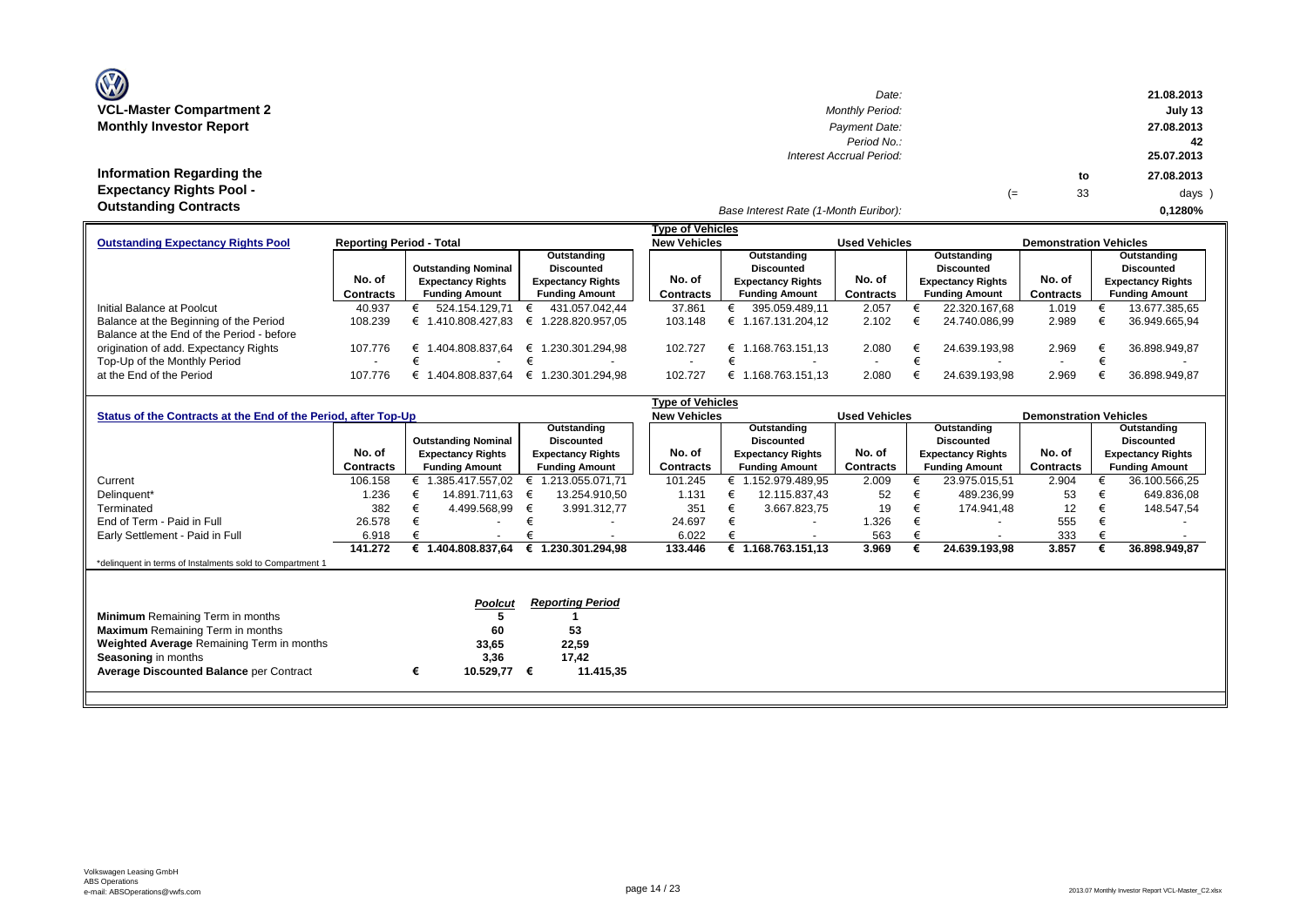| <b>OZ</b>                       |
|---------------------------------|
| <b>VCL-Master Compartment 2</b> |
| <b>Monthly Investor Report</b>  |

| $\mathbf{w}$                    | Date:                                 |    |    | 21.08.2013 |
|---------------------------------|---------------------------------------|----|----|------------|
| VCL-Master Compartment 2        | <b>Monthly Period:</b>                |    |    | July 13    |
| <b>Monthly Investor Report</b>  | Payment Date:                         |    |    | 27.08.2013 |
|                                 | Period No.:                           |    |    | -42        |
|                                 | Interest Accrual Period:              |    |    | 25.07.2013 |
| Information Regarding the       |                                       |    | to | 27.08.2013 |
| <b>Expectancy Rights Pool -</b> |                                       | (≕ | 33 | days )     |
| <b>Outstanding Contracts</b>    | Base Interest Rate (1-Month Euribor): |    |    | 0.1280%    |

|                                           |                                 |                            |                          | Type of Vehicles    |                          |                      |                          |                               |                          |
|-------------------------------------------|---------------------------------|----------------------------|--------------------------|---------------------|--------------------------|----------------------|--------------------------|-------------------------------|--------------------------|
| <b>Outstanding Expectancy Rights Pool</b> | <b>Reporting Period - Total</b> |                            |                          | <b>New Vehicles</b> |                          | <b>Used Vehicles</b> |                          | <b>Demonstration Vehicles</b> |                          |
|                                           |                                 |                            | Outstanding              |                     | Outstanding              |                      | Outstanding              |                               | Outstanding              |
|                                           |                                 | <b>Outstanding Nominal</b> | <b>Discounted</b>        |                     | Discounted               |                      | <b>Discounted</b>        |                               | Discounted               |
|                                           | No. of                          | <b>Expectancy Rights</b>   | <b>Expectancy Rights</b> | No. of              | <b>Expectancy Rights</b> | No. of               | <b>Expectancy Rights</b> | No. of                        | <b>Expectancy Rights</b> |
|                                           | <b>Contracts</b>                | <b>Funding Amount</b>      | <b>Funding Amount</b>    | Contracts           | <b>Funding Amount</b>    | Contracts            | <b>Funding Amount</b>    | Contracts                     | <b>Funding Amount</b>    |
| Initial Balance at Poolcut                | 40.937                          | 524.154.129.71             | 431.057.042.44           | 37.861              | 395.059.489.11           | 2.057                | 22.320.167.68            | 1.019                         | 13.677.385,65            |
| Balance at the Beginning of the Period    | 108.239                         | .410.808.427.83            | € 1.228.820.957.05       | 103.148             | € 1.167.131.204.12       | 2.102                | 24.740.086.99            | 2.989                         | 36.949.665,94            |
| Balance at the End of the Period - before |                                 |                            |                          |                     |                          |                      |                          |                               |                          |
| origination of add. Expectancy Rights     | 107.776                         | .404.808.837.64<br>╘       | € 1.230.301.294.98       | 102.727             | .168.763.151.13<br>€     | 2.080                | 24.639.193.98            | 2.969                         | 36.898.949,87            |
| Top-Up of the Monthly Period              | $\sim$                          |                            | $\overline{\phantom{a}}$ |                     |                          |                      |                          |                               |                          |
| at the End of the Period                  | 107.776                         | .404.808.837.64            | € 1.230.301.294.98       | 102.727             | .168.763.151.13          | 2.080                | 24.639.193.98            | 2.969                         | 36.898.949,87            |

|                                                                                                                                 |           |   |                               |   |                                        | Type of Vehicles    |   |                          |                      |                       |                          |                               |                   |                          |  |
|---------------------------------------------------------------------------------------------------------------------------------|-----------|---|-------------------------------|---|----------------------------------------|---------------------|---|--------------------------|----------------------|-----------------------|--------------------------|-------------------------------|-------------------|--------------------------|--|
| Status of the Contracts at the End of the Period, after Top-Up                                                                  |           |   |                               |   |                                        | <b>New Vehicles</b> |   |                          | <b>Used Vehicles</b> |                       |                          | <b>Demonstration Vehicles</b> |                   |                          |  |
|                                                                                                                                 |           |   | Outstanding                   |   |                                        | Outstanding         |   |                          | Outstanding          |                       |                          |                               |                   |                          |  |
|                                                                                                                                 |           |   | <b>Outstanding Nominal</b>    |   | <b>Discounted</b>                      |                     |   | Discounted               |                      |                       | Discounted               |                               | <b>Discounted</b> |                          |  |
|                                                                                                                                 | No. of    |   | <b>Expectancy Rights</b>      |   | <b>Expectancy Rights</b>               | No. of              |   | <b>Expectancy Rights</b> | No. of               |                       | <b>Expectancy Rights</b> | No. of                        |                   | <b>Expectancy Rights</b> |  |
|                                                                                                                                 | Contracts |   | <b>Funding Amount</b>         |   | <b>Funding Amount</b>                  | Contracts           |   | <b>Funding Amount</b>    | <b>Contracts</b>     | <b>Funding Amount</b> |                          | Contracts                     |                   | <b>Funding Amount</b>    |  |
| Current                                                                                                                         | 106.158   |   | € 1.385.417.557,02            |   | 1.213.055.071.71                       | 101.245             |   | € 1.152.979.489,95       | 2.009                |                       | 23.975.015,51            | 2.904                         |                   | 36.100.566,25            |  |
| Delinquent*                                                                                                                     | 1.236     |   | 14.891.711,63                 | € | 13.254.910,50                          | 1.131               |   | 12.115.837,43            | 52                   |                       | 489.236,99               | 53                            |                   | 649.836.08               |  |
| Terminated                                                                                                                      | 382       |   | 4.499.568,99                  | € | 3.991.312,77                           | 351                 |   | 3.667.823,75             | 19                   | €                     | 174.941,48               | 12                            |                   | 148.547,54               |  |
| End of Term - Paid in Full                                                                                                      | 26.578    |   |                               |   |                                        | 24.697              |   | $\overline{\phantom{a}}$ | 1.326                |                       | $\overline{\phantom{0}}$ | 555                           |                   |                          |  |
| Early Settlement - Paid in Full                                                                                                 | 6.918     |   |                               |   |                                        | 6.022               |   | $\overline{\phantom{a}}$ | 563                  |                       | $\overline{\phantom{a}}$ | 333                           |                   |                          |  |
|                                                                                                                                 | 141.272   |   | € 1.404.808.837,64            |   | € 1.230.301.294.98                     | 133.446             | € | 1.168.763.151.13         | 3.969                |                       | 24.639.193,98            | 3.857                         |                   | 36.898.949,87            |  |
| *delinquent in terms of Instalments sold to Compartment 1                                                                       |           |   |                               |   |                                        |                     |   |                          |                      |                       |                          |                               |                   |                          |  |
| <b>Minimum</b> Remaining Term in months<br><b>Maximum</b> Remaining Term in months<br>Weighted Average Remaining Term in months |           |   | <b>Poolcut</b><br>60<br>33,65 |   | <b>Reporting Period</b><br>53<br>22,59 |                     |   |                          |                      |                       |                          |                               |                   |                          |  |
| <b>Seasoning in months</b><br><b>Average Discounted Balance per Contract</b>                                                    |           | € | 3,36<br>10.529,77             | € | 17,42<br>11.415,35                     |                     |   |                          |                      |                       |                          |                               |                   |                          |  |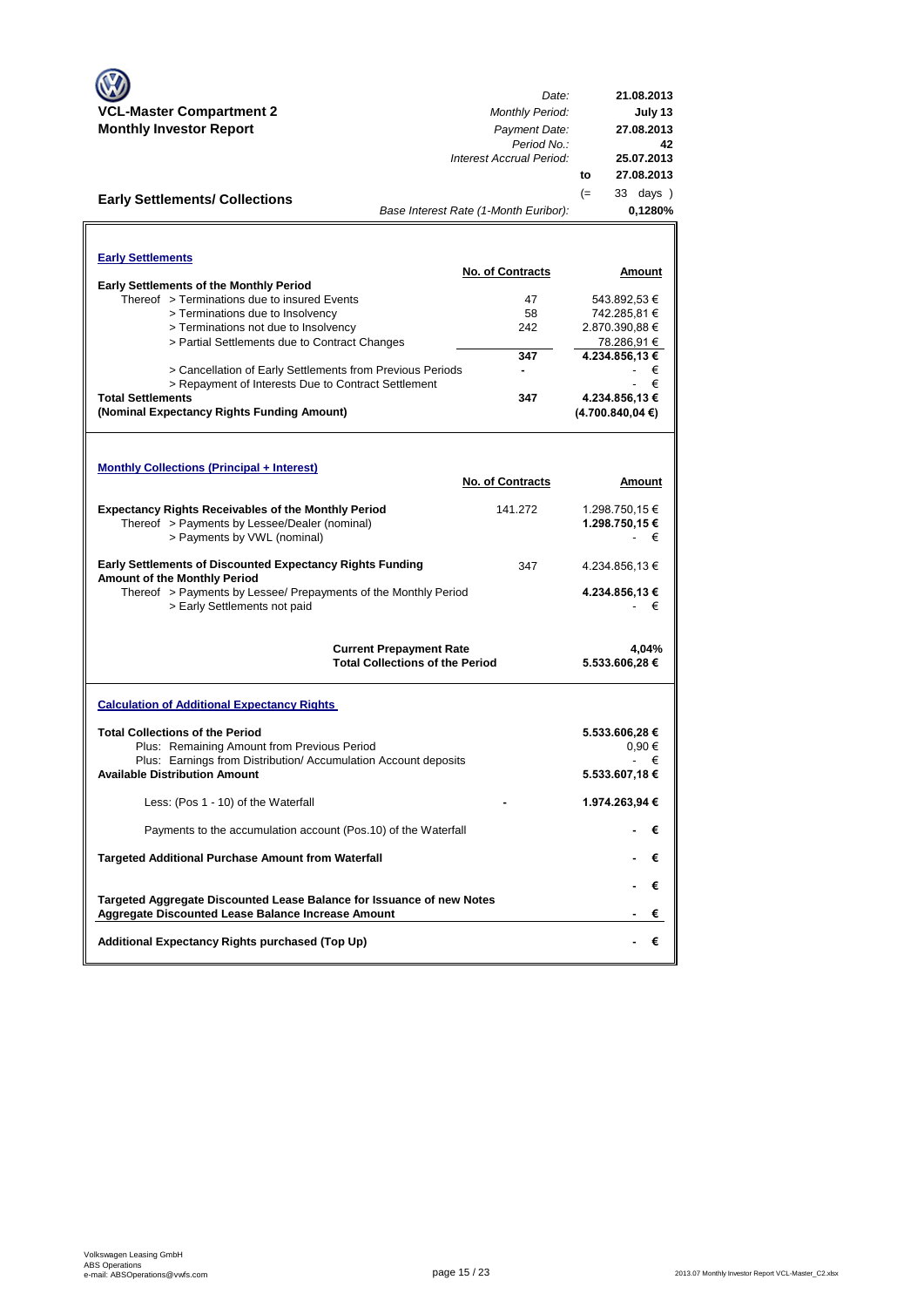|                                                                                                                             | Date:                                  | 21.08.2013                    |
|-----------------------------------------------------------------------------------------------------------------------------|----------------------------------------|-------------------------------|
| <b>VCL-Master Compartment 2</b>                                                                                             | <b>Monthly Period:</b>                 | July 13                       |
| <b>Monthly Investor Report</b>                                                                                              | Payment Date:<br>Period No.:           | 27.08.2013<br>42              |
|                                                                                                                             | Interest Accrual Period:               | 25.07.2013                    |
|                                                                                                                             |                                        | 27.08.2013<br>to              |
| <b>Early Settlements/ Collections</b>                                                                                       |                                        | 33 days )<br>$(=$             |
|                                                                                                                             | Base Interest Rate (1-Month Euribor):  | 0,1280%                       |
|                                                                                                                             |                                        |                               |
|                                                                                                                             |                                        |                               |
| <b>Early Settlements</b>                                                                                                    | <b>No. of Contracts</b>                | Amount                        |
| <b>Early Settlements of the Monthly Period</b>                                                                              |                                        |                               |
| Thereof > Terminations due to insured Events                                                                                | 47                                     | 543.892,53 €                  |
| > Terminations due to Insolvency                                                                                            | 58                                     | 742.285,81 €                  |
| > Terminations not due to Insolvency                                                                                        | 242                                    | 2.870.390,88 €                |
| > Partial Settlements due to Contract Changes                                                                               |                                        | 78.286,91 €<br>4.234.856,13 € |
| > Cancellation of Early Settlements from Previous Periods                                                                   | 347<br>۰                               | €                             |
| > Repayment of Interests Due to Contract Settlement                                                                         |                                        | €                             |
| <b>Total Settlements</b>                                                                                                    | 347                                    | 4.234.856,13 €                |
| (Nominal Expectancy Rights Funding Amount)                                                                                  |                                        | (4.700.840, 04€)              |
|                                                                                                                             |                                        |                               |
|                                                                                                                             |                                        |                               |
| <b>Monthly Collections (Principal + Interest)</b>                                                                           |                                        |                               |
|                                                                                                                             | <b>No. of Contracts</b>                | Amount                        |
|                                                                                                                             |                                        |                               |
| <b>Expectancy Rights Receivables of the Monthly Period</b>                                                                  | 141.272                                | 1.298.750,15 €                |
| Thereof > Payments by Lessee/Dealer (nominal)                                                                               |                                        | 1.298.750,15 €                |
| > Payments by VWL (nominal)                                                                                                 |                                        | €                             |
| <b>Early Settlements of Discounted Expectancy Rights Funding</b><br>Amount of the Monthly Period                            | 347                                    | 4.234.856,13 €                |
| Thereof > Payments by Lessee/ Prepayments of the Monthly Period                                                             |                                        | 4.234.856,13 €                |
| > Early Settlements not paid                                                                                                |                                        | €                             |
|                                                                                                                             |                                        |                               |
|                                                                                                                             | <b>Current Prepayment Rate</b>         | 4,04%                         |
|                                                                                                                             | <b>Total Collections of the Period</b> | 5.533.606,28 €                |
|                                                                                                                             |                                        |                               |
| <b>Calculation of Additional Expectancy Rights</b>                                                                          |                                        |                               |
| <b>Total Collections of the Period</b>                                                                                      |                                        | 5.533.606,28 €                |
| Plus: Remaining Amount from Previous Period                                                                                 |                                        | 0,90€                         |
| Plus: Earnings from Distribution/Accumulation Account deposits                                                              |                                        | €                             |
| <b>Available Distribution Amount</b>                                                                                        |                                        | 5.533.607,18 €                |
|                                                                                                                             |                                        |                               |
| Less: (Pos 1 - 10) of the Waterfall                                                                                         |                                        | 1.974.263,94 €                |
| Payments to the accumulation account (Pos.10) of the Waterfall                                                              |                                        | €                             |
| Targeted Additional Purchase Amount from Waterfall                                                                          |                                        | €                             |
|                                                                                                                             |                                        | €                             |
| Targeted Aggregate Discounted Lease Balance for Issuance of new Notes<br>Aggregate Discounted Lease Balance Increase Amount |                                        | €                             |
| Additional Expectancy Rights purchased (Top Up)                                                                             |                                        | €                             |
|                                                                                                                             |                                        |                               |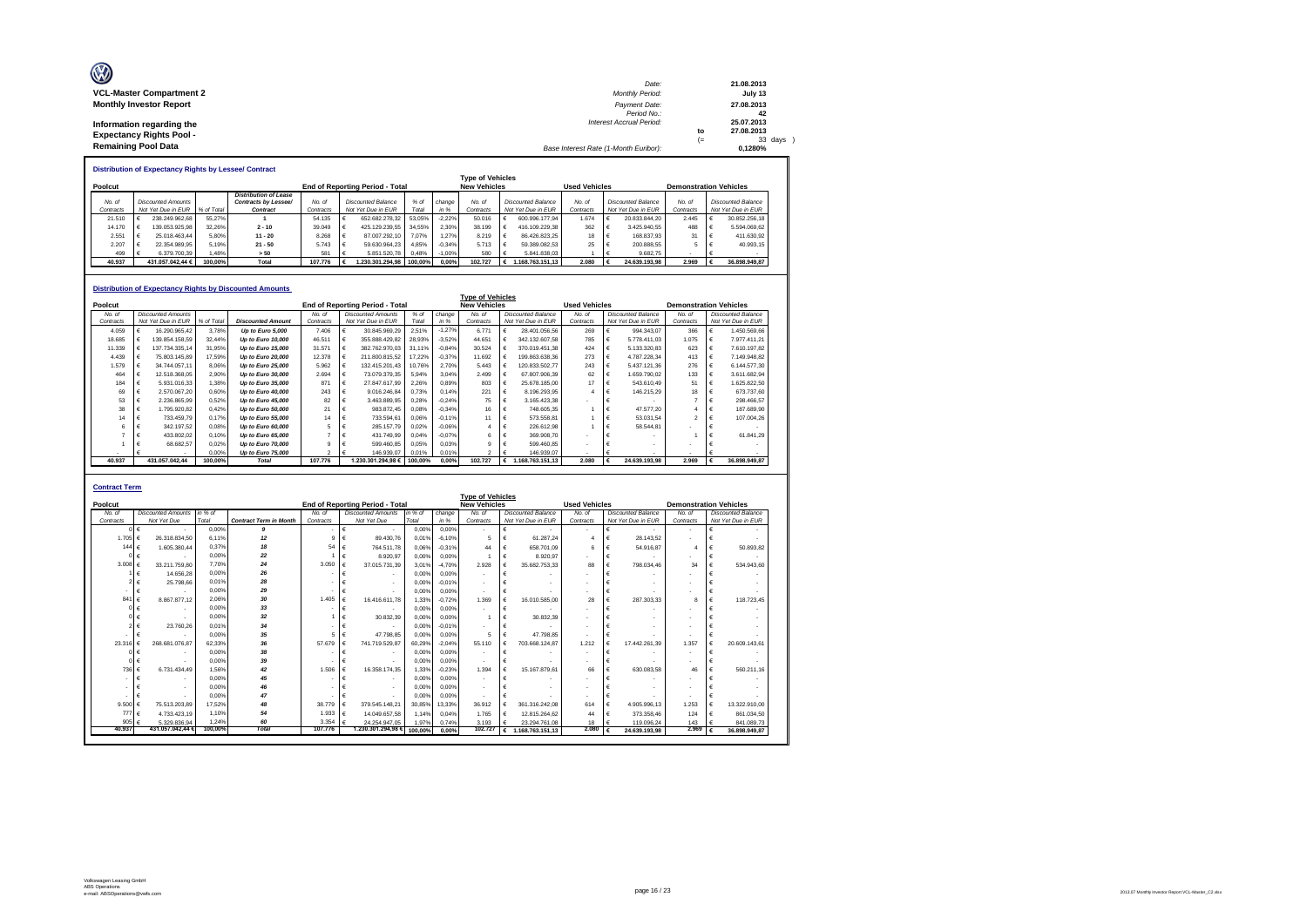| Ø                               | Date:                                 |    | 21.08.2013 |
|---------------------------------|---------------------------------------|----|------------|
| <b>VCL-Master Compartment 2</b> | <b>Monthly Period:</b>                |    | July 13    |
| <b>Monthly Investor Report</b>  | Payment Date:                         |    | 27.08.2013 |
|                                 | Period No.:                           |    | 42         |
| Information regarding the       | <b>Interest Accrual Period:</b>       |    | 25.07.2013 |
| <b>Expectancy Rights Pool -</b> |                                       | to | 27.08.2013 |
|                                 |                                       | ı. | 33 days )  |
| <b>Remaining Pool Data</b>      | Base Interest Rate (1-Month Euribor): |    | 0.1280%    |

**Distribution of Expectancy Rights by Lessee/ Contract**

|           | <b>Type of Vehicles</b> |                               |         |                       |           |  |                                        |         |          |                     |  |                      |           |                               |                    |           |  |                           |
|-----------|-------------------------|-------------------------------|---------|-----------------------|-----------|--|----------------------------------------|---------|----------|---------------------|--|----------------------|-----------|-------------------------------|--------------------|-----------|--|---------------------------|
| Poolcut   |                         |                               |         |                       |           |  | <b>End of Reporting Period - Total</b> |         |          | <b>New Vehicles</b> |  | <b>Used Vehicles</b> |           | <b>Demonstration Vehicles</b> |                    |           |  |                           |
|           |                         |                               |         | Distribution of Lease |           |  |                                        |         |          |                     |  |                      |           |                               |                    |           |  |                           |
| No. of    |                         | Discounted Amounts            |         | Contracts by Lessee/  | No. of    |  | Discounted Balance                     | $%$ of  | change   | No. of              |  | Discounted Balance   | No. of    |                               | Discounted Balance | No. of    |  | <b>Discounted Balance</b> |
| Contracts |                         | Not Yet Due in EUR % of Total |         | Contract              | Contracts |  | Not Yet Due in EUR                     | Total   | in %     | Contracts           |  | Not Yet Due in EUR   | Contracts |                               | Not Yet Due in EUR | Contracts |  | Not Yet Due in EUR        |
| 21.510    |                         | 238.249.962.68                | 55.27%  |                       | 54.135    |  | 652.682.278.32                         | 53.05%  | $-2.22%$ | 50.016              |  | 600.996.177.94       | 1.674     |                               | 20.833.844.20      | 2.445     |  | 30.852.256.18             |
| 14.170    |                         | 139.053.925.98                | 32.26%  | $2 - 10$              | 39.049    |  | 425.129.239.55                         | 34.55%  | 2.30%    | 38.199              |  | 416.109.229.38       | 362       |                               | 3.425.940.55       | 488       |  | 5.594.069.62              |
| 2.551     | . .                     | 25.018.463.44                 | 5.80%   | $11 - 20$             | 8.268     |  | 87.007.292.10                          | 7.07%   | .27%     | 8.219               |  | 86.426.823.25        | 18        |                               | 168,837.93         | 31        |  | 411.630.92                |
| 2.207     |                         | 22.354.989.95                 | 5.19%   | $21 - 50$             | 5.743     |  | 59.630.964.23                          | 4.85%   | $-0.34%$ | 5.713               |  | 59.389.082.53        | 25        |                               | 200.888.55         |           |  | 40.993.15                 |
| 499       |                         | 6.379.700.39                  | 1.48%   | > 50                  | 581       |  | 5.851.520.78                           | 0.48%   | $-1.00%$ | 580                 |  | 5.841.838.03         |           |                               | 9.682.75           |           |  |                           |
| 40.937    |                         | 431.057.042.44 €              | 100.00% | Total                 | 107,776   |  | .230.301.294.98                        | 100.00% | 0.00%    | 102.727             |  | .168.763.151.13      | 2.080     |                               | 24.639.193.98      | 2.969     |  | 36,898,949.87             |

|           |   |                           |            | <b>Distribution of Expectancy Rights by Discounted Amounts</b> |               |                                 |         |          |                         |   |                           |                      |   |                           |                               |   |                           |
|-----------|---|---------------------------|------------|----------------------------------------------------------------|---------------|---------------------------------|---------|----------|-------------------------|---|---------------------------|----------------------|---|---------------------------|-------------------------------|---|---------------------------|
|           |   |                           |            |                                                                |               |                                 |         |          | <b>Type of Vehicles</b> |   |                           |                      |   |                           |                               |   |                           |
| Poolcut   |   |                           |            |                                                                |               | End of Reporting Period - Total |         |          | <b>New Vehicles</b>     |   |                           | <b>Used Vehicles</b> |   |                           | <b>Demonstration Vehicles</b> |   |                           |
| No. of    |   | <b>Discounted Amounts</b> |            |                                                                | No of         | <b>Discounted Amounts</b>       | $%$ of  | change   | No. of                  |   | <b>Discounted Balance</b> | No. of               |   | <b>Discounted Balance</b> | No. of                        |   | <b>Discounted Balance</b> |
| Contracts |   | Not Yet Due in EUR        | % of Total | <b>Discounted Amount</b>                                       | Contracts     | Not Yet Due in EUR              | Total   | in %     | Contracts               |   | Not Yet Due in EUR        | Contracts            |   | Not Yet Due in EUR        | Contracts                     |   | Not Yet Due in EUR        |
| 4.059     |   | 16.290.965.42             | 3.78%      | Up to Euro 5,000                                               | 7.406         | 30.845.969.29                   | 2.51%   | $-1.27%$ | 6.771                   | € | 28,401.056.56             | 269                  |   | 994.343.07                | 366                           |   | 1.450.569.66              |
| 18.685    | € | 139.854.158.59            | 32.44%     | Up to Euro 10,000                                              | 46,511        | 355.888.429.82                  | 28,93%  | $-3.52%$ | 44.651                  | € | 342.132.607.58            | 785                  |   | 5.778.411.03              | 1.075                         | € | 7.977.411,21              |
| 11.339    |   | 137.734.335.14            | 31.95%     | Up to Euro 15,000                                              | 31.571        | 382.762.970.03                  | 31.11%  | $-0.84%$ | 30.524                  | € | 370.019.451.38            | 424                  |   | 5.133.320.83              | 623                           | € | 7.610.197.82              |
| 4.439     |   | 75.803.145.89             | 17.59%     | Up to Euro 20,000                                              | 12.378        | 211.800.815,52                  | 17.22%  | $-0,37%$ | 11.692                  | € | 199.863.638.36            | 273                  |   | 4.787.228.34              | 413                           | € | 7.149.948.82              |
| 1.579     |   | 34,744,057.11             | 8.06%      | Up to Euro 25,000                                              | 5.962         | 132.415.201.43                  | 10.76%  | 2.70%    | 5.443                   | € | 120.833.502.77            | 243                  |   | 5.437.121,36              | 276                           | € | 6.144.577,30              |
| 464       |   | 12.518.368.05             | 2.90%      | Up to Euro 30,000                                              | 2.694         | 73.079.379.35                   | 5.94%   | 3.04%    | 2.499                   |   | 67.807.906.39             | 62                   |   | 1.659.790.02              | 133                           | € | 3.611.682.94              |
| 184       |   | 5.931.016.33              | 1.38%      | Up to Euro 35,000                                              | 871           | 27.847.617.99                   | 2.26%   | 0,89%    | 803                     |   | 25.678.185.00             | 17                   |   | 543.610.49                | 51                            | € | 1.625.822.50              |
| 69        |   | 2.570.067.20              | 0.60%      | Up to Euro 40,000                                              | 243           | 9.016.246.84                    | 0.73%   | 0.14%    | 221                     | € | 8.196.293.95              |                      |   | 146.215.29                | 18                            | € | 673.737,60                |
| 53        |   | 2.236.865.99              | 0.52%      | Up to Euro 45,000                                              | 82            | 3.463.889,95                    | 0.28%   | $-0.24%$ | 75                      | € | 3.165.423.38              |                      |   |                           | 7                             | € | 298.466,57                |
| 38        |   | 1.795.920.82              | 0.42%      | Up to Euro 50,000                                              | 21            | 983.872.45                      | 0.08%   | $-0.34%$ | 16                      | € | 748.605.35                |                      |   | 47.577.20                 |                               | € | 187.689.90                |
| 14        |   | 733.459.79                | 0.17%      | Up to Euro 55,000                                              | 14            | 733.594.61                      | 0.06%   | $-0.11%$ | 11                      | € | 573.558.81                |                      |   | 53.031.54                 | $\mathcal{P}$                 | € | 107.004,26                |
| 6         |   | 342.197,52                | 0.08%      | Up to Euro 60,000                                              | 5             | 285.157,79                      | 0.02%   | $-0.06%$ |                         | € | 226.612.98                |                      |   | 58.544.81                 |                               |   |                           |
|           |   | 433.802.02                | 0.10%      | Up to Euro 65,000                                              |               | 431.749,99                      | 0.04%   | $-0.07%$ | 6                       | € | 369,908.70                |                      |   |                           |                               | € | 61.841,29                 |
|           |   | 68.682.57                 | 0.02%      | Up to Euro 70,000                                              |               | 599.460.85                      | 0.05%   | 0.03%    |                         | € | 599.460.85                |                      |   |                           |                               |   |                           |
|           |   |                           | 0.00%      | Up to Euro 75,000                                              | $\mathcal{P}$ | 146.939.07                      | 0.01%   | 0.01%    | $\overline{ }$          |   | 146.939.07                |                      |   |                           | $\overline{\phantom{a}}$      |   |                           |
| 40.937    |   | 431.057.042.44            | 100.00%    | <b>Total</b>                                                   | 107.776       | 1.230.301.294,98 €              | 100.00% | 0.00%    | 102.727                 |   | € 1.168.763.151,13        | 2.080                | € | 24.639.193.98             | 2.969                         | € | 36.898.949.87             |

| <b>Contract Term</b> |                             |         |                               |              |                                        |         |          |                          |            |                    |                          |   |                               |                |   |                    |
|----------------------|-----------------------------|---------|-------------------------------|--------------|----------------------------------------|---------|----------|--------------------------|------------|--------------------|--------------------------|---|-------------------------------|----------------|---|--------------------|
|                      |                             |         |                               |              |                                        |         |          | <b>Type of Vehicles</b>  |            |                    |                          |   |                               |                |   |                    |
| Poolcut              |                             |         |                               |              | <b>End of Reporting Period - Total</b> |         |          | <b>New Vehicles</b>      |            |                    | <b>Used Vehicles</b>     |   | <b>Demonstration Vehicles</b> |                |   |                    |
| No. of               | <b>Discounted Amounts</b>   | in % of |                               | No. of       | <b>Discounted Amounts</b>              | in % of | change   | No of                    |            | Discounted Balance | No of                    |   | <b>Discounted Balance</b>     | No of          |   | Discounted Balance |
| Contracts            | Not Yet Due                 | Total   | <b>Contract Term in Month</b> | Contracts    | Not Yet Due                            | Total   | in %     | Contracts                |            | Not Yet Due in EUR | Contracts                |   | Not Yet Due in EUR            | Contracts      |   | Not Yet Due in EUR |
|                      | €                           | 0.00%   | 9                             |              | €<br>$\blacksquare$                    | 0.00%   | 0.00%    | $\overline{\phantom{a}}$ | $\epsilon$ |                    |                          |   |                               | $\blacksquare$ | € |                    |
| 1.705 $\epsilon$     | 26.318.834.50               | 6.11%   | 12                            | $\mathbf{Q}$ | €<br>89.430.76                         | 0.01%   | $-6.10%$ | 5                        | €          | 61.287.24          |                          |   | 28.143.52                     |                |   |                    |
| 144 $6$              | 1.605.380.44                | 0.37%   | 18                            | 54           | €<br>764.511.78                        | 0.06%   | $-0.31%$ | 44                       | €          | 658,701.09         | 6                        |   | 54.916.87                     | 4              | € | 50.893.82          |
|                      | $\epsilon$                  | 0.00%   | 22                            |              | €<br>8.920.97                          | 0.00%   | 0.00%    |                          | $\epsilon$ | 8.920.97           |                          | € |                               |                | € |                    |
| 3.008                | 33.211.759.80<br>$\epsilon$ | 7.70%   | 24                            | 3.050        | €<br>37.015.731.39                     | 3.01%   | $-4.70%$ | 2.928                    | $\epsilon$ | 35.682.753.33      | 88                       | € | 798.034.46                    | 34             | € | 534.943.60         |
|                      | 14.656.28<br>$\epsilon$     | 0.00%   | 26                            |              | €                                      | 0.00%   | 0.00%    | $\overline{\phantom{a}}$ | €          |                    |                          |   |                               |                |   |                    |
|                      | 25.798.66                   | 0.01%   | 28                            |              | €<br>$\overline{\phantom{a}}$          | 0.00%   | $-0.01%$ |                          | €          |                    |                          |   |                               |                |   |                    |
| ٠                    | €                           | 0.00%   | 29                            |              | €<br>$\overline{\phantom{a}}$          | 0.00%   | 0.00%    | $\overline{\phantom{a}}$ | €          |                    |                          |   |                               |                | € |                    |
| 841                  | 8.867.877.12<br>$\epsilon$  | 2.06%   | 30                            | 1.405        | €<br>16.416.611.78                     | 1.33%   | $-0.72%$ | 1.369                    | $\epsilon$ | 16.010.585.00      | 28                       |   | 287.303.33                    | 8              | € | 118,723.45         |
|                      | $\epsilon$                  | 0.00%   | 33                            |              | €<br>$\overline{\phantom{a}}$          | 0.00%   | 0.00%    | $\sim$                   | €          |                    |                          |   |                               |                |   |                    |
|                      |                             | 0.00%   | 32                            |              | €<br>30.832.39                         | 0.00%   | 0.00%    |                          | €          | 30.832.39          |                          |   |                               |                |   |                    |
|                      | 23,760.26                   | 0.01%   | 34                            |              | €<br>$\overline{\phantom{a}}$          | 0.00%   | $-0.01%$ |                          | $\epsilon$ |                    |                          |   |                               |                |   |                    |
|                      |                             | 0.00%   | 35                            | 5            | €<br>47.798.85                         | 0,00%   | 0.00%    | 5                        | €          | 47.798.85          | $\overline{\phantom{a}}$ |   |                               |                |   |                    |
| 23.316               | 268.681.076.87              | 62.33%  | 36                            | 57,679       | €<br>741.719.529.87                    | 60.29%  | $-2.04%$ | 55 110                   |            | 703.668.124.87     | 1.212                    |   | 17.442.261.39                 | 1.357          |   | 20.609.143.61      |
|                      |                             | 0.00%   | 38                            |              | €<br>$\overline{\phantom{a}}$          | 0.00%   | 0.00%    | $\overline{\phantom{a}}$ | €          |                    |                          |   |                               |                |   |                    |
|                      |                             | 0.00%   | 39                            |              | €<br>$\overline{\phantom{a}}$          | 0.00%   | 0.00%    | $\sim$                   | $\epsilon$ |                    |                          |   |                               |                | € |                    |
| 736 €                | 6.731.434.49                | 1.56%   | 42                            | 1.506        | €<br>16.358.174.35                     | 1.33%   | $-0.23%$ | 1.394                    | $\epsilon$ | 15.167.879.61      | 66                       |   | 630.083.58                    | 46             | € | 560.211.16         |
|                      |                             | 0.00%   | 45                            |              | €<br>$\overline{\phantom{a}}$          | 0.00%   | 0.00%    |                          | €          |                    |                          |   |                               |                |   |                    |
|                      |                             | 0.00%   | 46                            |              | €<br>$\overline{\phantom{a}}$          | 0,00%   | 0.00%    | $\overline{\phantom{a}}$ | $\epsilon$ | . .                |                          |   |                               |                |   |                    |
|                      | €                           | 0.00%   | 47                            |              | €<br>$\overline{\phantom{a}}$          | 0.00%   | 0.00%    |                          | €          |                    |                          |   |                               |                | € |                    |
| 9.500                | 75.513.203.89               | 17.52%  | 48                            | 38,779       | $\epsilon$<br>379.545.148.21           | 30.85%  | 13.33%   | 36.912                   |            | 361.316.242.08     | 614                      |   | 4.905.996.13                  | 1.253          |   | 13.322.910.00      |
| 777 €                | 4.733.423.19                | 1.10%   | 54                            | 1.933        | $\epsilon$<br>14.049.657.58            | 1.14%   | 0.04%    | 1.765                    | $\epsilon$ | 12.815.264.62      | 44                       |   | 373,358.46                    | 124            | € | 861.034.50         |
| 905 $\in$            | 5.329.836.94                | 1.24%   | 60                            | 3.354        | €<br>24.254.947.05                     | 1.97%   | 0.74%    | 3.193                    |            | 23.294.761.08      | 18                       |   | 119.096.24                    | 143            |   | 841.089.73         |
| 40.937               | 431.057.042.44 €            | 100.00% | Total                         | 107.776      | 1.230.301.294.98                       | 100,009 | 0.00%    | 102,727                  | €          | 1.168.763.151.13   | 2.080                    |   | 24.639.193.98                 | 2.969          |   | 36.898.949.87      |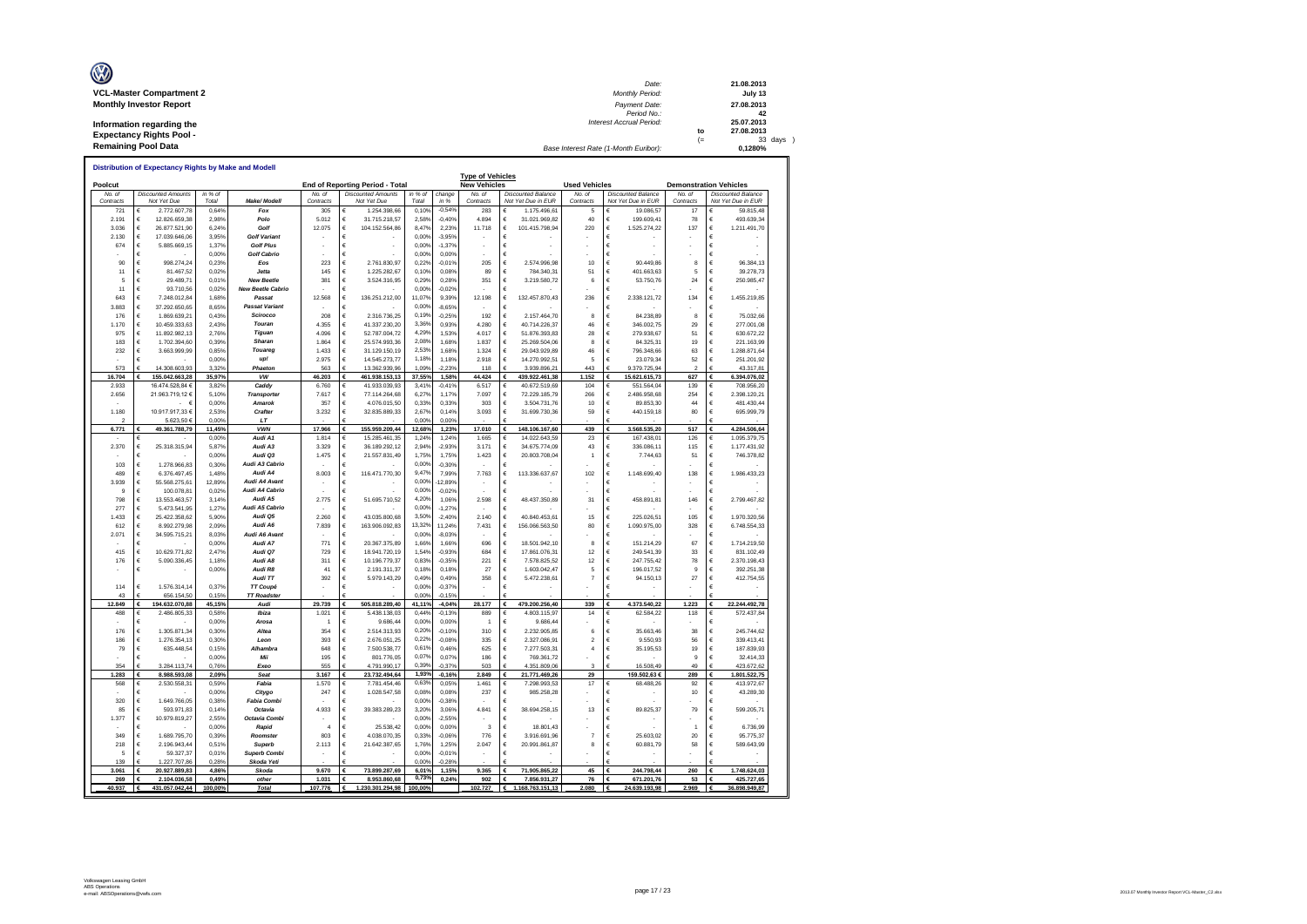| Ø                               | Date:                                 |      | 21.08.2013 |
|---------------------------------|---------------------------------------|------|------------|
| <b>VCL-Master Compartment 2</b> | Monthly Period:                       |      | July 13    |
| <b>Monthly Investor Report</b>  | Payment Date:                         |      | 27.08.2013 |
|                                 | Period No.:                           |      | 42         |
| Information regarding the       | <b>Interest Accrual Period:</b>       |      | 25.07.2013 |
| <b>Expectancy Rights Pool -</b> |                                       | to   | 27.08.2013 |
|                                 |                                       | $(=$ | 33 days )  |
| <b>Remaining Pool Data</b>      | Base Interest Rate (1-Month Euribor): |      | 0.1280%    |

| Poolcut      |                                         |                |                                        |                | End of Reporting Period - Total          |                   |                   | <b>Type of Vehicles</b><br><b>New Vehicles</b> |                                    | <b>Used Vehicles</b>     |                               |              | <b>Demonstration Vehicles</b>   |
|--------------|-----------------------------------------|----------------|----------------------------------------|----------------|------------------------------------------|-------------------|-------------------|------------------------------------------------|------------------------------------|--------------------------|-------------------------------|--------------|---------------------------------|
| No of        | <b>Discounted Amounts</b>               | in $%$ of      |                                        | No. of         | <b>Discounted Amounts</b>                | in % of           | change            | No. of                                         | <b>Discounted Balance</b>          | No. of                   | <b>Discounted Balance</b>     | No. of       | <b>Discounted Balance</b>       |
| Contracts    | Not Yet Due                             | Total          | Make/ Modell                           | Contract:      | Not Yet Due                              | Total             | in %              | Contracts                                      | Not Yet Due in EUR                 | Contracts                | Not Yet Due in EUR            | Contracts    | Not Yet Due in EUR              |
| 721          | 2.772.607,78                            | 0,64%          | Fox                                    | 305            | 1.254.398,66                             | 0.10%             | $-0,549$          | 283                                            | €<br>1.175.496.61                  | 5                        | 19.086,57                     | 17           | 59.815.48                       |
| 2.191        | €<br>12.826.659.38                      | 2.98%          | Polo                                   | 5.012          | €<br>31.715.218.57                       | 2.589             | $-0.40%$          | 4.894                                          | €<br>31.021.969.82                 | 40                       | 199,609.41                    | 78           | €<br>493.639.34                 |
| 3.036        | €<br>26 877 521 90                      | 6.24%          | Golf                                   | 12 075         | €<br>104.152.564,86                      | 8.47              | 2.23%             | 11718                                          | €<br>101.415.798,94                | 220                      | €<br>1.525.274,22             | 137          | €<br>1.211.491,70               |
| 2.130<br>674 | €<br>17.039.646,06<br>€<br>5.885.669.15 | 3,95%          | <b>Golf Variant</b>                    |                | €<br>€                                   | 0.00%<br>0.00%    | $-3,95%$          |                                                | €<br>€                             |                          |                               |              | Ë<br>€                          |
|              | €<br>$\overline{\phantom{a}}$           | 1,37%<br>0.00% | <b>Golf Plus</b><br><b>Golf Cabrio</b> |                | £                                        | 0.00%             | $-1,37%$<br>0.00% |                                                | €                                  |                          |                               |              | Ë                               |
| 90           | €<br>998.274.24                         | 0.23%          | Eos                                    | 223            | €<br>2 761 830 97                        | 0.229             | $-0.01%$          | 205                                            | €<br>2.574.996.98                  | 10                       | €<br>90 449 86                | 8            | F<br>96.384.13                  |
| 11           | €<br>81,467.52                          | 0.02%          | <b>Jetta</b>                           | 145            | €<br>1 225 282 67                        | 0.10%             | 0.08%             | 89                                             | €<br>784 340 31                    | 51                       | €<br>401 663 63               | 5            | €<br>39 278 73                  |
| 5            | €<br>29.489,71                          | 0.01%          | <b>New Beetle</b>                      | 381            | 3.524.316,95<br>€                        | 0.299             | 0.28%             | 351                                            | €<br>3.219.580,72                  | 6                        | €<br>53.750,76                | 24           | €<br>250.985,47                 |
| 11           | €<br>93.710,56                          | 0,02%          | <b>New Beetle Cabrio</b>               |                | €                                        | 0,00%             | $-0,02%$          |                                                | €                                  |                          | €                             |              | €                               |
| 643          | 7.248.012,84<br>€                       | 1,68%          | Passat                                 | 12.568         | 136.251.212,00<br>€                      | 11.07             | 9,39%             | 12.198                                         | €<br>132.457.870,43                | 236                      | 2.338.121,72<br>€             | 134          | 1.455.219,85<br>€               |
| 3.883        | €<br>37.292.650,65                      | 8,65%          | <b>Passat Variant</b>                  |                | $\epsilon$                               | 0.009             | $-8,65%$          |                                                | €                                  |                          | €                             |              | €                               |
| 176          | $\epsilon$<br>1869 639 21               | 0.43%          | Scirocco                               | 208            | 2 316 736 25<br>€                        | 0,19%             | $-0.25%$          | 192                                            | 2 157 464 70<br>$\epsilon$         | 8                        | $\epsilon$<br>84 238 89       | $\mathbf{a}$ | 75.032.66<br>€                  |
| 1.170        | $\epsilon$<br>10.459.333.63             | 2 43%          | Touran                                 | 4.355          | 41.337.230.20<br>€                       | 3.36%             | 0.93%             | 4 280                                          | €<br>40.714.226.37                 | 46                       | $\epsilon$<br>346,002.75      | 29           | €<br>277.001.08                 |
| 975          | $\epsilon$<br>11.892.982.13             | 2.76%          | Tiguan                                 | 4.096          | €<br>52.787.004.72                       | 4.29%             | 1.53%             | 4.017                                          | €<br>51 876 393 83                 | 28                       | $\epsilon$<br>279 938 67      | 51           | €<br>630 672 22                 |
| 183          | $\epsilon$<br>1.702.394.60              | 0.39%          | Sharan                                 | 1.864          | €<br>25.574.993.36                       | 2.08%             | 1,68%             | 1.837                                          | €<br>25.269.504.06                 | 8                        | $\epsilon$<br>84,325.31       | 19           | €<br>221.163,99                 |
| 232          | €<br>3.663.999,99                       | 0,85%          | Touareg                                | 1.433          | €<br>31.129.150,19                       | 2.539             | 1,689             | 1.324                                          | €<br>29.043.929,89                 | 46                       | $\epsilon$<br>796.348,66      | 63           | €<br>1.288.871,64               |
|              | €                                       | 0,00%          | up!                                    | 2.975          | 14.545.273,77<br>€                       | 1.189             | 1.18%             | 2.918                                          | €<br>14.270.992,51                 | 5                        | $\epsilon$<br>23.079,34       | 52           | €<br>251.201,92                 |
| 573          | 14.308.603.93                           | 3.329          | Phaeton                                | 563            | 13.362.939.96                            | 1.099             | $-2.239$          | 118                                            | 3.939.896.2                        | 443                      | 9.379.725.94                  | 2            | 43.317.8                        |
| 16.704       | 155.042.663.28                          | 35.97%         | <b>VW</b>                              | 46.203         | 461.938.153,13                           | 37,55%            | 1.58%             | 44.424                                         | €<br>439.922.461.38                | 1.152                    | $\epsilon$<br>15.621.615.73   | 627          | 6.394.076,02                    |
| 2.933        | 16.474.528.84 6                         | 3829           | Caddy                                  | 6.760          | 41.933.039,93<br>$\epsilon$              | 3.41%             | $-0,419$          | 6.517                                          | €<br>40.672.519.69                 | 104                      | 551.564,04<br>€               | 139          | €<br>708.956.20                 |
| 2.656        | 21.963.719.12 €                         | 5.10%          | Transporter<br>Amarok                  | 7.617          | 77.114.264.68<br>€                       | 6.27              | 1.17%             | 7.097                                          | €<br>72.229.185.79                 | 266                      | $\epsilon$<br>2.486.958.68    | 254          | 2.398.120.21<br>€               |
|              | - 6                                     | 0.00%          |                                        | 357            | 4 076 015 50<br>£                        | 0,33%             | 0.33%             | 303                                            | €<br>3 504 731 76                  | 10                       | 89 853 30<br>€                | 44           | €<br>481 430 44                 |
| 1.180        | 10.917.917.33 6                         | 2.53%<br>0.00% | Crafter<br>1T                          | 3.232          | 32.835.889.33<br>€                       | 2.67<br>0.00%     | 0.14%<br>0.00%    | 3.093                                          | €<br>31.699.730.36                 | 59                       | 440.159.18<br>€               | 80           | €<br>695.999.79                 |
| 6.771        | 5.623.50 6<br>49.361.788,79<br>€        | 11,45%         | <b>VWN</b>                             | 17.966         | €<br>155.959.209,44                      | 12,68%            | 1,23%             | 17.010                                         | €<br>148.106.167,60                | 439                      | 3.568.535,20<br>€             | 517          | €<br>4.284.506,64               |
|              | €                                       | 0,00%          | Audi A1                                | 1.814          | 15.285.461,35<br>€                       | 1,24%             | 1,24%             | 1.665                                          | €<br>14.022.643,59                 | 23                       | 167.438,01                    | 126          | 1.095.379,75<br>€               |
| 2.370        | 25.318.315,94<br>€                      | 5.87%          | Audi A3                                | 3.329          | €<br>36.189.292.12                       | 2,94%             | $-2,93%$          | 3.171                                          | €<br>34.675.774.09                 | 43                       | 336.086,11<br>€               | 115          | €<br>1.177.431.92               |
|              | €                                       | 0.00%          | Audi Q3                                | 1.475          | €<br>21.557.831,49                       | 1.75%             | 1.75%             | 1.423                                          | €<br>20.803.708.04                 | $\overline{1}$           | €<br>7.744,63                 | 51           | €<br>746.378,82                 |
| 103          | €<br>1.278.966,83                       | 0,30%          | Audi A3 Cabrio                         |                | €                                        | 0,00%             | $-0,30%$          |                                                | €                                  |                          |                               |              | €                               |
| 489          | €<br>6.376.497.45                       | 1.48%          | Audi A4                                | 8.003          | €<br>116.471.770,30                      | 9.47%             | 7.99%             | 7.763                                          | €<br>113.336.637.67                | 102                      | €<br>1.148.699.40             | 138          | 1.986.433,23<br>€               |
| 3.939        | €<br>55.568.275.61                      | 12.89%         | Audi A4 Avant                          |                | €                                        | 0.00%             | 12,89%            |                                                | €                                  |                          | €                             |              | €                               |
| 9            | €<br>100.078.8                          | 0.02%          | Audi A4 Cabrio                         |                | €                                        | 0.00%             | $-0,02%$          |                                                | €                                  |                          | €                             |              | €                               |
| 798          | €<br>13.553.463,57                      | 3,14%          | Audi A5                                | 2.775          | €<br>51.695.710,52                       | 4.20%             | 1,069             | 2.598                                          | €<br>48.437.350,89                 | 31                       | €<br>458.891,81               | 146          | €<br>2.799.467,82               |
| 277          | €<br>5.473.541.95                       | 1,27%          | Audi A5 Cabrio                         |                | €                                        | 0.00%             | $-1,27%$          |                                                | €                                  |                          |                               |              | €                               |
| 1.433        | €<br>25.422.358.62                      | 5,90%          | Audi Q5                                | 2.260          | €<br>43.035.800.68                       | 3,50%             | $-2.40%$          | 2.140                                          | €<br>40.840.453.6                  | 15                       | €<br>225.026.51               | 105          | €<br>1.970.320.56               |
| 612          | €<br>8 992 279 98                       | 2.09%          | Audi A6                                | 7.839          | €<br>163.906.092,83                      | 13.329            | 11,24%            | 7.431                                          | €<br>156.066.563,50                | 80                       | $\epsilon$<br>1.090.975,00    | 328          | €<br>6.748.554,33               |
| 2.071        | €<br>34.595.715.21                      | 8,03%          | Audi A6 Avant                          |                | €                                        | 0.009             | $-8,03%$          |                                                | €                                  |                          |                               |              | €                               |
| 415          | €                                       | 0.00%<br>2.47% | Audi A7<br>Audi O7                     | 771<br>729     | $\epsilon$<br>20.367.375.89              | 1.66%<br>1,54%    | 1.66%<br>$-0.93%$ | 696<br>684                                     | €<br>18,501.942.10<br>$\epsilon$   | 8<br>12                  | €<br>151.214.29<br>249 541 39 | 67<br>33     | €<br>1.714.219.50<br>831 102 49 |
| 176          | €<br>10 629 771 82<br>€<br>5.090.336.45 | 1,18%          | Audi A8                                | 311            | €<br>18 941 720 19<br>€<br>10.196.779.37 | 0.83%             | $-0.35%$          | 221                                            | 17 861 076 31<br>€<br>7.578.825.52 | 12                       | €<br>€<br>247.755.42          | 78           | €<br>2.370.198.43<br>€          |
|              | €                                       | 0.00%          | Audi R8                                | 41             | €<br>2.191.311.37                        | 0.18%             | 0.18%             | 27                                             | €<br>1.603.042.47                  | 5                        | €<br>196,017.52               | $\mathbf{q}$ | €<br>392.251.38                 |
|              |                                         |                | Audi TT                                | 392            | €<br>5.979.143,29                        | 0.49%             | 0,49%             | 358                                            | €<br>5.472.238,61                  | $\overline{7}$           | €<br>94.150,13                | 27           | €<br>412.754,55                 |
| 114          | €<br>1.576.314,14                       | 0.37%          | TT Coupé                               |                | €                                        | 0,00%             | $-0,37%$          |                                                | €                                  |                          | $\epsilon$                    |              | €                               |
| 43           | 656.154.50                              | 0,15%          | <b>TT Roadster</b>                     |                |                                          | 0.00%             | $-0,15%$          |                                                |                                    |                          |                               |              |                                 |
| 12.849       | 194.632.070.88                          | 45,15%         | Audi                                   | 29.739         | 505.818.289,40<br>€                      | 41,11%            | $-4,04%$          | 28.177                                         | 479.200.256,40<br>€                | 339                      | 4.373.540,22<br>€             | 1.223        | 22.244.492,78                   |
| 488          | €<br>2.486.805,33                       | 0,58%          | Ibiza                                  | 1.021          | $\epsilon$<br>5.438.138,03               | 0.44              | $-0,139$          | 889                                            | €<br>4.803.115,97                  | 14                       | $\epsilon$<br>62.584,22       | 118          | €<br>572.437,84                 |
|              | €                                       | 0,00%          | Arosa                                  | 1              | €<br>9.686.44                            | 0.00%             | 0,00%             | 1                                              | €<br>9.686.44                      |                          | €                             |              | €                               |
| 176          | €<br>1.305.871.34                       | 0.30%          | Altea                                  | 354            | 2.514.313.93<br>€                        | 0.20%             | $-0.10%$          | 310                                            | €<br>2.232.905.85                  | 6                        | $\epsilon$<br>35.663.46       | 38           | 245.744.62<br>€                 |
| 186          | $\epsilon$<br>1 276 354 13              | 0.30%          | Leon                                   | 393            | 2.676.051.25<br>€                        | 0.229             | $-0.08%$          | 335                                            | €<br>2.327.086.91                  | $\overline{\phantom{a}}$ | $\epsilon$<br>9.550.93        | 56           | €<br>339.413.41                 |
| 79           | €<br>635.448,54                         | 0,15%          | Alhambra                               | 648            | €<br>7.500.538,77                        | 0.619             | 0,469             | 625                                            | €<br>7.277.503,31                  | $\overline{4}$           | €<br>35.195,53                | 19           | €<br>187.839,93                 |
|              | €                                       | 0,00%          | Mii                                    | 195            | €<br>801.776.05                          | 0.07              | 0,079             | 186                                            | €<br>769.361.72                    |                          | $\epsilon$                    | 9            | €<br>32.414.33                  |
| 354          | 3.284.113.74                            | 0.76%          | Exeo                                   | 555            | 4.791.990.17                             | 0.39 <sup>6</sup> | $-0.379$          | 503                                            | 4.351.809.06                       | 3                        | 16.508.49                     | 49           | 423.672.62                      |
| 1.283        | 8.988.593.08                            | 2,09%          | Sear                                   | 3.167          | 23.732.494.64                            | 1,93%             | $-0.16°$          | 2.849                                          | €<br>21.771.469,26                 | 29                       | 159.502,63 €                  | 289          | 1.801.522,75                    |
| 568          | 2.530.558,31<br>€                       | 0.59%          | Fabia                                  | 1.570          | 7.781.454.46<br>€                        | 0.639<br>0.08%    | 0.05%             | 1.461                                          | €<br>7.298.993,53                  | 17                       | 68.488,26                     | 92           | €<br>413.972.67                 |
| 320          | €                                       | 0.00%<br>0.38% | Citvao                                 | 247            | 1.028.547.58<br>€                        | 0,00%             | 0.08%             | 237                                            | €<br>985.258.28                    |                          |                               | 10           | 43.289.30<br>€                  |
| 85           | €<br>1 649 766 05<br>€                  |                | <b>Fabia Combi</b><br>Octavia          |                | £<br>€                                   | 3.20%             | $-0.389$<br>3.06% |                                                | €<br>€                             |                          | €                             | 79           | €<br>€                          |
| 1.377        | 593.971.83<br>€<br>10.979.819.27        | 0.14%<br>2.55% | Octavia Combi                          | 4.933          | 39.383.289.23<br>€                       | 0.00%             | $-2.559$          | 4.841                                          | 38.694.258.15<br>€                 | 13                       | 89.825.37<br>€                |              | 599.205.7<br>€                  |
|              | €                                       | 0.00%          | Rapid                                  | $\overline{a}$ | €<br>25.538.42                           | 0.00%             | 0.00%             | 3                                              | €<br>18.801,43                     |                          | €                             | 1            | €<br>6.736,99                   |
| 349          | €<br>1.689.795,70                       | 0,39%          | Roomster                               | 803            | €<br>4.038.070,35                        | 0.33%             | $-0,06%$          | 776                                            | €<br>3.916.691,96                  | $\overline{7}$           | 25.603,02<br>€                | 20           | €<br>95,775.37                  |
| 218          | €<br>2.196.943.44                       | 0.51%          | <b>Superb</b>                          | 2.113          | 21.642.387,65<br>€                       | 1,76%             | 1.25%             | 2.047                                          | €<br>20.991.861.87                 | 8                        | €<br>60.881.79                | 58           | €<br>589.643,99                 |
| 5            | €<br>59.327.37                          | 0.01%          | <b>Superb Combi</b>                    |                | €                                        | 0.005             | $-0.019$          |                                                | €                                  |                          | €                             |              | €                               |
| 139          | 1 227 707 86                            | 0.28%          | Skoda Yeti                             |                |                                          | 0.00%             | $-0.289$          |                                                |                                    |                          |                               |              |                                 |
| 3.061        | €<br>20.927.889,83                      | 4,86%          | Skoda                                  | 9.670          | 73.899.287,69<br>€                       | 6,01%             | 1,15%             | 9.365                                          | €<br>71.905.865,22                 | 45                       | €<br>244.798,44               | 260          | 1.748.624,03                    |
|              |                                         |                | other                                  | 1.031          | 8.953.860.68                             | 0,73%             | 0.24%             | 902                                            | €<br>7.856.931.27                  | 76                       | 671.201.76                    | 53           | 425.727.65                      |
| 269          | 2.104.036.58                            | 0.49%          |                                        |                |                                          |                   |                   |                                                |                                    |                          |                               |              |                                 |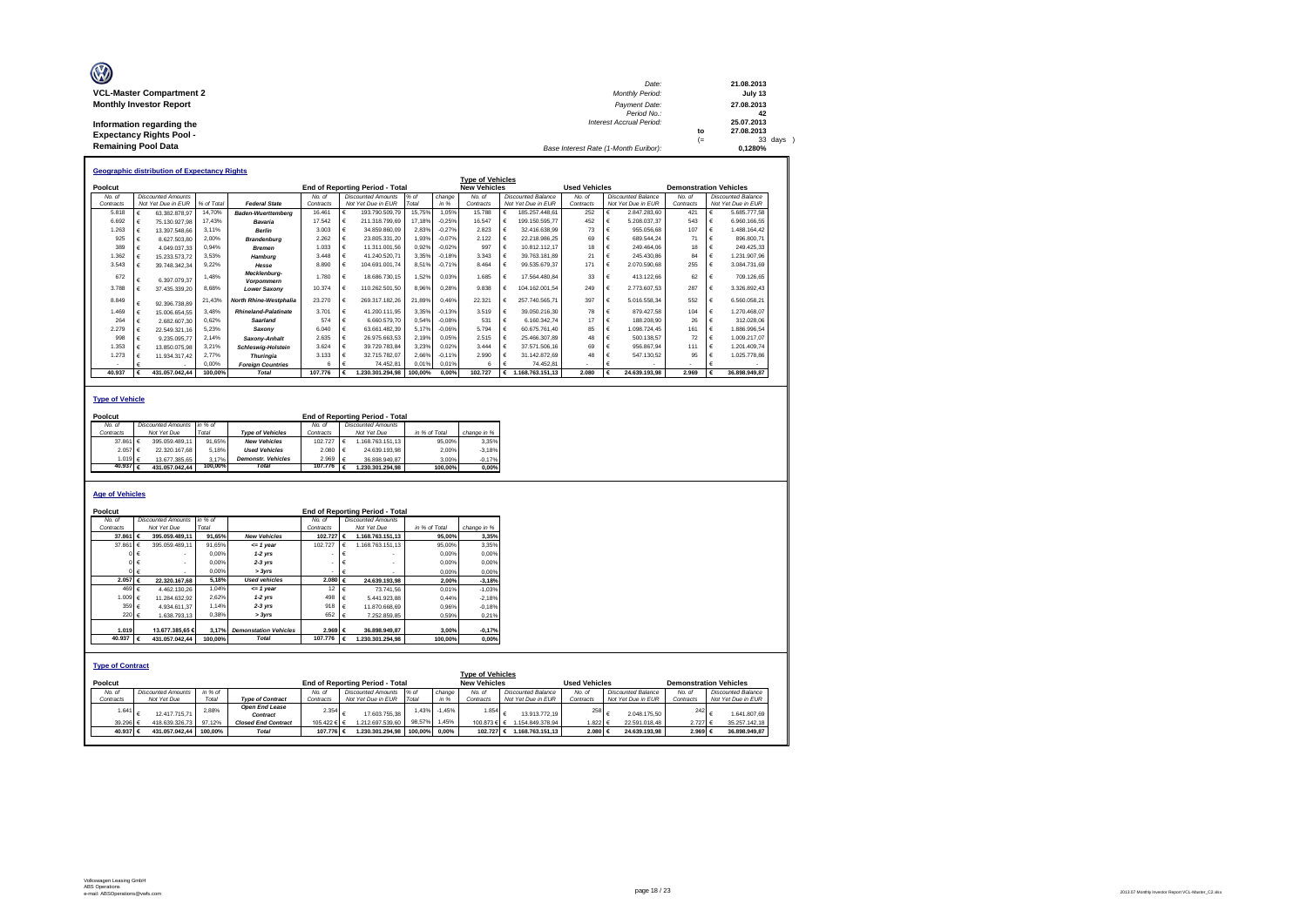| Ø                               | Date:                                 |     | 21.08.2013 |
|---------------------------------|---------------------------------------|-----|------------|
| <b>VCL-Master Compartment 2</b> | <b>Monthly Period:</b>                |     | July 13    |
| <b>Monthly Investor Report</b>  | Payment Date:                         |     | 27.08.2013 |
|                                 | Period No.:                           |     | 42         |
| Information regarding the       | <b>Interest Accrual Period:</b>       |     | 25.07.2013 |
| <b>Expectancy Rights Pool -</b> |                                       | to  | 27.08.2013 |
|                                 |                                       | $=$ | 33 days    |
| <b>Remaining Pool Data</b>      | Base Interest Rate (1-Month Euribor): |     | 0.1280%    |

|           |            | <b>Geographic distribution of Expectancy Rights</b> |            |                             |           |   |                                        |         |          |                         |            |                    |                      |                           |                               |   |                           |
|-----------|------------|-----------------------------------------------------|------------|-----------------------------|-----------|---|----------------------------------------|---------|----------|-------------------------|------------|--------------------|----------------------|---------------------------|-------------------------------|---|---------------------------|
|           |            |                                                     |            |                             |           |   |                                        |         |          | <b>Type of Vehicles</b> |            |                    |                      |                           |                               |   |                           |
| Poolcut   |            |                                                     |            |                             |           |   | <b>End of Reporting Period - Total</b> |         |          | <b>New Vehicles</b>     |            |                    | <b>Used Vehicles</b> |                           | <b>Demonstration Vehicles</b> |   |                           |
| No. of    |            | <b>Discounted Amounts</b>                           |            |                             | No. of    |   | <b>Discounted Amounts</b>              | % of    | change   | No of                   |            | Discounted Balance | No of                | <b>Discounted Balance</b> | No of                         |   | <b>Discounted Balance</b> |
| Contracts |            | Not Yet Due in EUR                                  | % of Total | <b>Federal State</b>        | Contracts |   | Not Yet Due in EUR                     | Total   | in %     | Contracts               |            | Not Yet Due in EUR | Contracts            | Not Yet Due in EUR        | Contracts                     |   | Not Yet Due in EUR        |
| 5.818     |            | 63.382.878.97                                       | 14.70%     | <b>Baden-Wuerttemberg</b>   | 16,461    | € | 193.790.509.79                         | 15.75%  | 1.05%    | 15.788                  | €          | 185.257.448.61     | 252                  | 2.847.283.60              | 421                           | € | 5.685.777.58              |
| 6.692     |            | 75.130.927.98                                       | 17.43%     | Bavaria                     | 17.542    | € | 211.318.799.69                         | 17.18%  | $-0.25%$ | 16.547                  | €          | 199.150.595.77     | 452                  | 5.208.037.37              | 543                           | € | 6.960.166.55              |
| 1.263     |            | 13.397.548.66                                       | 3.11%      | <b>Berlin</b>               | 3.003     | € | 34.859.860.09                          | 2,83%   | $-0.27%$ | 2823                    | €          | 32.416.638.99      | 73                   | 955.056.68                | 107                           | € | 1.488.164.42              |
| 925       |            | 8.627.503.80                                        | 2.00%      | <b>Brandenburg</b>          | 2.262     | € | 23.805.331.20                          | 1.93%   | $-0.07%$ | 2.122                   |            | 22 218 986 25      | 69                   | 689 544 24                | 71                            |   | 896.800.71                |
| 389       | €          | 4.049.037.33                                        | 0.94%      | <b>Bremen</b>               | 1.033     | € | 11.311.001.56                          | 0.92%   | $-0.02%$ | 997                     |            | 10.812.112.17      | 18                   | 249.464.06                | 18                            |   | 249.425.33                |
| 1.362     |            | 15.233.573.72                                       | 3.53%      | Hamburg                     | 3.448     | € | 41.240.520.71                          | 3.35%   | $-0.18%$ | 3.343                   |            | 39.763.181.89      | 21                   | 245.430.86                | 84                            | € | 1.231.907.96              |
| 3.543     |            | 39.748.342.34                                       | 9.22%      | Hesse                       | 8.890     | € | 104.691.001.74                         | 8.51%   | $-0.71%$ | 8.464                   | €          | 99.535.679.37      | 171                  | 2.070.590.68              | 255                           | € | 3.084.731.69              |
| 672       |            | 6.397.079.37                                        | 1.48%      | Mecklenburg-<br>Vorpommern  | 1 780     | € | 18.686.730.15                          | 1.52%   | 0.03%    | 1.685                   | €          | 17.564.480.84      | 33                   | 413.122.66                | 62                            | € | 709.126.65                |
| 3.788     |            | 37.435.339.20                                       | 8.68%      | <b>Lower Saxony</b>         | 10.374    | € | 110.262.501.50                         | 8.96%   | 0.28%    | 9.838                   | €          | 104.162.001.54     | 249                  | 2.773.607.53              | 287                           | € | 3.326.892.43              |
| 8.849     | €          | 92.396.738.89                                       | 21.43%     | North Rhine-Westphalia      | 23.270    | € | 269.317.182.26                         | 21.89%  | 0.46%    | 22.321                  | €          | 257.740.565.71     | 397                  | 5.016.558.34              | 552                           | € | 6.560.058.21              |
| 1 469     | $\epsilon$ | 15.006.654.55                                       | 3.48%      | <b>Rhineland-Palatinate</b> | 3 7 0 1   | € | 41 200 111 95                          | 3.35%   | $-0.13%$ | 3.519                   | $\epsilon$ | 39.050.216.30      | 78                   | 879 427 58                | 104                           | € | 1 270 468 07              |
| 264       | €          | 2.682.607.30                                        | 0.62%      | Saarland                    | 574       | € | 6.660.579.70                           | 0.54%   | $-0.08%$ | 531                     | $\epsilon$ | 6.160.342.74       | 17                   | 188,208.90                | 26                            | € | 312.028.06                |
| 2.279     |            | 22.549.321.16                                       | 5.23%      | Saxony                      | 6.040     | € | 63.661.482.39                          | 5,17%   | $-0.06%$ | 5 7 9 4                 | $\epsilon$ | 60.675.761.40      | 85                   | 1.098.724.45              | 161                           | € | 1.886.996.54              |
| 998       | €          | 9.235.095.77                                        | 2.14%      | Saxony-Anhalt               | 2.635     | € | 26.975.663.53                          | 2.19%   | 0.05%    | 2.515                   | $\epsilon$ | 25.466.307.89      | 48                   | 500.138.57                | 72                            | € | 1.009.217.07              |
| 1.353     |            | 13.850.075.98                                       | 3.21%      | <b>Schleswig-Holstein</b>   | 3.624     | € | 39.729.783.84                          | 3.23%   | 0.02%    | 3 4 4 4                 | $\epsilon$ | 37.571.506.16      | 69                   | 956.867.94                | 111                           | € | 1.201.409.74              |
| 1.273     |            | 11.934.317.42                                       | 2.77%      | <b>Thuringia</b>            | 3.133     | € | 32.715.782.07                          | 2.66%   | $-0.11%$ | 2.990                   | €          | 31.142.872.69      | 48                   | 547.130.52                | 95                            |   | 1.025.778.86              |
|           |            |                                                     | 0.00%      | <b>Foreian Countries</b>    | 6         | € | 74.452.81                              | 0.01%   | 0.01%    |                         | £          | 74.452.81          |                      |                           |                               |   |                           |
| 40.937    |            | 431.057.042.44                                      | 100.00%    | Total                       | 107.776   |   | .230.301.294.98                        | 100.00% | 0.00%    | 102.727                 | €          | .168.763.151.13    | 2.080                | 24.639.193.98             | 2.969                         |   | 36.898.949.87             |

### **Type of Vehicle**

| Poolcut           |                           |         |                           |                    | <b>End of Reporting Period - Total</b> |               |             |
|-------------------|---------------------------|---------|---------------------------|--------------------|----------------------------------------|---------------|-------------|
| No. of            | <b>Discounted Amounts</b> | in % of |                           | No. of             | <b>Discounted Amounts</b>              |               |             |
| Contracts         | Not Yet Due               | Total   | <b>Type of Vehicles</b>   | Contracts          | Not Yet Due                            | in % of Total | change in % |
| 37,861 €          | 395.059.489.11            | 91.65%  | <b>New Vehicles</b>       | 102.727            | 1.168.763.151.13                       | 95.00%        | 3.35%       |
| 2.057 €           | 22.320.167.68             | 5.18%   | <b>Used Vehicles</b>      | 2.080              | 24.639.193.98                          | 2.00%         | $-3.18%$    |
| 1.019 €           | 13.677.385.65             | 3.17%   | <b>Demonstr.</b> Vehicles | 2.969              | 36.898.949.87                          | 3.00%         | $-0.17%$    |
| 40.937 $\epsilon$ | 431.057.042.44            | 100.00% | <b>Total</b>              | 107.776 $\epsilon$ | 1.230.301.294.98                       | 100.00%       | 0.00%       |
|                   |                           |         |                           |                    |                                        |               |             |

### **Age of Vehicles**

| Poolcut                 |            |                           |         |                              |                  |            | <b>End of Reporting Period - Total</b> |               |          |                         |                    |                      |                           |                               |                           |
|-------------------------|------------|---------------------------|---------|------------------------------|------------------|------------|----------------------------------------|---------------|----------|-------------------------|--------------------|----------------------|---------------------------|-------------------------------|---------------------------|
| No. of                  |            | <b>Discounted Amounts</b> | in %    |                              | No. of           |            | <b>Discounted Amounts</b>              |               |          |                         |                    |                      |                           |                               |                           |
| Contracts               |            | Not Yet Due               | Total   |                              | Contracts        |            | Not Yet Due                            | in % of Total |          | change in %             |                    |                      |                           |                               |                           |
| 37,861 €                |            | 395.059.489.11            | 91.65%  | <b>New Vehicles</b>          | 102.727          |            | 1.168.763.151.13                       |               | 95.00%   | 3.35%                   |                    |                      |                           |                               |                           |
| 37.861                  | $\epsilon$ | 395.059.489.11            | 91.65%  | $= 1$ year                   | 102.727          | €          | 1.168.763.151.13                       |               | 95,00%   | 3.35%                   |                    |                      |                           |                               |                           |
|                         | €          |                           | 0.00%   | $1-2$ yrs                    |                  | €          |                                        |               | 0.00%    | 0.00%                   |                    |                      |                           |                               |                           |
|                         | $\epsilon$ |                           | 0.00%   | $2-3$ yrs                    |                  | €          |                                        |               | 0.00%    | 0.00%                   |                    |                      |                           |                               |                           |
|                         | $\epsilon$ |                           | 0.00%   | > 3yrs                       |                  | €          |                                        |               | 0.00%    | 0.00%                   |                    |                      |                           |                               |                           |
| 2.057 €                 |            | 22.320.167.68             | 5.18%   | <b>Used vehicles</b>         | 2.080 $\epsilon$ |            | 24.639.193.98                          |               | 2.00%    | $-3.18%$                |                    |                      |                           |                               |                           |
|                         | 469 €      | 4.462.130.26              | 1.04%   | $= 1$ year                   | $12 \div 6$      |            | 73.741.56                              |               | 0.01%    | $-1.03%$                |                    |                      |                           |                               |                           |
| 1.009 €                 |            | 11.284.632.92             | 2,62%   | $1-2$ yrs                    | 498              | €          | 5.441.923.88                           |               | 0.44%    | $-2.18%$                |                    |                      |                           |                               |                           |
| 359                     | $\epsilon$ | 4.934.611.37              | 1.14%   | $2-3$ yrs                    | 918              | $\epsilon$ | 11.870.668.69                          |               | 0.96%    | $-0.18%$                |                    |                      |                           |                               |                           |
|                         | 220 €      | 1.638.793.13              | 0,38%   | > 3yrs                       | 652              | $\epsilon$ | 7.252.859.85                           |               | 0.59%    | 0.21%                   |                    |                      |                           |                               |                           |
|                         |            |                           |         |                              |                  |            |                                        |               |          |                         |                    |                      |                           |                               |                           |
| 1.019                   |            | 13,677,385,65€            | 3.17%   | <b>Demonstation Vehicles</b> | $2.969 \in$      |            | 36.898.949.87                          |               | 3.00%    | $-0.17%$                |                    |                      |                           |                               |                           |
| 40.937 $\epsilon$       |            | 431.057.042.44            | 100.00% | <b>Total</b>                 | 107.776          | €          | 1.230.301.294.98                       |               | 100.00%  | 0,00%                   |                    |                      |                           |                               |                           |
|                         |            |                           |         |                              |                  |            |                                        |               |          |                         |                    |                      |                           |                               |                           |
|                         |            |                           |         |                              |                  |            |                                        |               |          |                         |                    |                      |                           |                               |                           |
| <b>Type of Contract</b> |            |                           |         |                              |                  |            |                                        |               |          |                         |                    |                      |                           |                               |                           |
|                         |            |                           |         |                              |                  |            |                                        |               |          | <b>Type of Vehicles</b> |                    |                      |                           |                               |                           |
| Poolcut                 |            |                           |         |                              |                  |            | <b>End of Reporting Period - Total</b> |               |          | <b>New Vehicles</b>     |                    | <b>Used Vehicles</b> |                           | <b>Demonstration Vehicles</b> |                           |
| No. of                  |            | <b>Discounted Amounts</b> | in % of |                              | No. of           |            | <b>Discounted Amounts</b>              | % of          | change   | No. of                  | Discounted Balance | No. of               | <b>Discounted Balance</b> | No. of                        | <b>Discounted Balance</b> |
| Contracts               |            | Not Yet Due               | Total   | <b>Type of Contract</b>      | Contracts        |            | Not Yet Due in EUR                     | Total         | in %     | Contracts               | Not Yet Due in EUR | Contracts            | Not Yet Due in EUR        | Contracts                     | Not Yet Due in EUR        |
| 1.641                   |            |                           | 2.88%   | <b>Open End Lease</b>        | 2.354            |            |                                        | 1.43%         | $-1.45%$ | 1.854                   |                    | 258                  |                           | 242                           |                           |
|                         |            | 12.417.715.71             |         | Contract                     |                  |            | 17.603.755.38                          |               |          |                         | 13.913.772.19      |                      | 2.048.175.50              |                               | 1.641.807.69              |
| 39.296 €                |            | 418.639.326.73            | 97,12%  | <b>Closed End Contract</b>   | 105.422 € €      |            | 1.212.697.539.60                       | 98,57%        | 1.45%    | 100.873 € €             | .154.849.378.94    | 1.822 €              | 22.591.018.48             | 2.727 ∈                       | 35.257.142.18             |
| 40.937 €                |            | 431.057.042,44            | 100.00% | <b>Total</b>                 | 107.776 €        |            | 1.230.301.294,98                       | 100,00%       | $0.00\%$ | 102.727 €               | 1.168.763.151.13   | 2.080 €              | 24.639.193.98             | 2.969 €                       | 36.898.949.87             |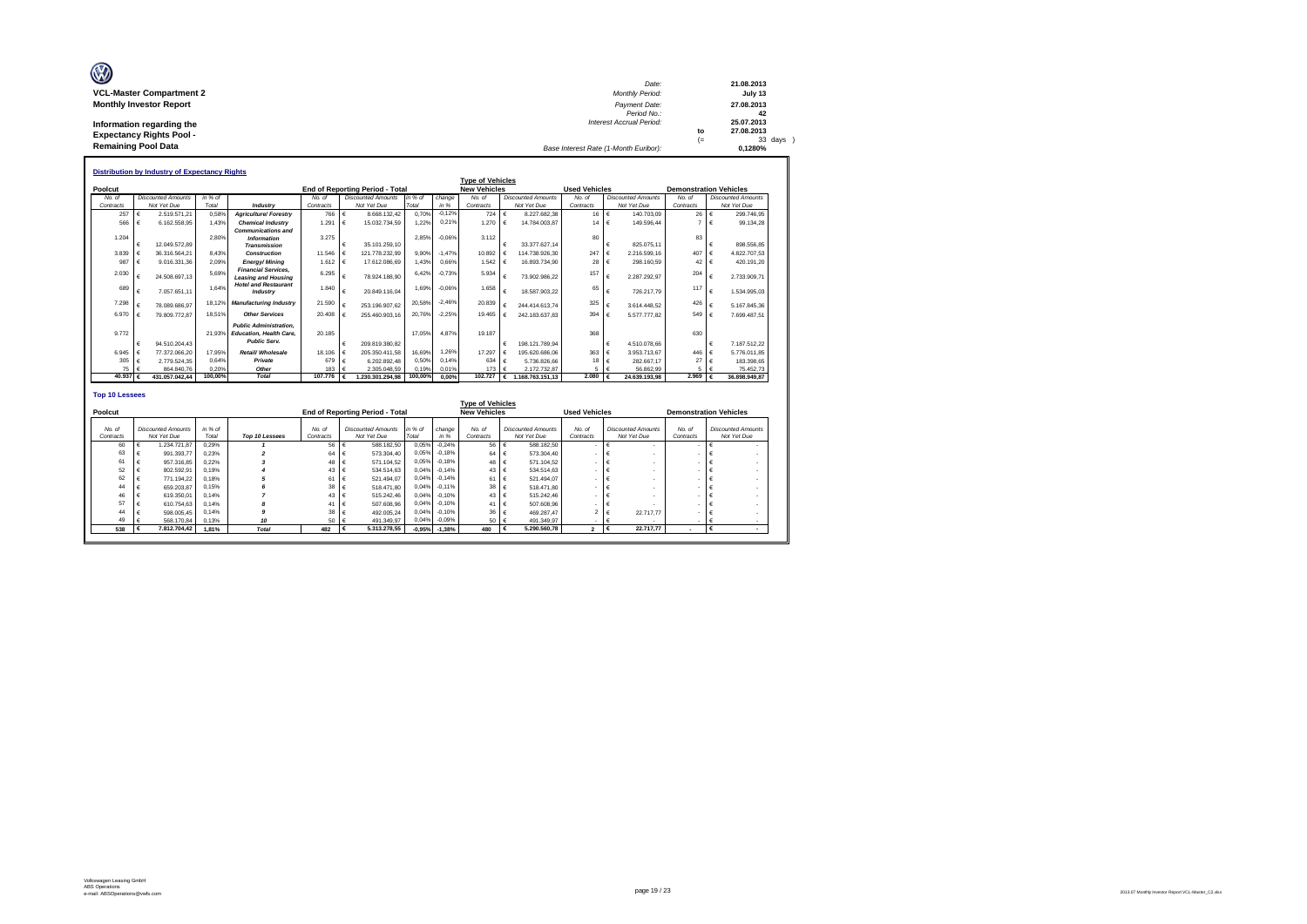| Ø                               | Date:                                 |      | 21.08.2013 |
|---------------------------------|---------------------------------------|------|------------|
| <b>VCL-Master Compartment 2</b> | Monthly Period:                       |      | July 13    |
| <b>Monthly Investor Report</b>  | Payment Date:                         |      | 27.08.2013 |
|                                 | Period No.:                           |      | 42         |
| Information regarding the       | <b>Interest Accrual Period:</b>       |      | 25.07.2013 |
| <b>Expectancy Rights Pool -</b> |                                       | to   | 27.08.2013 |
|                                 |                                       | $(=$ | 33 days )  |
| <b>Remaining Pool Data</b>      | Base Interest Rate (1-Month Euribor): |      | 0.1280%    |

|           |            |                           |         |                                                                                        |           |    |                                        |         |          | <b>Type of Vehicles</b> |            |                           |                      |            |                           |                               |            |                           |
|-----------|------------|---------------------------|---------|----------------------------------------------------------------------------------------|-----------|----|----------------------------------------|---------|----------|-------------------------|------------|---------------------------|----------------------|------------|---------------------------|-------------------------------|------------|---------------------------|
| Poolcut   |            |                           |         |                                                                                        |           |    | <b>End of Reporting Period - Total</b> |         |          | <b>New Vehicles</b>     |            |                           | <b>Used Vehicles</b> |            |                           | <b>Demonstration Vehicles</b> |            |                           |
| No. of    |            | <b>Discounted Amounts</b> | in % of |                                                                                        | No. of    |    | <b>Discounted Amounts</b>              | in % of | change   | No. of                  |            | <b>Discounted Amounts</b> | No. of               |            | <b>Discounted Amounts</b> | No. of                        |            | <b>Discounted Amounts</b> |
| Contracts |            | Not Yet Due               | Total   | Industry                                                                               | Contracts |    | Not Yet Due                            | Total   | in %     | Contracts               |            | Not Yet Due               | Contracts            |            | Not Yet Due               | Contracts                     |            | Not Yet Due               |
| 257       | $\epsilon$ | 2.519.571.21              | 0.58%   | <b>Agriculture/Forestry</b>                                                            | 766       | €  | 8.668.132.42                           | 0.70%   | $-0.12%$ | 724 €                   |            | 8.227.682.38              | 16                   | €          | 140.703.09                | 26                            | $\epsilon$ | 299.746.95                |
| 566       | €          | 6.162.558.95              | 1.43%   | <b>Chemical Industry</b>                                                               | 1.291     |    | 15.032.734.59                          | 1.22%   | 0.21%    | $1.270$ $\in$           |            | 14.784.003.87             | $14 \in$             |            | 149.596.44                | $\overline{7}$                | $\epsilon$ | 99.134,28                 |
|           |            |                           |         | <b>Communications and</b>                                                              |           |    |                                        |         |          |                         |            |                           |                      |            |                           |                               |            |                           |
| 1.204     |            |                           | 2.80%   | <b>Information</b>                                                                     | 3.275     |    |                                        | 2.85%   | $-0.06%$ | 3.112                   |            |                           | 80                   |            |                           | 83                            |            |                           |
|           | €          | 12.049.572.89             |         | <b>Transmission</b>                                                                    |           |    | 35.101.259.10                          |         |          |                         | €          | 33.377.627.14             |                      | €          | 825.075.11                |                               | €          | 898.556.85                |
| 3.839     |            | 36.316.564.21             | 8.43%   | Construction                                                                           | 11,546    |    | 121.778.232.99                         | 9.90%   | $-1.47%$ | 10.892                  | €          | 114.738.926.30            | 247                  | €          | 2.216.599.16              | 407                           | $\epsilon$ | 4.822.707.53              |
| 987       | €          | 9.016.331.36              | 2.09%   | Energy/Mining                                                                          | 1.612     | ∣€ | 17.612.086.69                          | 1.43%   | 0.66%    | 1.542                   | $\epsilon$ | 16.893.734.90             | 28                   | $\epsilon$ | 298.160.59                | 42                            | $\epsilon$ | 420.191.20                |
| 2.030     | €          | 24.508.697.13             | 5.69%   | <b>Financial Services.</b><br><b>Leasing and Housing</b>                               | 6.295     | €  | 78.924.188.90                          | 6.42%   | $-0.73%$ | 5.934                   | €          | 73.902.986.22             | 157                  | €          | 2.287.292.97              | 204                           | €          | 2.733.909.71              |
| 689       | €          | 7.057.651.11              | 1.64%   | <b>Hotel and Restaurant</b><br>Industry                                                | 1.840     |    | 20.849.116.04                          | 1.69%   | $-0.06%$ | 1.658                   | €          | 18.587.903.22             | 65                   | $\epsilon$ | 726.217.79                | 117                           | €          | 1.534.995.03              |
| 7.298     |            | 78.089.686.97             | 18.12%  | <b>Manufacturing Industry</b>                                                          | 21.590    |    | 253.196.907.62                         | 20.58%  | $-2.46%$ | 20,839                  | €          | 244.414.613.74            | 325                  | $\epsilon$ | 3.614.448.52              | 426                           |            | 5.167.845.36              |
| 6.970     |            | 79.809.772.87             | 18.51%  | <b>Other Services</b>                                                                  | 20.408    |    | 255.460.903.16                         | 20.76%  | $-2.25%$ | 19.465                  | €          | 242.183.637.83            | 394                  | €          | 5.577.777.82              | 549                           | I€         | 7.699.487.51              |
| 9.772     | €          | 94.510.204.43             | 21.93%  | <b>Public Administration.</b><br><b>Education, Health Care.</b><br><b>Public Serv.</b> | 20.185    |    | 209.819.380.82                         | 17.05%  | 4.87%    | 19.187                  | €          | 198.121.789.94            | 368                  | €          | 4.510.078.66              | 630                           | €          | 7.187.512,22              |
| 6.945     |            | 77.372.066.20             | 17.95%  | Retail/ Wholesale                                                                      | 18,106    |    | 205.350.411.58                         | 16.69%  | 1.26%    | 17.297                  | €          | 195.620.686.06            | 363                  | €          | 3.953.713.67              | 446                           | $\epsilon$ | 5,776,011.85              |
| 305       | €          | 2.779.524.35              | 0.64%   | Private                                                                                | 679       | €  | 6.202.892.48                           | 0.50%   | 0.14%    | 634                     | $\epsilon$ | 5.736.826.66              | 18                   | €          | 282.667.17                | 27                            | €          | 183.398.65                |
| 75 €      |            | 864.840.76                | 0.20%   | Other                                                                                  | 183       |    | 2.305.048.59                           | 0.19%   | 0.01%    | 173                     | $\epsilon$ | 2.172.732.87              | 5                    | €          | 56.862.99                 | 5.                            |            | 75.452.73                 |
| 40.937 €  |            | 431.057.042.44            | 100,00% | <b>Total</b>                                                                           | 107,776   |    | 1.230.301.294.98                       | 100,00% | 0.00%    | 102,727                 | €          | 168.763.151.13            | 2.080                | €          | 24.639.193.98             | 2.969                         | €          | 36.898.949.87             |

| Poolcut             |                                          |                  |                |                     | <b>End of Reporting Period - Total</b>   |                  |                | <b>Type of Vehicles</b><br><b>New Vehicles</b> |                                          | <b>Used Vehicles</b> |                                          |                     | <b>Demonstration Vehicles</b>            |
|---------------------|------------------------------------------|------------------|----------------|---------------------|------------------------------------------|------------------|----------------|------------------------------------------------|------------------------------------------|----------------------|------------------------------------------|---------------------|------------------------------------------|
| No. of<br>Contracts | <b>Discounted Amounts</b><br>Not Yet Due | in % of<br>Total | Top 10 Lessees | No. of<br>Contracts | <b>Discounted Amounts</b><br>Not Yet Due | in % of<br>Total | change<br>in % | No. of<br>Contracts                            | <b>Discounted Amounts</b><br>Not Yet Due | No. of<br>Contracts  | <b>Discounted Amounts</b><br>Not Yet Due | No. of<br>Contracts | <b>Discounted Amounts</b><br>Not Yet Due |
| 60                  | 1.234.721.87                             | 0.29%            |                | 56                  | 588.182.50                               | 0,05%            | $-0.24%$       | 56 €                                           | 588,182.50                               |                      |                                          | ٠                   |                                          |
| 63                  | 991.393.77                               | 0.23%            |                | 64                  | 573.304.40                               | 0.05%            | $-0.18%$       | 64 €                                           | 573,304.40                               |                      |                                          |                     |                                          |
| 61                  | 957,316.85                               | 0.22%            |                | 48 €                | 571.104.52                               | 0.05%            | $-0.18%$       | 48 €                                           | 571.104.52                               |                      |                                          |                     |                                          |
| 52                  | 802.592.91                               | 0.19%            |                | 43                  | 534.514.63                               | 0.04%            | $-0.14%$       | 43 $\epsilon$                                  | 534.514.63                               |                      |                                          | ۰                   |                                          |
| 62                  | 771.194.22                               | 0.18%            |                | 61                  | 521.494.07                               | 0.04%            | $-0.14%$       | 61 €                                           | 521.494.07                               |                      |                                          | ۰                   |                                          |
| 44                  | 659.203.87                               | 0.15%            |                | 38                  | 518,471.80                               | 0.04%            | $-0.11%$       | $38 \quad \epsilon$                            | 518,471.80                               |                      |                                          |                     |                                          |
| 46                  | 619.350.01                               | 0.14%            |                | 43                  | 515.242.46                               | 0.04%            | $-0.10%$       | 43 €                                           | 515.242.46                               |                      |                                          |                     |                                          |
| 57                  | 610.754.63                               | 0.14%            |                | 41                  | 507.608.96                               | 0.04%            | $-0.10%$       | 41 €                                           | 507,608.96                               |                      |                                          |                     |                                          |
| 44                  | 598.005.45                               | 0.14%            |                | 38                  | 492.005.24                               | 0.04%            | $-0.10%$       | $36 \quad \epsilon$                            | 469.287.47                               | $\sim$               | 22,717.77                                |                     |                                          |
| 49                  | 568.170.84                               | 0.13%            | 10             | 50 €                | 491.349.97                               | 0,04%            | $-0.09%$       | 50 €                                           | 491.349.97                               |                      |                                          |                     |                                          |
| 538                 | 7.812.704.42                             | 1.81%            | <b>Total</b>   | 482                 | 5.313.278.55                             | $-0,95%$         | $-1,38%$       | 480                                            | 5.290.560.78                             | $\mathbf{2}$         | 22,717.77<br>⊣€                          |                     |                                          |

п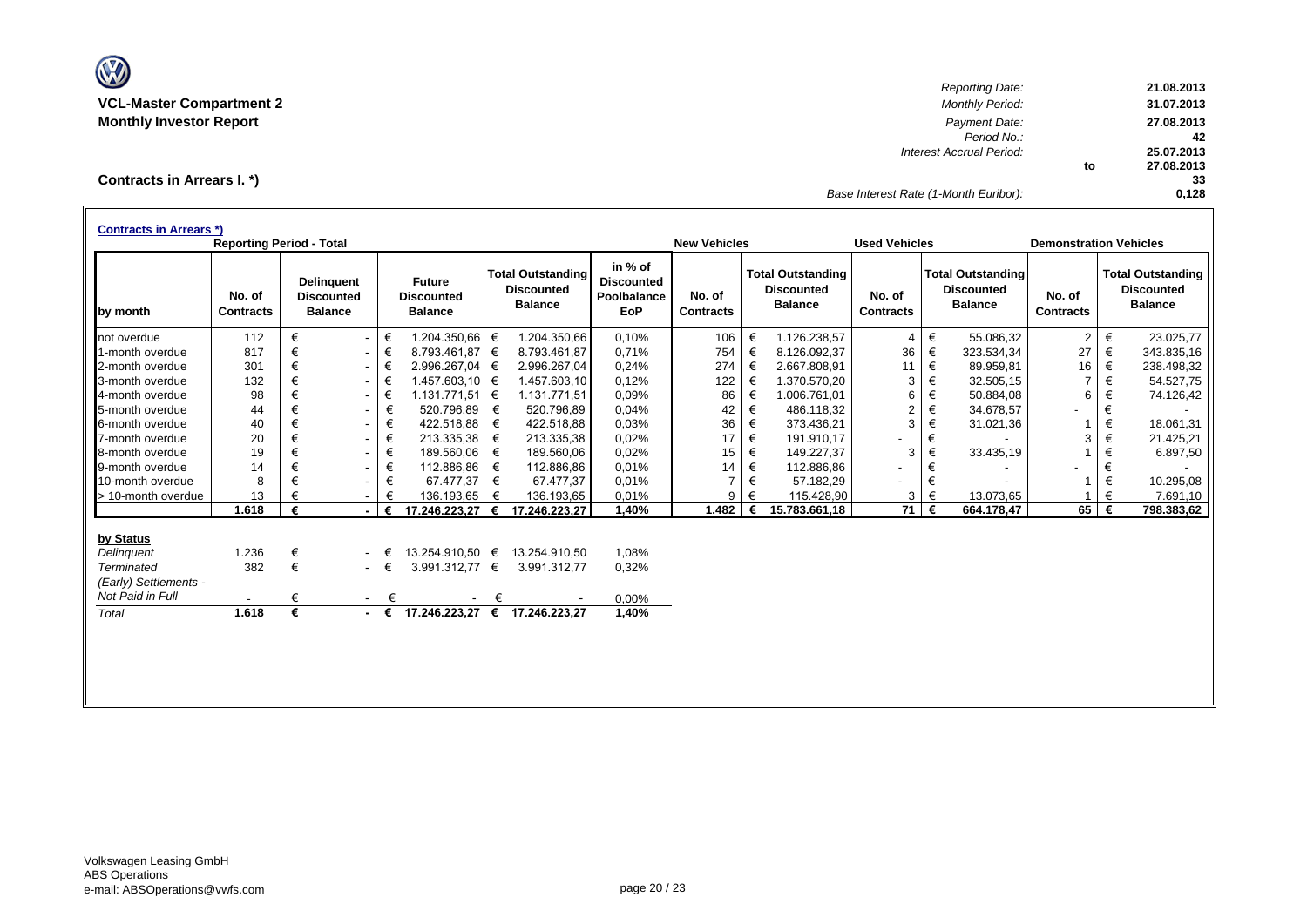

*Reporting Date:* **21.08.2013 VCL-Master Compartment 2** *Monthly Period:* **31.07.2013 Monthly Investor Report** *Payment Date:* **27.08.2013** *Period No.:* **42** *Interest Accrual Period:* **25.07.2013 to 27.08.2013 33** *Base Interest Rate (1-Month Euribor):* **0,128**

**Contracts in Arrears I. \*)**

| <b>Future</b><br><b>Discounted</b><br><b>Balance</b><br>€<br>1.204.350,66<br>$\sim$<br>€<br>8.793.461,87<br>$\sim$<br>€<br>2.996.267,04<br>$\sim$<br>€<br>$1.457.603,10$ $∈$<br>$\sim$<br>€<br>1.131.771,51 €<br>$\sim$<br>520.796.89<br>€<br>$\sim$<br>€<br>422.518.88<br>$\sim$<br>€<br>213.335,38<br>$\sim$<br>€<br>189.560,06<br>$\sim$ | €<br>€<br>€<br>€<br>€<br>€<br>€<br>€ | <b>Total Outstanding</b><br><b>Discounted</b><br><b>Balance</b><br>1.204.350,66<br>8.793.461.87<br>2.996.267,04<br>1.457.603.10<br>1.131.771,51<br>520.796,89<br>422.518.88<br>213.335,38<br>189.560,06 | in % of<br><b>Discounted</b><br>Poolbalance<br>EoP<br>0,10%<br>0.71%<br>0,24%<br>0,12%<br>0,09%<br>0,04%<br>0.03%<br>0,02%<br>0,02% | No. of<br><b>Contracts</b><br>106<br>754<br>274<br>122<br>86<br>42<br>36<br>17<br>15 | €<br>€<br>€<br>€<br>€<br>€<br>€<br>€ | <b>Total Outstanding</b><br><b>Discounted</b><br><b>Balance</b><br>1.126.238,57<br>8.126.092,37<br>2.667.808,91<br>1.370.570,20<br>1.006.761,01<br>486.118,32<br>373.436,21<br>191.910,17 | No. of<br><b>Contracts</b><br>$\overline{4}$<br>36<br>11<br>3<br>6<br>$\overline{c}$<br>3 | $\in$<br>€<br>€<br>$\in$<br>$\in$<br>$\in$<br>$\in$ | <b>Total Outstanding</b><br><b>Discounted</b><br><b>Balance</b><br>55.086,32<br>323.534,34<br>89.959,81<br>32.505,15<br>50.884,08<br>34.678,57<br>31.021,36 | No. of<br><b>Contracts</b><br>2<br>27<br>16<br>$\overline{7}$<br>6<br>1 | €<br>€<br>€<br>€<br>€<br>€ | <b>Total Outstanding</b><br><b>Discounted</b><br><b>Balance</b><br>23.025,77<br>343.835,16<br>238.498,32<br>54.527,75<br>74.126,42 |
|---------------------------------------------------------------------------------------------------------------------------------------------------------------------------------------------------------------------------------------------------------------------------------------------------------------------------------------------|--------------------------------------|---------------------------------------------------------------------------------------------------------------------------------------------------------------------------------------------------------|-------------------------------------------------------------------------------------------------------------------------------------|--------------------------------------------------------------------------------------|--------------------------------------|-------------------------------------------------------------------------------------------------------------------------------------------------------------------------------------------|-------------------------------------------------------------------------------------------|-----------------------------------------------------|-------------------------------------------------------------------------------------------------------------------------------------------------------------|-------------------------------------------------------------------------|----------------------------|------------------------------------------------------------------------------------------------------------------------------------|
|                                                                                                                                                                                                                                                                                                                                             |                                      |                                                                                                                                                                                                         |                                                                                                                                     |                                                                                      |                                      |                                                                                                                                                                                           |                                                                                           |                                                     |                                                                                                                                                             |                                                                         |                            |                                                                                                                                    |
|                                                                                                                                                                                                                                                                                                                                             |                                      |                                                                                                                                                                                                         |                                                                                                                                     |                                                                                      |                                      |                                                                                                                                                                                           |                                                                                           |                                                     |                                                                                                                                                             |                                                                         |                            |                                                                                                                                    |
|                                                                                                                                                                                                                                                                                                                                             |                                      |                                                                                                                                                                                                         |                                                                                                                                     |                                                                                      |                                      |                                                                                                                                                                                           |                                                                                           |                                                     |                                                                                                                                                             |                                                                         |                            |                                                                                                                                    |
|                                                                                                                                                                                                                                                                                                                                             |                                      |                                                                                                                                                                                                         |                                                                                                                                     |                                                                                      |                                      |                                                                                                                                                                                           |                                                                                           |                                                     |                                                                                                                                                             |                                                                         |                            |                                                                                                                                    |
|                                                                                                                                                                                                                                                                                                                                             |                                      |                                                                                                                                                                                                         |                                                                                                                                     |                                                                                      |                                      |                                                                                                                                                                                           |                                                                                           |                                                     |                                                                                                                                                             |                                                                         |                            |                                                                                                                                    |
|                                                                                                                                                                                                                                                                                                                                             |                                      |                                                                                                                                                                                                         |                                                                                                                                     |                                                                                      |                                      |                                                                                                                                                                                           |                                                                                           |                                                     |                                                                                                                                                             |                                                                         |                            |                                                                                                                                    |
|                                                                                                                                                                                                                                                                                                                                             |                                      |                                                                                                                                                                                                         |                                                                                                                                     |                                                                                      |                                      |                                                                                                                                                                                           |                                                                                           |                                                     |                                                                                                                                                             |                                                                         |                            |                                                                                                                                    |
|                                                                                                                                                                                                                                                                                                                                             |                                      |                                                                                                                                                                                                         |                                                                                                                                     |                                                                                      |                                      |                                                                                                                                                                                           |                                                                                           |                                                     |                                                                                                                                                             |                                                                         | €                          | 18.061.31                                                                                                                          |
|                                                                                                                                                                                                                                                                                                                                             |                                      |                                                                                                                                                                                                         |                                                                                                                                     |                                                                                      |                                      |                                                                                                                                                                                           |                                                                                           | €                                                   |                                                                                                                                                             | 3                                                                       | €                          | 21.425,21                                                                                                                          |
|                                                                                                                                                                                                                                                                                                                                             |                                      |                                                                                                                                                                                                         |                                                                                                                                     |                                                                                      | €                                    | 149.227,37                                                                                                                                                                                | 3                                                                                         | €                                                   | 33.435,19                                                                                                                                                   |                                                                         | €                          | 6.897,50                                                                                                                           |
| €<br>112.886,86<br>$\sim$                                                                                                                                                                                                                                                                                                                   |                                      | 112.886,86                                                                                                                                                                                              | 0.01%                                                                                                                               | 14                                                                                   | €                                    | 112.886,86                                                                                                                                                                                | $\overline{\phantom{0}}$                                                                  | €                                                   |                                                                                                                                                             |                                                                         | €                          |                                                                                                                                    |
| €<br>67.477.37<br>$\sim$                                                                                                                                                                                                                                                                                                                    | €                                    | 67.477,37                                                                                                                                                                                               | 0.01%                                                                                                                               | 7                                                                                    | €                                    | 57.182,29                                                                                                                                                                                 |                                                                                           | €                                                   |                                                                                                                                                             |                                                                         | €                          | 10.295,08                                                                                                                          |
| 136.193,65<br>€<br>$\sim$                                                                                                                                                                                                                                                                                                                   | €                                    | 136.193,65                                                                                                                                                                                              | 0,01%                                                                                                                               | 9                                                                                    | €                                    | 115.428,90                                                                                                                                                                                | 3                                                                                         | €                                                   | 13.073,65                                                                                                                                                   |                                                                         | €                          | 7.691,10                                                                                                                           |
| 17.246.223,27 €<br>€                                                                                                                                                                                                                                                                                                                        |                                      | 17.246.223,27                                                                                                                                                                                           | 1,40%                                                                                                                               | 1.482                                                                                |                                      | 15.783.661,18                                                                                                                                                                             | 71                                                                                        | €                                                   | 664.178,47                                                                                                                                                  | 65                                                                      | €                          | 798.383,62                                                                                                                         |
|                                                                                                                                                                                                                                                                                                                                             |                                      |                                                                                                                                                                                                         |                                                                                                                                     |                                                                                      |                                      |                                                                                                                                                                                           |                                                                                           |                                                     |                                                                                                                                                             |                                                                         |                            |                                                                                                                                    |
| 13.254.910,50 €<br>€                                                                                                                                                                                                                                                                                                                        |                                      | 13.254.910,50                                                                                                                                                                                           | 1,08%                                                                                                                               |                                                                                      |                                      |                                                                                                                                                                                           |                                                                                           |                                                     |                                                                                                                                                             |                                                                         |                            |                                                                                                                                    |
| €                                                                                                                                                                                                                                                                                                                                           |                                      | 3.991.312,77                                                                                                                                                                                            | 0,32%                                                                                                                               |                                                                                      |                                      |                                                                                                                                                                                           |                                                                                           |                                                     |                                                                                                                                                             |                                                                         |                            |                                                                                                                                    |
|                                                                                                                                                                                                                                                                                                                                             |                                      |                                                                                                                                                                                                         |                                                                                                                                     |                                                                                      |                                      |                                                                                                                                                                                           |                                                                                           |                                                     |                                                                                                                                                             |                                                                         |                            |                                                                                                                                    |
| €                                                                                                                                                                                                                                                                                                                                           |                                      |                                                                                                                                                                                                         | 0,00%                                                                                                                               |                                                                                      |                                      |                                                                                                                                                                                           |                                                                                           |                                                     |                                                                                                                                                             |                                                                         |                            |                                                                                                                                    |
|                                                                                                                                                                                                                                                                                                                                             |                                      | 17.246.223,27                                                                                                                                                                                           | 1,40%                                                                                                                               |                                                                                      |                                      |                                                                                                                                                                                           |                                                                                           |                                                     |                                                                                                                                                             |                                                                         |                            |                                                                                                                                    |
|                                                                                                                                                                                                                                                                                                                                             | $\sim$<br>$\sim$<br>$ \epsilon$      | 17.246.223,27                                                                                                                                                                                           | 3.991.312,77 €<br>€<br>$\epsilon$                                                                                                   |                                                                                      |                                      |                                                                                                                                                                                           |                                                                                           |                                                     |                                                                                                                                                             |                                                                         |                            |                                                                                                                                    |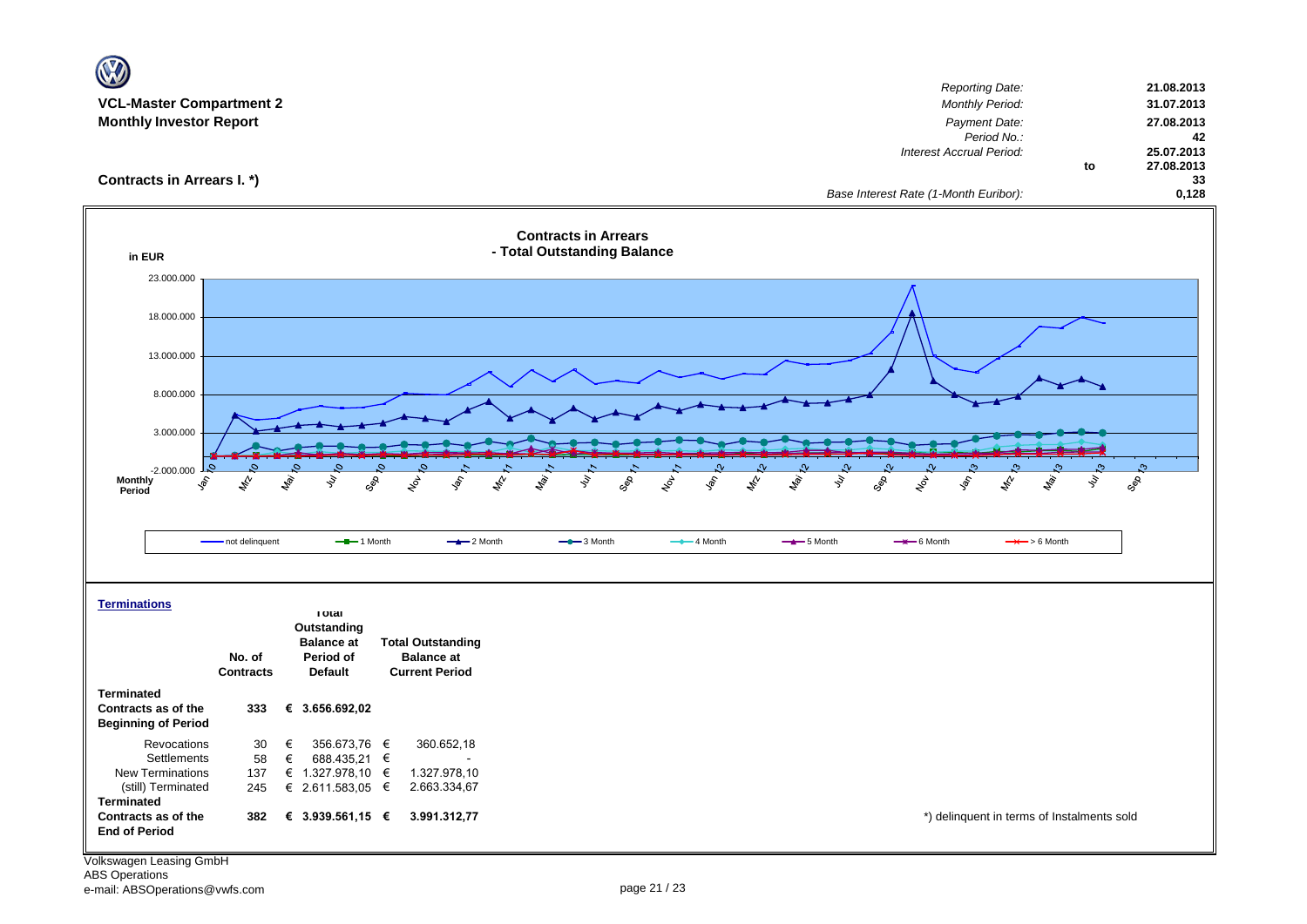| <b>VCL-Master Compartment 2</b><br><b>Monthly Investor Report</b>      |                  |                                         |                                                     | <b>Reporting Date:</b><br><b>Monthly Period:</b><br>Payment Date:<br>Period No.:<br>Interest Accrual Period:                                                              | 21.08.2013<br>31.07.2013<br>27.08.2013<br>42<br>25.07.2013 |
|------------------------------------------------------------------------|------------------|-----------------------------------------|-----------------------------------------------------|---------------------------------------------------------------------------------------------------------------------------------------------------------------------------|------------------------------------------------------------|
| Contracts in Arrears I. *)                                             |                  |                                         |                                                     | to<br>Base Interest Rate (1-Month Euribor):                                                                                                                               | 27.08.2013<br>33<br>0,128                                  |
| in EUR                                                                 |                  |                                         |                                                     | <b>Contracts in Arrears</b><br>- Total Outstanding Balance                                                                                                                |                                                            |
| 23.000.000                                                             |                  |                                         |                                                     |                                                                                                                                                                           |                                                            |
| 18.000.000                                                             |                  |                                         |                                                     |                                                                                                                                                                           |                                                            |
| 13.000.000                                                             |                  |                                         |                                                     |                                                                                                                                                                           |                                                            |
| 8.000.000                                                              |                  |                                         |                                                     |                                                                                                                                                                           |                                                            |
|                                                                        |                  |                                         |                                                     |                                                                                                                                                                           |                                                            |
| 3.000.000                                                              |                  |                                         |                                                     |                                                                                                                                                                           |                                                            |
| $-2.000.000$                                                           | O.               |                                         |                                                     |                                                                                                                                                                           | $\mathfrak{S}$                                             |
| <b>Monthly</b><br>$\hat{\mathcal{S}}$<br>Period                        | 焉                | ligh.<br>M<br>ş                         | GRE<br>$\mathcal{E}_{\mathcal{G}}$<br>$\mathcal{S}$ | <b>RA</b><br>ligi.<br>ş<br>GRR<br><b>Sol</b><br>$\mathbf{z}^{\mathbf{y}}$<br>1 lety<br>ş<br>ş<br>لمحم<br>GOS<br>$x^{\beta}$<br><b>Solo</b><br>$\mathscr{E}$<br><b>Rai</b> | SOR                                                        |
|                                                                        |                  |                                         |                                                     |                                                                                                                                                                           |                                                            |
|                                                                        | - not delinquent | $-$ -1 Month                            | $-2$ Month                                          | $-$ 3 Month<br>$-$ 4 Month<br>$-$ 5 Month<br>$\rightarrow$ 6 Month<br>$\rightarrow$ > 6 Month                                                                             |                                                            |
|                                                                        |                  |                                         |                                                     |                                                                                                                                                                           |                                                            |
|                                                                        |                  |                                         |                                                     |                                                                                                                                                                           |                                                            |
| <b>Terminations</b>                                                    |                  | <b>Total</b>                            |                                                     |                                                                                                                                                                           |                                                            |
|                                                                        |                  | Outstanding<br><b>Balance at</b>        | <b>Total Outstanding</b>                            |                                                                                                                                                                           |                                                            |
|                                                                        | No. of           | Period of                               | <b>Balance at</b>                                   |                                                                                                                                                                           |                                                            |
|                                                                        | <b>Contracts</b> | <b>Default</b>                          | <b>Current Period</b>                               |                                                                                                                                                                           |                                                            |
| <b>Terminated</b><br>Contracts as of the<br><b>Beginning of Period</b> | 333              | € 3.656.692,02                          |                                                     |                                                                                                                                                                           |                                                            |
| Revocations                                                            | 30               | €<br>356.673,76 €                       | 360.652,18                                          |                                                                                                                                                                           |                                                            |
| Settlements<br>New Terminations                                        | 58<br>137        | €<br>688.435,21 €<br>€ 1.327.978,10 $∈$ | 1.327.978,10                                        |                                                                                                                                                                           |                                                            |
| (still) Terminated<br><b>Terminated</b>                                | 245              | € 2.611.583,05 €                        | 2.663.334,67                                        |                                                                                                                                                                           |                                                            |
| Contracts as of the<br><b>End of Period</b>                            | 382              | € 3.939.561,15 $∈$                      | 3.991.312,77                                        | *) delinquent in terms of Instalments sold                                                                                                                                |                                                            |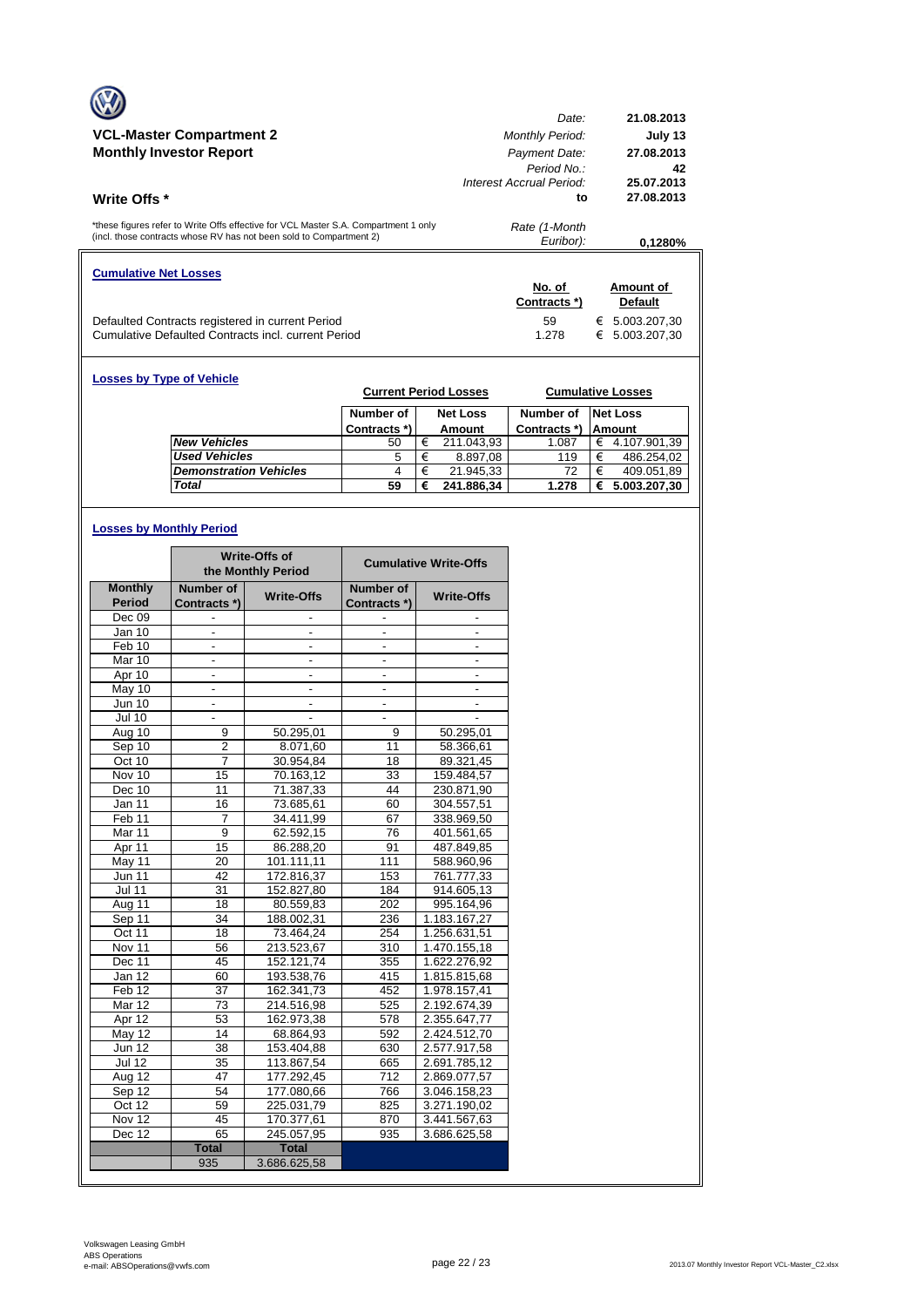|                                                                                                                                                            | Date:                       | 21.08.2013        |
|------------------------------------------------------------------------------------------------------------------------------------------------------------|-----------------------------|-------------------|
| <b>VCL-Master Compartment 2</b>                                                                                                                            | <b>Monthly Period:</b>      | July 13           |
| <b>Monthly Investor Report</b>                                                                                                                             | Payment Date:<br>Period No. | 27.08.2013<br>42  |
|                                                                                                                                                            | Interest Accrual Period:    | 25.07.2013        |
| <b>Write Offs</b> *                                                                                                                                        | to                          | 27.08.2013        |
| *these figures refer to Write Offs effective for VCL Master S.A. Compartment 1 only<br>(incl. those contracts whose RV has not been sold to Compartment 2) | Rate (1-Month<br>Euribor):  | 0.1280%           |
| <b>Cumulative Net Losses</b>                                                                                                                               |                             |                   |
|                                                                                                                                                            | No. of                      | Amount of         |
|                                                                                                                                                            |                             |                   |
|                                                                                                                                                            | Contracts *)                | <b>Default</b>    |
| Defaulted Contracts registered in current Period                                                                                                           | 59                          | 5.003.207.30<br>€ |

| <b>Losses by Type of Vehicle</b> |              |   | <b>Current Period Losses</b> |              |   | <b>Cumulative Losses</b> |
|----------------------------------|--------------|---|------------------------------|--------------|---|--------------------------|
|                                  | Number of    |   | <b>Net Loss</b>              | Number of    |   | <b>Net Loss</b>          |
|                                  | Contracts *) |   | Amount                       | Contracts *) |   | <b>Amount</b>            |
| <b>New Vehicles</b>              | 50           | € | 211.043.93                   | 1.087        | € | 4.107.901.39             |
| <b>Used Vehicles</b>             | 5            | € | 8.897,08                     | 119          | € | 486.254,02               |
| <b>Demonstration Vehicles</b>    | 4            | € | 21.945,33                    | 72           | € | 409.051,89               |
| <b>Total</b>                     | 59           | € | 241.886,34                   | 1.278        | € | 5.003.207,30             |

# **Losses by Monthly Period**

|                      |                          | <b>Write-Offs of</b><br>the Monthly Period |                          | <b>Cumulative Write-Offs</b> |
|----------------------|--------------------------|--------------------------------------------|--------------------------|------------------------------|
| <b>Monthly</b>       | Number of                | <b>Write-Offs</b>                          | Number of                | <b>Write-Offs</b>            |
| <b>Period</b>        | Contracts *)             |                                            | Contracts*)              |                              |
| Dec 09               |                          |                                            |                          |                              |
| Jan 10               |                          |                                            |                          |                              |
| Feb 10               | $\overline{\phantom{a}}$ | $\overline{\phantom{a}}$                   | $\frac{1}{2}$            | $\overline{\phantom{a}}$     |
| Mar 10               | $\overline{\phantom{a}}$ | $\frac{1}{2}$                              | $\overline{\phantom{a}}$ | $\overline{a}$               |
| Apr 10               |                          |                                            |                          |                              |
| May 10               | $\overline{\phantom{a}}$ | $\blacksquare$                             | $\overline{\phantom{a}}$ | $\blacksquare$               |
| <b>Jun 10</b>        |                          |                                            |                          |                              |
| <b>Jul 10</b>        |                          |                                            |                          |                              |
| Aug 10               | 9                        | 50.295,01                                  | 9                        | 50.295,01                    |
| Sep 10               | 2                        | 8.071,60                                   | 11                       | 58.366,61                    |
| Oct 10               | 7                        | 30.954,84                                  | 18                       | 89.321,45                    |
| Nov 10               | 15                       | 70.163,12                                  | 33                       | 159.484,57                   |
| Dec 10               | 11                       | 71.387,33                                  | 44                       | 230.871,90                   |
| Jan 11               | 16                       | 73.685,61                                  | 60                       | 304.557,51                   |
| Feb <sub>11</sub>    | $\overline{7}$           | 34.411.99                                  | 67                       | 338.969.50                   |
| Mar 11               | 9                        | 62.592,15                                  | 76                       | 401.561,65                   |
| Apr 11               | 15                       | 86.288,20                                  | 91                       | 487.849,85                   |
| May 11               | 20                       | 101.111,11                                 | 111                      | 588.960,96                   |
| <b>Jun 11</b>        | 42                       | 172.816,37                                 | 153                      | 761.777,33                   |
| $\overline{J}$ ul 11 | 31                       | 152.827,80                                 | 184                      | 914.605,13                   |
| Aug 11               | 18                       | 80.559,83                                  | 202                      | 995.164,96                   |
| Sep 11               | 34                       | 188.002,31                                 | 236                      | 1.183.167,27                 |
| Oct 11               | 18                       | 73.464,24                                  | 254                      | 1.256.631,51                 |
| Nov 11               | 56                       | 213.523,67                                 | 310                      | 1.470.155,18                 |
| Dec 11               | 45                       | 152.121,74                                 | 355                      | 1.622.276,92                 |
| Jan 12               | 60                       | 193.538,76                                 | 415                      | 1.815.815,68                 |
| Feb 12               | 37                       | 162.341.73                                 | 452                      | 1.978.157.41                 |
| Mar 12               | 73                       | 214.516,98                                 | 525                      | 2.192.674,39                 |
| Apr 12               | 53                       | 162.973,38                                 | 578                      | 2.355.647,77                 |
| May 12               | 14                       | 68.864,93                                  | 592                      | 2.424.512,70                 |
| <b>Jun 12</b>        | 38                       | 153.404,88                                 | 630                      | 2.577.917,58                 |
| <b>Jul 12</b>        | 35                       | 113.867,54                                 | 665                      | 2.691.785,12                 |
| $A\overline{ug}$ 12  | 47                       | 177.292.45                                 | 712                      | 2.869.077.57                 |
| Sep 12               | 54                       | 177.080,66                                 | 766                      | 3.046.158,23                 |
| Oct 12               | 59                       | 225.031,79                                 | 825                      | 3.271.190,02                 |
| Nov 12               | 45                       | 170.377,61                                 | 870                      | 3.441.567,63                 |
| Dec 12               | 65                       | 245.057,95                                 | 935                      | 3.686.625,58                 |
|                      | <b>Total</b>             | <b>Total</b>                               |                          |                              |
|                      | 935                      | 3.686.625.58                               |                          |                              |